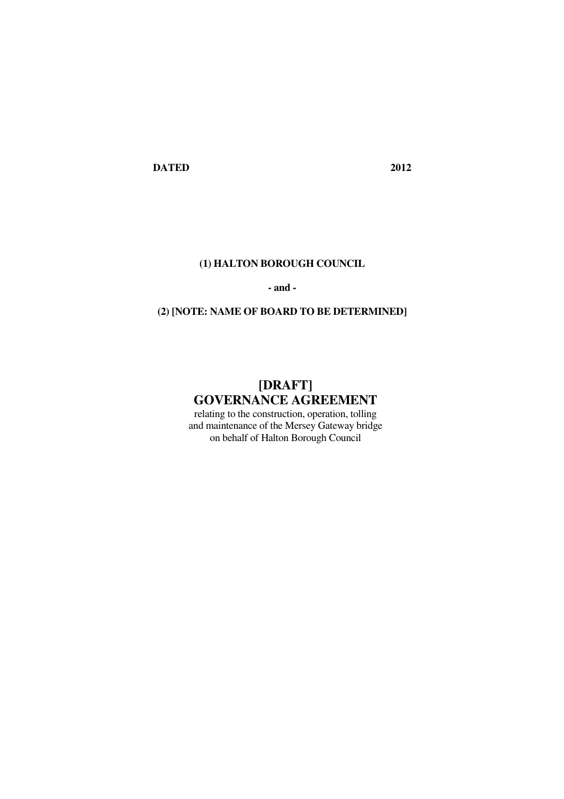**DATED 2012** 

## **(1) HALTON BOROUGH COUNCIL**

#### **- and -**

## **(2) [NOTE: NAME OF BOARD TO BE DETERMINED]**

# **[DRAFT] GOVERNANCE AGREEMENT**

relating to the construction, operation, tolling and maintenance of the Mersey Gateway bridge on behalf of Halton Borough Council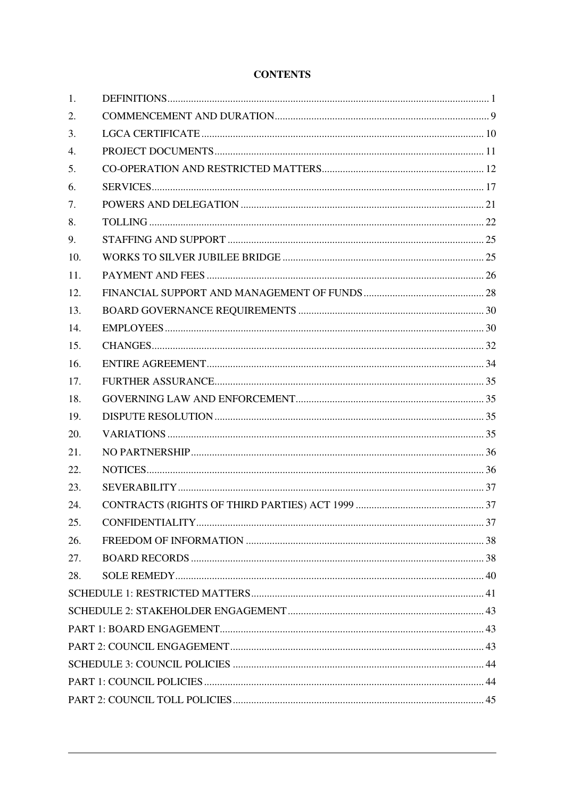## **CONTENTS**

| 1.  |  |
|-----|--|
| 2.  |  |
| 3.  |  |
| 4.  |  |
| 5.  |  |
| 6.  |  |
| 7.  |  |
| 8.  |  |
| 9.  |  |
| 10. |  |
| 11. |  |
| 12. |  |
| 13. |  |
| 14. |  |
| 15. |  |
| 16. |  |
| 17. |  |
| 18. |  |
| 19. |  |
| 20. |  |
| 21. |  |
| 22. |  |
| 23. |  |
| 24. |  |
| 25. |  |
| 26. |  |
| 27. |  |
| 28. |  |
|     |  |
|     |  |
|     |  |
|     |  |
|     |  |
|     |  |
|     |  |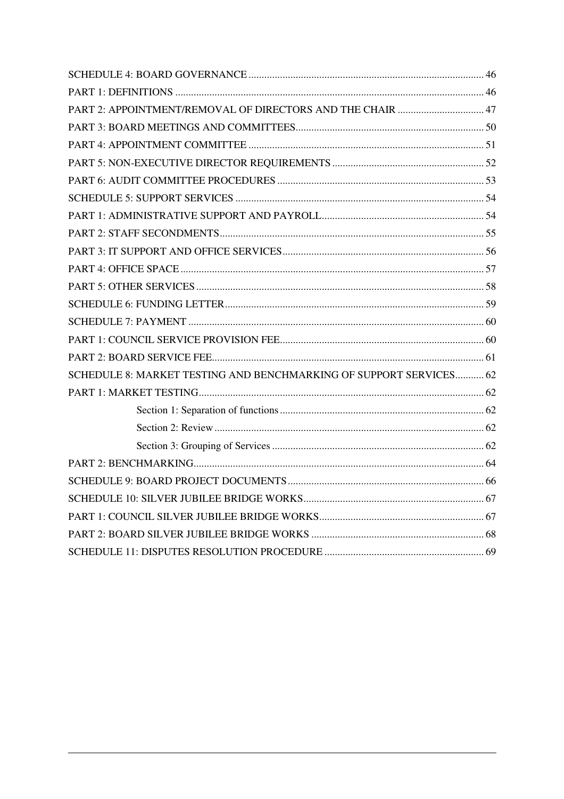| PART 2: APPOINTMENT/REMOVAL OF DIRECTORS AND THE CHAIR  47         |  |
|--------------------------------------------------------------------|--|
|                                                                    |  |
|                                                                    |  |
|                                                                    |  |
|                                                                    |  |
|                                                                    |  |
|                                                                    |  |
|                                                                    |  |
|                                                                    |  |
|                                                                    |  |
|                                                                    |  |
|                                                                    |  |
|                                                                    |  |
|                                                                    |  |
|                                                                    |  |
| SCHEDULE 8: MARKET TESTING AND BENCHMARKING OF SUPPORT SERVICES 62 |  |
|                                                                    |  |
|                                                                    |  |
|                                                                    |  |
|                                                                    |  |
|                                                                    |  |
|                                                                    |  |
|                                                                    |  |
|                                                                    |  |
|                                                                    |  |
|                                                                    |  |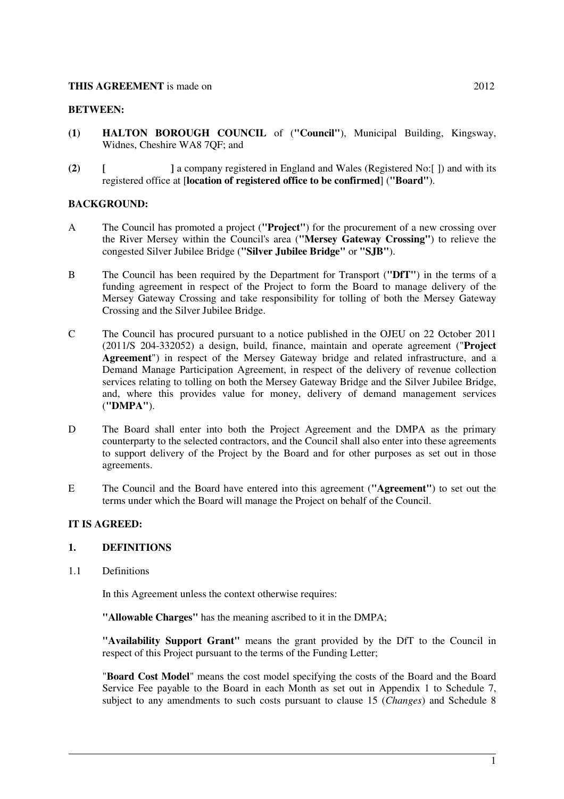#### **THIS AGREEMENT** is made on 2012

#### **BETWEEN:**

- **(1) HALTON BOROUGH COUNCIL** of (**"Council"**), Municipal Building, Kingsway, Widnes, Cheshire WA8 7QF; and
- **(2) [ ]** a company registered in England and Wales (Registered No:[ ]) and with its registered office at [**location of registered office to be confirmed**] (**"Board"**).

## **BACKGROUND:**

- A The Council has promoted a project (**"Project"**) for the procurement of a new crossing over the River Mersey within the Council's area (**"Mersey Gateway Crossing"**) to relieve the congested Silver Jubilee Bridge (**"Silver Jubilee Bridge"** or **"SJB"**).
- B The Council has been required by the Department for Transport (**"DfT"**) in the terms of a funding agreement in respect of the Project to form the Board to manage delivery of the Mersey Gateway Crossing and take responsibility for tolling of both the Mersey Gateway Crossing and the Silver Jubilee Bridge.
- C The Council has procured pursuant to a notice published in the OJEU on 22 October 2011 (2011/S 204-332052) a design, build, finance, maintain and operate agreement ("**Project Agreement**") in respect of the Mersey Gateway bridge and related infrastructure, and a Demand Manage Participation Agreement, in respect of the delivery of revenue collection services relating to tolling on both the Mersey Gateway Bridge and the Silver Jubilee Bridge, and, where this provides value for money, delivery of demand management services (**"DMPA"**).
- D The Board shall enter into both the Project Agreement and the DMPA as the primary counterparty to the selected contractors, and the Council shall also enter into these agreements to support delivery of the Project by the Board and for other purposes as set out in those agreements.
- E The Council and the Board have entered into this agreement (**"Agreement"**) to set out the terms under which the Board will manage the Project on behalf of the Council.

#### **IT IS AGREED:**

#### **1. DEFINITIONS**

1.1 Definitions

In this Agreement unless the context otherwise requires:

**"Allowable Charges"** has the meaning ascribed to it in the DMPA;

**"Availability Support Grant"** means the grant provided by the DfT to the Council in respect of this Project pursuant to the terms of the Funding Letter;

"**Board Cost Model**" means the cost model specifying the costs of the Board and the Board Service Fee payable to the Board in each Month as set out in Appendix 1 to Schedule 7, subject to any amendments to such costs pursuant to clause 15 (*Changes*) and Schedule 8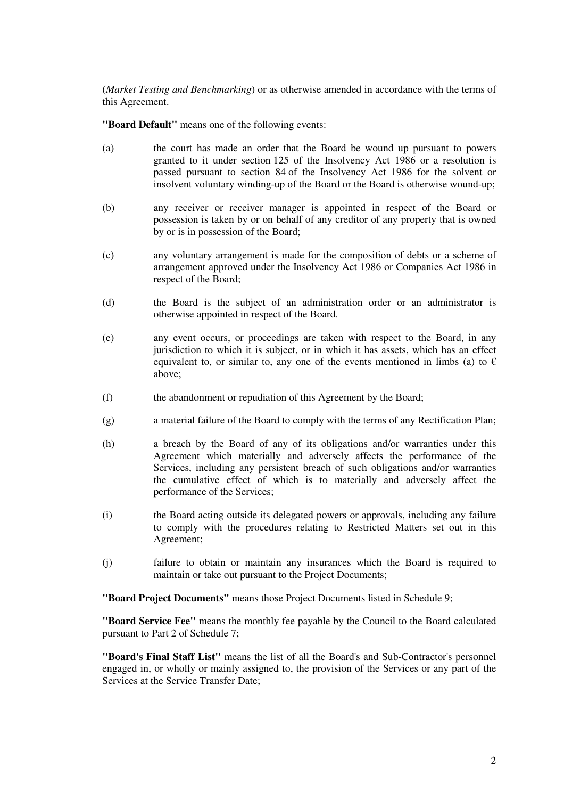(*Market Testing and Benchmarking*) or as otherwise amended in accordance with the terms of this Agreement.

**"Board Default"** means one of the following events:

- (a) the court has made an order that the Board be wound up pursuant to powers granted to it under section 125 of the Insolvency Act 1986 or a resolution is passed pursuant to section 84 of the Insolvency Act 1986 for the solvent or insolvent voluntary winding-up of the Board or the Board is otherwise wound-up;
- (b) any receiver or receiver manager is appointed in respect of the Board or possession is taken by or on behalf of any creditor of any property that is owned by or is in possession of the Board;
- (c) any voluntary arrangement is made for the composition of debts or a scheme of arrangement approved under the Insolvency Act 1986 or Companies Act 1986 in respect of the Board;
- (d) the Board is the subject of an administration order or an administrator is otherwise appointed in respect of the Board.
- (e) any event occurs, or proceedings are taken with respect to the Board, in any jurisdiction to which it is subject, or in which it has assets, which has an effect equivalent to, or similar to, any one of the events mentioned in limbs (a) to  $\epsilon$ above;
- (f) the abandonment or repudiation of this Agreement by the Board;
- (g) a material failure of the Board to comply with the terms of any Rectification Plan;
- (h) a breach by the Board of any of its obligations and/or warranties under this Agreement which materially and adversely affects the performance of the Services, including any persistent breach of such obligations and/or warranties the cumulative effect of which is to materially and adversely affect the performance of the Services;
- (i) the Board acting outside its delegated powers or approvals, including any failure to comply with the procedures relating to Restricted Matters set out in this Agreement;
- (j) failure to obtain or maintain any insurances which the Board is required to maintain or take out pursuant to the Project Documents;

**"Board Project Documents"** means those Project Documents listed in Schedule 9;

**"Board Service Fee"** means the monthly fee payable by the Council to the Board calculated pursuant to Part 2 of Schedule 7;

**"Board's Final Staff List"** means the list of all the Board's and Sub-Contractor's personnel engaged in, or wholly or mainly assigned to, the provision of the Services or any part of the Services at the Service Transfer Date;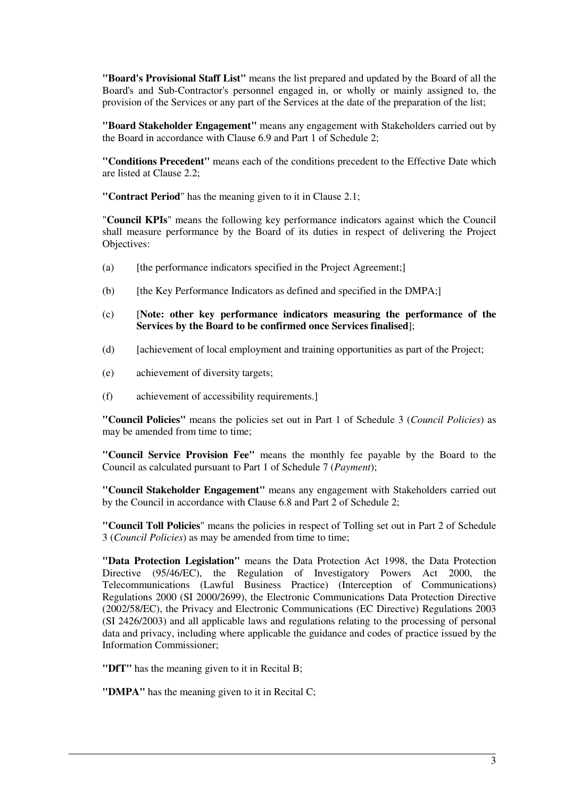**"Board's Provisional Staff List"** means the list prepared and updated by the Board of all the Board's and Sub-Contractor's personnel engaged in, or wholly or mainly assigned to, the provision of the Services or any part of the Services at the date of the preparation of the list;

**"Board Stakeholder Engagement"** means any engagement with Stakeholders carried out by the Board in accordance with Clause 6.9 and Part 1 of Schedule 2;

**"Conditions Precedent"** means each of the conditions precedent to the Effective Date which are listed at Clause 2.2;

**"Contract Period**" has the meaning given to it in Clause 2.1;

"**Council KPIs**" means the following key performance indicators against which the Council shall measure performance by the Board of its duties in respect of delivering the Project Objectives:

- (a) [the performance indicators specified in the Project Agreement;]
- $(b)$  [the Key Performance Indicators as defined and specified in the DMPA;]
- (c) [**Note: other key performance indicators measuring the performance of the Services by the Board to be confirmed once Services finalised**];
- (d) [achievement of local employment and training opportunities as part of the Project;
- (e) achievement of diversity targets;
- (f) achievement of accessibility requirements.]

**"Council Policies"** means the policies set out in Part 1 of Schedule 3 (*Council Policies*) as may be amended from time to time;

**"Council Service Provision Fee"** means the monthly fee payable by the Board to the Council as calculated pursuant to Part 1 of Schedule 7 (*Payment*);

**"Council Stakeholder Engagement"** means any engagement with Stakeholders carried out by the Council in accordance with Clause 6.8 and Part 2 of Schedule 2;

**"Council Toll Policies**" means the policies in respect of Tolling set out in Part 2 of Schedule 3 (*Council Policies*) as may be amended from time to time;

**"Data Protection Legislation"** means the Data Protection Act 1998, the Data Protection Directive (95/46/EC), the Regulation of Investigatory Powers Act 2000, the Telecommunications (Lawful Business Practice) (Interception of Communications) Regulations 2000 (SI 2000/2699), the Electronic Communications Data Protection Directive (2002/58/EC), the Privacy and Electronic Communications (EC Directive) Regulations 2003 (SI 2426/2003) and all applicable laws and regulations relating to the processing of personal data and privacy, including where applicable the guidance and codes of practice issued by the Information Commissioner;

**"DfT"** has the meaning given to it in Recital B;

**"DMPA"** has the meaning given to it in Recital C;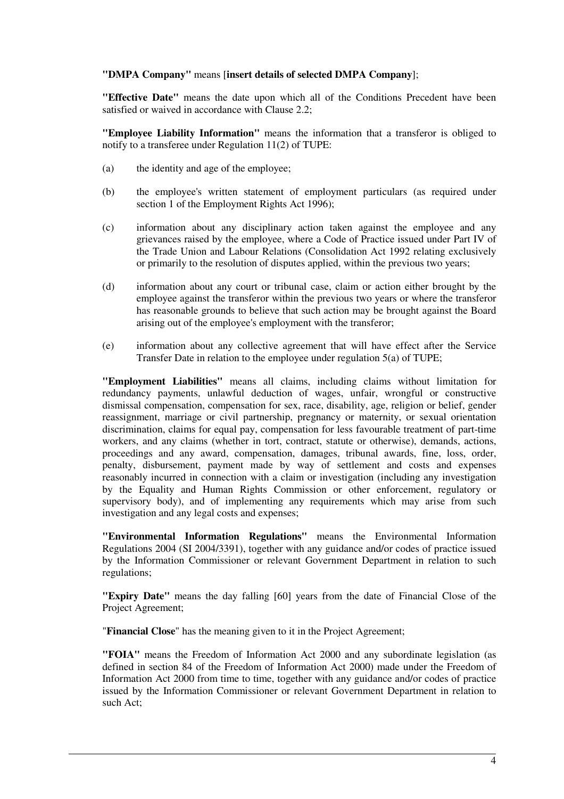#### **"DMPA Company"** means [**insert details of selected DMPA Company**];

**"Effective Date"** means the date upon which all of the Conditions Precedent have been satisfied or waived in accordance with Clause 2.2;

**"Employee Liability Information"** means the information that a transferor is obliged to notify to a transferee under Regulation 11(2) of TUPE:

- (a) the identity and age of the employee;
- (b) the employee's written statement of employment particulars (as required under section 1 of the Employment Rights Act 1996):
- (c) information about any disciplinary action taken against the employee and any grievances raised by the employee, where a Code of Practice issued under Part IV of the Trade Union and Labour Relations (Consolidation Act 1992 relating exclusively or primarily to the resolution of disputes applied, within the previous two years;
- (d) information about any court or tribunal case, claim or action either brought by the employee against the transferor within the previous two years or where the transferor has reasonable grounds to believe that such action may be brought against the Board arising out of the employee's employment with the transferor;
- (e) information about any collective agreement that will have effect after the Service Transfer Date in relation to the employee under regulation 5(a) of TUPE;

**"Employment Liabilities"** means all claims, including claims without limitation for redundancy payments, unlawful deduction of wages, unfair, wrongful or constructive dismissal compensation, compensation for sex, race, disability, age, religion or belief, gender reassignment, marriage or civil partnership, pregnancy or maternity, or sexual orientation discrimination, claims for equal pay, compensation for less favourable treatment of part-time workers, and any claims (whether in tort, contract, statute or otherwise), demands, actions, proceedings and any award, compensation, damages, tribunal awards, fine, loss, order, penalty, disbursement, payment made by way of settlement and costs and expenses reasonably incurred in connection with a claim or investigation (including any investigation by the Equality and Human Rights Commission or other enforcement, regulatory or supervisory body), and of implementing any requirements which may arise from such investigation and any legal costs and expenses;

**"Environmental Information Regulations"** means the Environmental Information Regulations 2004 (SI 2004/3391), together with any guidance and/or codes of practice issued by the Information Commissioner or relevant Government Department in relation to such regulations;

**"Expiry Date"** means the day falling [60] years from the date of Financial Close of the Project Agreement;

"**Financial Close**" has the meaning given to it in the Project Agreement;

**"FOIA"** means the Freedom of Information Act 2000 and any subordinate legislation (as defined in section 84 of the Freedom of Information Act 2000) made under the Freedom of Information Act 2000 from time to time, together with any guidance and/or codes of practice issued by the Information Commissioner or relevant Government Department in relation to such Act;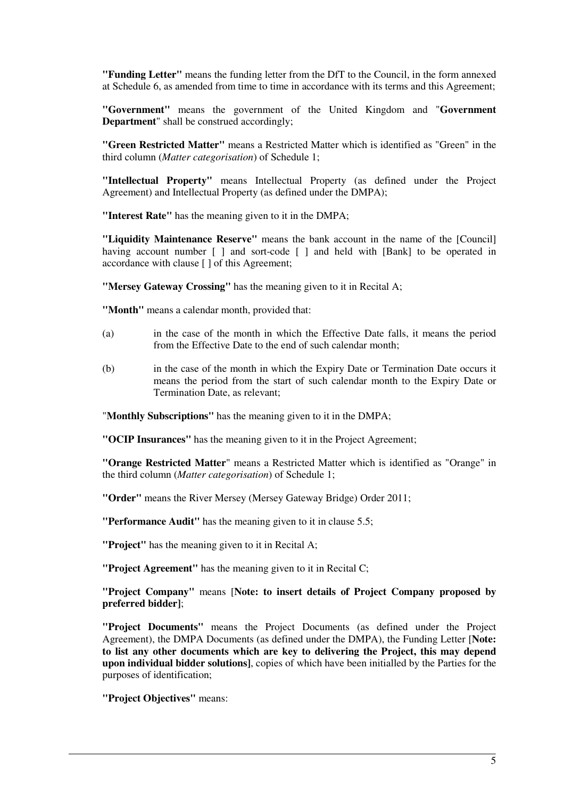**"Funding Letter"** means the funding letter from the DfT to the Council, in the form annexed at Schedule 6, as amended from time to time in accordance with its terms and this Agreement;

**"Government"** means the government of the United Kingdom and "**Government Department**" shall be construed accordingly;

**"Green Restricted Matter"** means a Restricted Matter which is identified as "Green" in the third column (*Matter categorisation*) of Schedule 1;

**"Intellectual Property"** means Intellectual Property (as defined under the Project Agreement) and Intellectual Property (as defined under the DMPA);

**"Interest Rate"** has the meaning given to it in the DMPA;

**"Liquidity Maintenance Reserve"** means the bank account in the name of the [Council] having account number  $\lceil \cdot \rceil$  and sort-code  $\lceil \cdot \rceil$  and held with [Bank] to be operated in accordance with clause [ ] of this Agreement;

**"Mersey Gateway Crossing"** has the meaning given to it in Recital A;

**"Month"** means a calendar month, provided that:

- (a) in the case of the month in which the Effective Date falls, it means the period from the Effective Date to the end of such calendar month;
- (b) in the case of the month in which the Expiry Date or Termination Date occurs it means the period from the start of such calendar month to the Expiry Date or Termination Date, as relevant;

"**Monthly Subscriptions"** has the meaning given to it in the DMPA;

**"OCIP Insurances"** has the meaning given to it in the Project Agreement;

**"Orange Restricted Matter**" means a Restricted Matter which is identified as "Orange" in the third column (*Matter categorisation*) of Schedule 1;

**"Order"** means the River Mersey (Mersey Gateway Bridge) Order 2011;

**"Performance Audit"** has the meaning given to it in clause 5.5;

**"Project"** has the meaning given to it in Recital A;

**"Project Agreement"** has the meaning given to it in Recital C;

**"Project Company"** means [**Note: to insert details of Project Company proposed by preferred bidder]**;

**"Project Documents"** means the Project Documents (as defined under the Project Agreement), the DMPA Documents (as defined under the DMPA), the Funding Letter [**Note: to list any other documents which are key to delivering the Project, this may depend upon individual bidder solutions]**, copies of which have been initialled by the Parties for the purposes of identification;

**"Project Objectives"** means: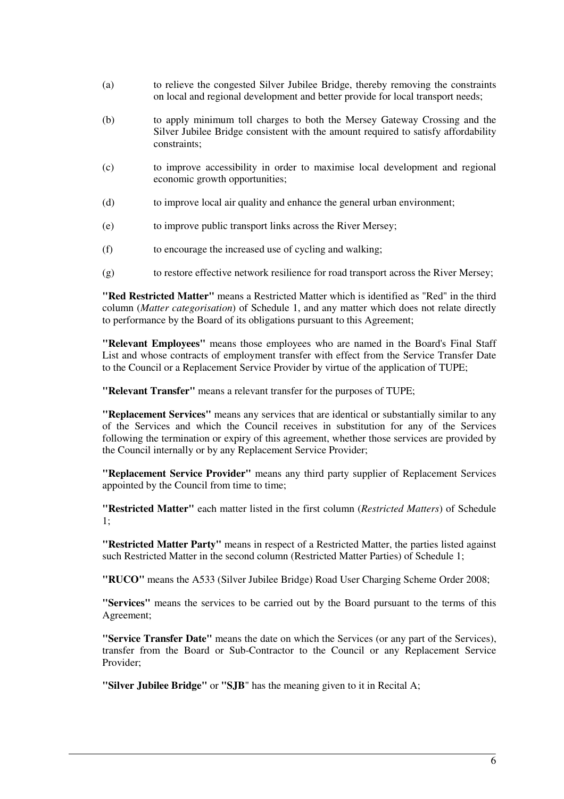- (a) to relieve the congested Silver Jubilee Bridge, thereby removing the constraints on local and regional development and better provide for local transport needs;
- (b) to apply minimum toll charges to both the Mersey Gateway Crossing and the Silver Jubilee Bridge consistent with the amount required to satisfy affordability constraints;
- (c) to improve accessibility in order to maximise local development and regional economic growth opportunities;
- (d) to improve local air quality and enhance the general urban environment;
- (e) to improve public transport links across the River Mersey;
- (f) to encourage the increased use of cycling and walking;
- (g) to restore effective network resilience for road transport across the River Mersey;

**"Red Restricted Matter"** means a Restricted Matter which is identified as "Red" in the third column (*Matter categorisation*) of Schedule 1, and any matter which does not relate directly to performance by the Board of its obligations pursuant to this Agreement;

**"Relevant Employees"** means those employees who are named in the Board's Final Staff List and whose contracts of employment transfer with effect from the Service Transfer Date to the Council or a Replacement Service Provider by virtue of the application of TUPE;

**"Relevant Transfer"** means a relevant transfer for the purposes of TUPE;

**"Replacement Services"** means any services that are identical or substantially similar to any of the Services and which the Council receives in substitution for any of the Services following the termination or expiry of this agreement, whether those services are provided by the Council internally or by any Replacement Service Provider;

**"Replacement Service Provider"** means any third party supplier of Replacement Services appointed by the Council from time to time;

**"Restricted Matter"** each matter listed in the first column (*Restricted Matters*) of Schedule 1;

**"Restricted Matter Party"** means in respect of a Restricted Matter, the parties listed against such Restricted Matter in the second column (Restricted Matter Parties) of Schedule 1;

**"RUCO"** means the A533 (Silver Jubilee Bridge) Road User Charging Scheme Order 2008;

**"Services"** means the services to be carried out by the Board pursuant to the terms of this Agreement;

**"Service Transfer Date"** means the date on which the Services (or any part of the Services), transfer from the Board or Sub-Contractor to the Council or any Replacement Service Provider;

**"Silver Jubilee Bridge"** or **"SJB**" has the meaning given to it in Recital A;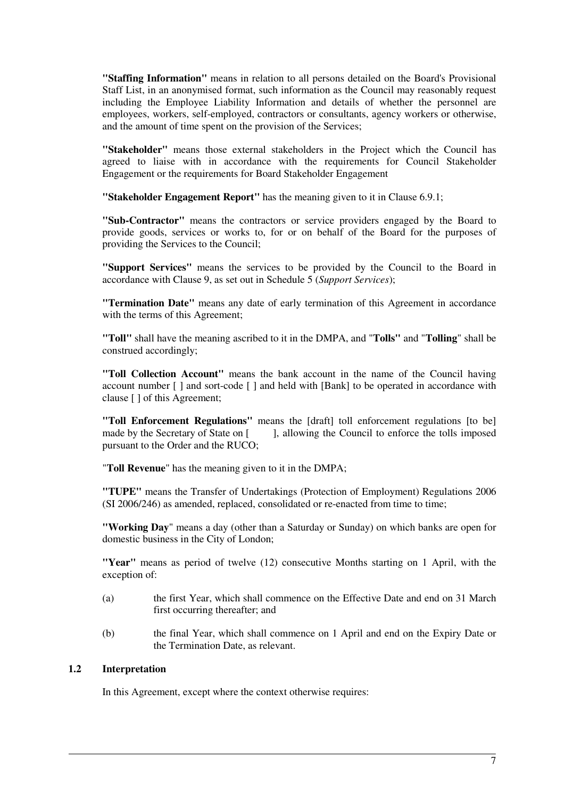**"Staffing Information"** means in relation to all persons detailed on the Board's Provisional Staff List, in an anonymised format, such information as the Council may reasonably request including the Employee Liability Information and details of whether the personnel are employees, workers, self-employed, contractors or consultants, agency workers or otherwise, and the amount of time spent on the provision of the Services;

**"Stakeholder"** means those external stakeholders in the Project which the Council has agreed to liaise with in accordance with the requirements for Council Stakeholder Engagement or the requirements for Board Stakeholder Engagement

**"Stakeholder Engagement Report"** has the meaning given to it in Clause 6.9.1;

**"Sub-Contractor"** means the contractors or service providers engaged by the Board to provide goods, services or works to, for or on behalf of the Board for the purposes of providing the Services to the Council;

**"Support Services"** means the services to be provided by the Council to the Board in accordance with Clause 9, as set out in Schedule 5 (*Support Services*);

**"Termination Date"** means any date of early termination of this Agreement in accordance with the terms of this Agreement;

**"Toll"** shall have the meaning ascribed to it in the DMPA, and "**Tolls"** and "**Tolling**" shall be construed accordingly;

**"Toll Collection Account"** means the bank account in the name of the Council having account number [ ] and sort-code [ ] and held with [Bank] to be operated in accordance with clause [ ] of this Agreement;

**"Toll Enforcement Regulations"** means the [draft] toll enforcement regulations [to be] made by the Secretary of State on [ ], allowing the Council to enforce the tolls imposed pursuant to the Order and the RUCO;

"**Toll Revenue**" has the meaning given to it in the DMPA;

**"TUPE"** means the Transfer of Undertakings (Protection of Employment) Regulations 2006 (SI 2006/246) as amended, replaced, consolidated or re-enacted from time to time;

**"Working Day**" means a day (other than a Saturday or Sunday) on which banks are open for domestic business in the City of London;

**"Year"** means as period of twelve (12) consecutive Months starting on 1 April, with the exception of:

- (a) the first Year, which shall commence on the Effective Date and end on 31 March first occurring thereafter; and
- (b) the final Year, which shall commence on 1 April and end on the Expiry Date or the Termination Date, as relevant.

## **1.2 Interpretation**

In this Agreement, except where the context otherwise requires: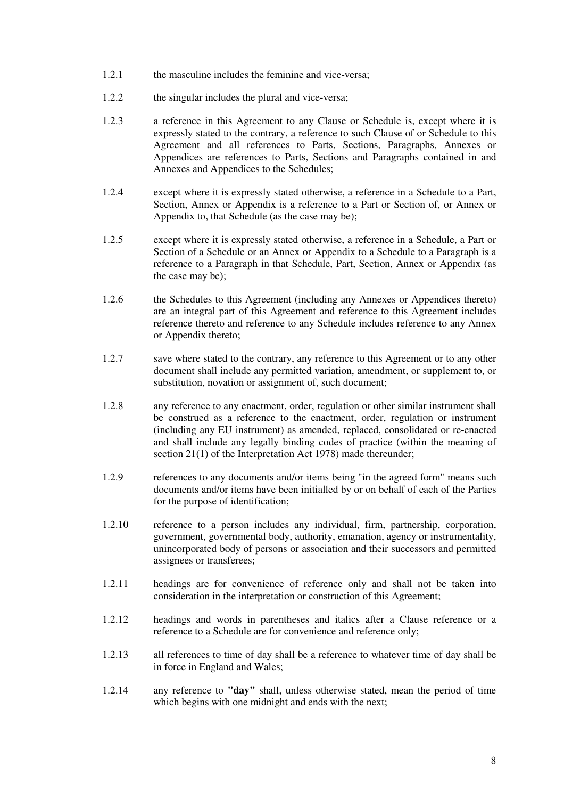- 1.2.1 the masculine includes the feminine and vice-versa;
- 1.2.2 the singular includes the plural and vice-versa;
- 1.2.3 a reference in this Agreement to any Clause or Schedule is, except where it is expressly stated to the contrary, a reference to such Clause of or Schedule to this Agreement and all references to Parts, Sections, Paragraphs, Annexes or Appendices are references to Parts, Sections and Paragraphs contained in and Annexes and Appendices to the Schedules;
- 1.2.4 except where it is expressly stated otherwise, a reference in a Schedule to a Part, Section, Annex or Appendix is a reference to a Part or Section of, or Annex or Appendix to, that Schedule (as the case may be);
- 1.2.5 except where it is expressly stated otherwise, a reference in a Schedule, a Part or Section of a Schedule or an Annex or Appendix to a Schedule to a Paragraph is a reference to a Paragraph in that Schedule, Part, Section, Annex or Appendix (as the case may be);
- 1.2.6 the Schedules to this Agreement (including any Annexes or Appendices thereto) are an integral part of this Agreement and reference to this Agreement includes reference thereto and reference to any Schedule includes reference to any Annex or Appendix thereto;
- 1.2.7 save where stated to the contrary, any reference to this Agreement or to any other document shall include any permitted variation, amendment, or supplement to, or substitution, novation or assignment of, such document;
- 1.2.8 any reference to any enactment, order, regulation or other similar instrument shall be construed as a reference to the enactment, order, regulation or instrument (including any EU instrument) as amended, replaced, consolidated or re-enacted and shall include any legally binding codes of practice (within the meaning of section 21(1) of the Interpretation Act 1978) made thereunder;
- 1.2.9 references to any documents and/or items being "in the agreed form" means such documents and/or items have been initialled by or on behalf of each of the Parties for the purpose of identification;
- 1.2.10 reference to a person includes any individual, firm, partnership, corporation, government, governmental body, authority, emanation, agency or instrumentality, unincorporated body of persons or association and their successors and permitted assignees or transferees;
- 1.2.11 headings are for convenience of reference only and shall not be taken into consideration in the interpretation or construction of this Agreement;
- 1.2.12 headings and words in parentheses and italics after a Clause reference or a reference to a Schedule are for convenience and reference only;
- 1.2.13 all references to time of day shall be a reference to whatever time of day shall be in force in England and Wales;
- 1.2.14 any reference to **"day"** shall, unless otherwise stated, mean the period of time which begins with one midnight and ends with the next;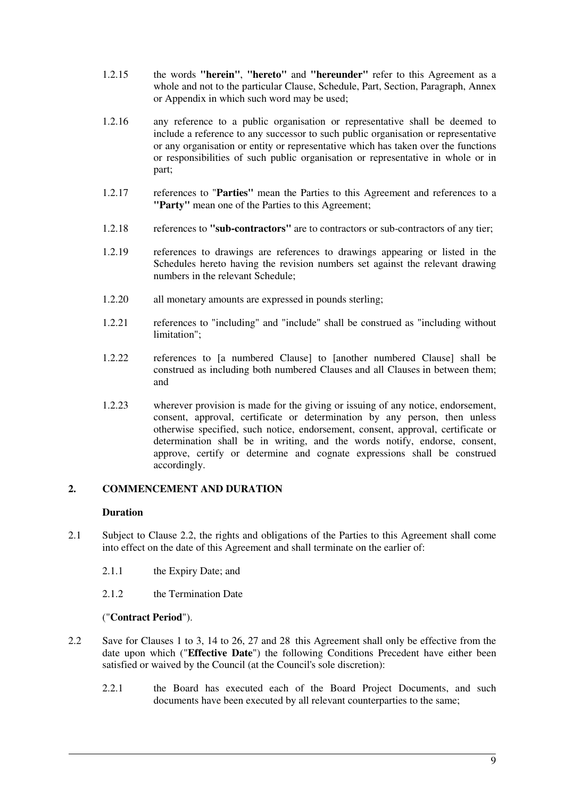- 1.2.15 the words **"herein"**, **"hereto"** and **"hereunder"** refer to this Agreement as a whole and not to the particular Clause, Schedule, Part, Section, Paragraph, Annex or Appendix in which such word may be used;
- 1.2.16 any reference to a public organisation or representative shall be deemed to include a reference to any successor to such public organisation or representative or any organisation or entity or representative which has taken over the functions or responsibilities of such public organisation or representative in whole or in part;
- 1.2.17 references to "**Parties"** mean the Parties to this Agreement and references to a **"Party"** mean one of the Parties to this Agreement;
- 1.2.18 references to **"sub-contractors"** are to contractors or sub-contractors of any tier;
- 1.2.19 references to drawings are references to drawings appearing or listed in the Schedules hereto having the revision numbers set against the relevant drawing numbers in the relevant Schedule;
- 1.2.20 all monetary amounts are expressed in pounds sterling;
- 1.2.21 references to "including" and "include" shall be construed as "including without limitation";
- 1.2.22 references to [a numbered Clause] to [another numbered Clause] shall be construed as including both numbered Clauses and all Clauses in between them; and
- 1.2.23 wherever provision is made for the giving or issuing of any notice, endorsement, consent, approval, certificate or determination by any person, then unless otherwise specified, such notice, endorsement, consent, approval, certificate or determination shall be in writing, and the words notify, endorse, consent, approve, certify or determine and cognate expressions shall be construed accordingly.

## **2. COMMENCEMENT AND DURATION**

#### **Duration**

- 2.1 Subject to Clause 2.2, the rights and obligations of the Parties to this Agreement shall come into effect on the date of this Agreement and shall terminate on the earlier of:
	- 2.1.1 the Expiry Date; and
	- 2.1.2 the Termination Date

#### ("**Contract Period**").

- 2.2 Save for Clauses 1 to 3, 14 to 26, 27 and 28 this Agreement shall only be effective from the date upon which ("**Effective Date**") the following Conditions Precedent have either been satisfied or waived by the Council (at the Council's sole discretion):
	- 2.2.1 the Board has executed each of the Board Project Documents, and such documents have been executed by all relevant counterparties to the same;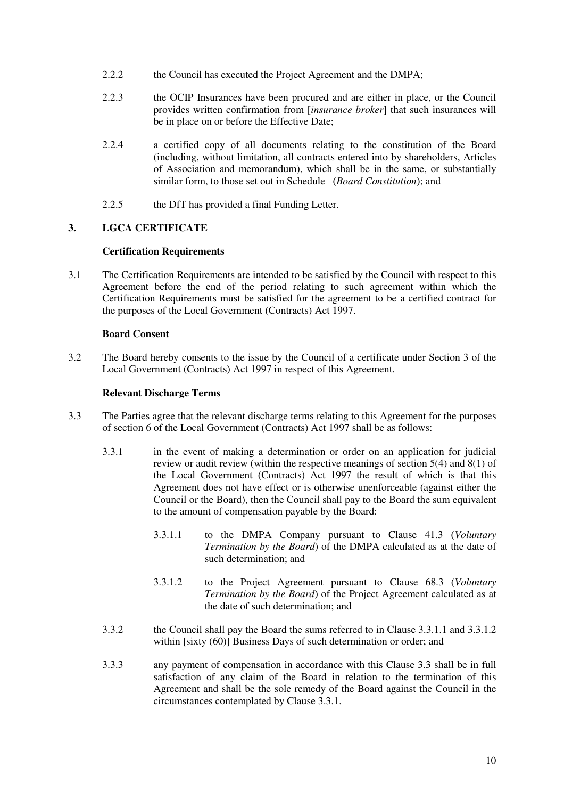- 2.2.2 the Council has executed the Project Agreement and the DMPA;
- 2.2.3 the OCIP Insurances have been procured and are either in place, or the Council provides written confirmation from [*insurance broker*] that such insurances will be in place on or before the Effective Date;
- 2.2.4 a certified copy of all documents relating to the constitution of the Board (including, without limitation, all contracts entered into by shareholders, Articles of Association and memorandum), which shall be in the same, or substantially similar form, to those set out in Schedule (*Board Constitution*); and
- 2.2.5 the DfT has provided a final Funding Letter.

## **3. LGCA CERTIFICATE**

## **Certification Requirements**

3.1 The Certification Requirements are intended to be satisfied by the Council with respect to this Agreement before the end of the period relating to such agreement within which the Certification Requirements must be satisfied for the agreement to be a certified contract for the purposes of the Local Government (Contracts) Act 1997.

## **Board Consent**

3.2 The Board hereby consents to the issue by the Council of a certificate under Section 3 of the Local Government (Contracts) Act 1997 in respect of this Agreement.

## **Relevant Discharge Terms**

- 3.3 The Parties agree that the relevant discharge terms relating to this Agreement for the purposes of section 6 of the Local Government (Contracts) Act 1997 shall be as follows:
	- 3.3.1 in the event of making a determination or order on an application for judicial review or audit review (within the respective meanings of section  $5(4)$  and  $8(1)$  of the Local Government (Contracts) Act 1997 the result of which is that this Agreement does not have effect or is otherwise unenforceable (against either the Council or the Board), then the Council shall pay to the Board the sum equivalent to the amount of compensation payable by the Board:
		- 3.3.1.1 to the DMPA Company pursuant to Clause 41.3 (*Voluntary Termination by the Board*) of the DMPA calculated as at the date of such determination; and
		- 3.3.1.2 to the Project Agreement pursuant to Clause 68.3 (*Voluntary Termination by the Board*) of the Project Agreement calculated as at the date of such determination; and
	- 3.3.2 the Council shall pay the Board the sums referred to in Clause 3.3.1.1 and 3.3.1.2 within [sixty  $(60)$ ] Business Days of such determination or order; and
	- 3.3.3 any payment of compensation in accordance with this Clause 3.3 shall be in full satisfaction of any claim of the Board in relation to the termination of this Agreement and shall be the sole remedy of the Board against the Council in the circumstances contemplated by Clause 3.3.1.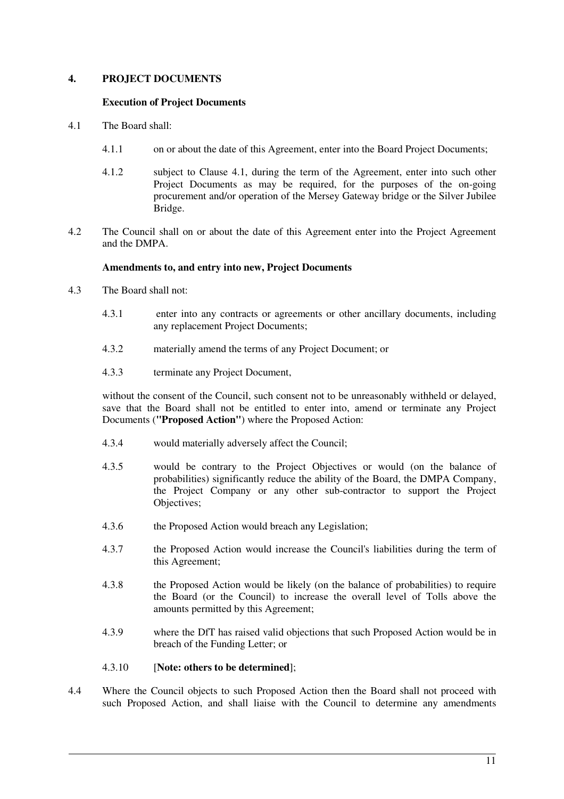## **4. PROJECT DOCUMENTS**

#### **Execution of Project Documents**

- 4.1 The Board shall:
	- 4.1.1 on or about the date of this Agreement, enter into the Board Project Documents;
	- 4.1.2 subject to Clause 4.1, during the term of the Agreement, enter into such other Project Documents as may be required, for the purposes of the on-going procurement and/or operation of the Mersey Gateway bridge or the Silver Jubilee Bridge.
- 4.2 The Council shall on or about the date of this Agreement enter into the Project Agreement and the DMPA.

#### **Amendments to, and entry into new, Project Documents**

- 4.3 The Board shall not:
	- 4.3.1 enter into any contracts or agreements or other ancillary documents, including any replacement Project Documents;
	- 4.3.2 materially amend the terms of any Project Document; or
	- 4.3.3 terminate any Project Document,

without the consent of the Council, such consent not to be unreasonably withheld or delayed, save that the Board shall not be entitled to enter into, amend or terminate any Project Documents (**"Proposed Action"**) where the Proposed Action:

- 4.3.4 would materially adversely affect the Council;
- 4.3.5 would be contrary to the Project Objectives or would (on the balance of probabilities) significantly reduce the ability of the Board, the DMPA Company, the Project Company or any other sub-contractor to support the Project Objectives;
- 4.3.6 the Proposed Action would breach any Legislation;
- 4.3.7 the Proposed Action would increase the Council's liabilities during the term of this Agreement;
- 4.3.8 the Proposed Action would be likely (on the balance of probabilities) to require the Board (or the Council) to increase the overall level of Tolls above the amounts permitted by this Agreement;
- 4.3.9 where the DfT has raised valid objections that such Proposed Action would be in breach of the Funding Letter; or

#### 4.3.10 [**Note: others to be determined**];

4.4 Where the Council objects to such Proposed Action then the Board shall not proceed with such Proposed Action, and shall liaise with the Council to determine any amendments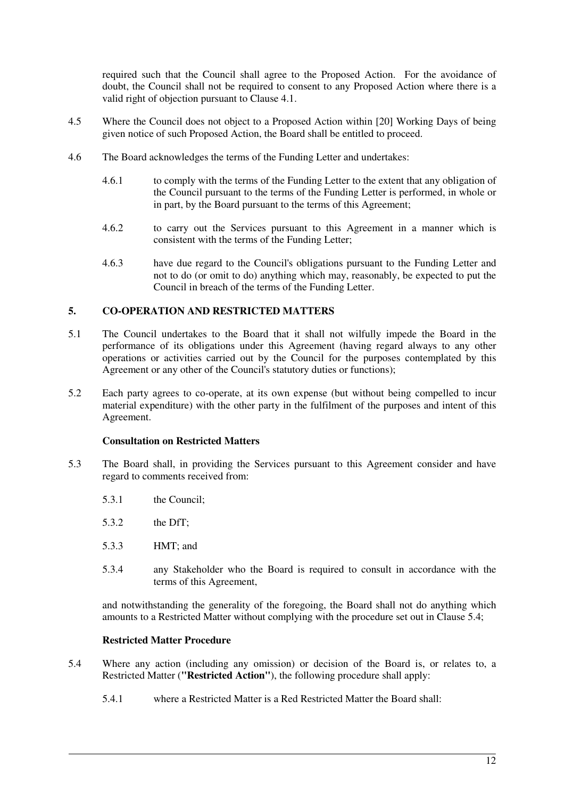required such that the Council shall agree to the Proposed Action. For the avoidance of doubt, the Council shall not be required to consent to any Proposed Action where there is a valid right of objection pursuant to Clause 4.1.

- 4.5 Where the Council does not object to a Proposed Action within [20] Working Days of being given notice of such Proposed Action, the Board shall be entitled to proceed.
- 4.6 The Board acknowledges the terms of the Funding Letter and undertakes:
	- 4.6.1 to comply with the terms of the Funding Letter to the extent that any obligation of the Council pursuant to the terms of the Funding Letter is performed, in whole or in part, by the Board pursuant to the terms of this Agreement;
	- 4.6.2 to carry out the Services pursuant to this Agreement in a manner which is consistent with the terms of the Funding Letter;
	- 4.6.3 have due regard to the Council's obligations pursuant to the Funding Letter and not to do (or omit to do) anything which may, reasonably, be expected to put the Council in breach of the terms of the Funding Letter.

## **5. CO-OPERATION AND RESTRICTED MATTERS**

- 5.1 The Council undertakes to the Board that it shall not wilfully impede the Board in the performance of its obligations under this Agreement (having regard always to any other operations or activities carried out by the Council for the purposes contemplated by this Agreement or any other of the Council's statutory duties or functions);
- 5.2 Each party agrees to co-operate, at its own expense (but without being compelled to incur material expenditure) with the other party in the fulfilment of the purposes and intent of this Agreement.

#### **Consultation on Restricted Matters**

- 5.3 The Board shall, in providing the Services pursuant to this Agreement consider and have regard to comments received from:
	- 5.3.1 the Council;
	- 5.3.2 the DfT;
	- 5.3.3 HMT; and
	- 5.3.4 any Stakeholder who the Board is required to consult in accordance with the terms of this Agreement,

and notwithstanding the generality of the foregoing, the Board shall not do anything which amounts to a Restricted Matter without complying with the procedure set out in Clause 5.4;

#### **Restricted Matter Procedure**

- 5.4 Where any action (including any omission) or decision of the Board is, or relates to, a Restricted Matter (**"Restricted Action"**), the following procedure shall apply:
	- 5.4.1 where a Restricted Matter is a Red Restricted Matter the Board shall: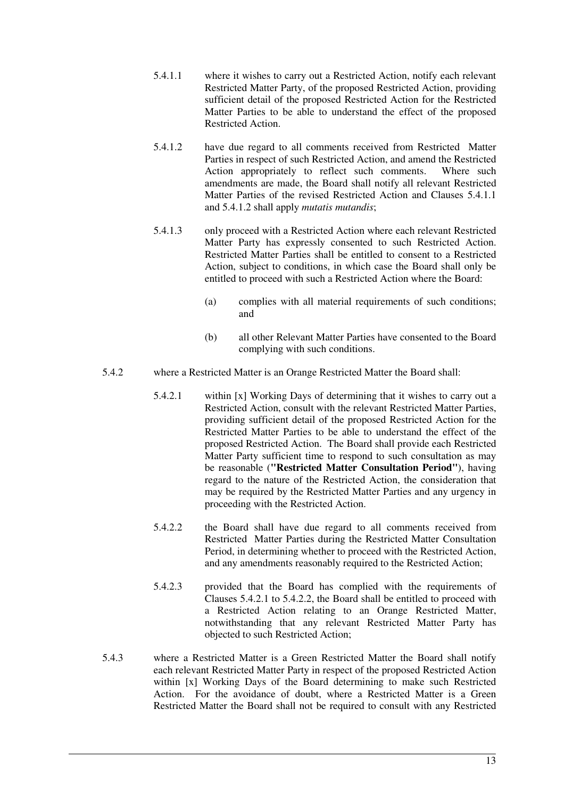- 5.4.1.1 where it wishes to carry out a Restricted Action, notify each relevant Restricted Matter Party, of the proposed Restricted Action, providing sufficient detail of the proposed Restricted Action for the Restricted Matter Parties to be able to understand the effect of the proposed Restricted Action.
- 5.4.1.2 have due regard to all comments received from Restricted Matter Parties in respect of such Restricted Action, and amend the Restricted Action appropriately to reflect such comments. Where such amendments are made, the Board shall notify all relevant Restricted Matter Parties of the revised Restricted Action and Clauses 5.4.1.1. and 5.4.1.2 shall apply *mutatis mutandis*;
- 5.4.1.3 only proceed with a Restricted Action where each relevant Restricted Matter Party has expressly consented to such Restricted Action. Restricted Matter Parties shall be entitled to consent to a Restricted Action, subject to conditions, in which case the Board shall only be entitled to proceed with such a Restricted Action where the Board:
	- (a) complies with all material requirements of such conditions; and
	- (b) all other Relevant Matter Parties have consented to the Board complying with such conditions.
- 5.4.2 where a Restricted Matter is an Orange Restricted Matter the Board shall:
	- 5.4.2.1 within [x] Working Days of determining that it wishes to carry out a Restricted Action, consult with the relevant Restricted Matter Parties, providing sufficient detail of the proposed Restricted Action for the Restricted Matter Parties to be able to understand the effect of the proposed Restricted Action. The Board shall provide each Restricted Matter Party sufficient time to respond to such consultation as may be reasonable (**"Restricted Matter Consultation Period"**), having regard to the nature of the Restricted Action, the consideration that may be required by the Restricted Matter Parties and any urgency in proceeding with the Restricted Action.
	- 5.4.2.2 the Board shall have due regard to all comments received from Restricted Matter Parties during the Restricted Matter Consultation Period, in determining whether to proceed with the Restricted Action, and any amendments reasonably required to the Restricted Action;
	- 5.4.2.3 provided that the Board has complied with the requirements of Clauses 5.4.2.1 to 5.4.2.2, the Board shall be entitled to proceed with a Restricted Action relating to an Orange Restricted Matter, notwithstanding that any relevant Restricted Matter Party has objected to such Restricted Action;
- 5.4.3 where a Restricted Matter is a Green Restricted Matter the Board shall notify each relevant Restricted Matter Party in respect of the proposed Restricted Action within [x] Working Days of the Board determining to make such Restricted Action. For the avoidance of doubt, where a Restricted Matter is a Green Restricted Matter the Board shall not be required to consult with any Restricted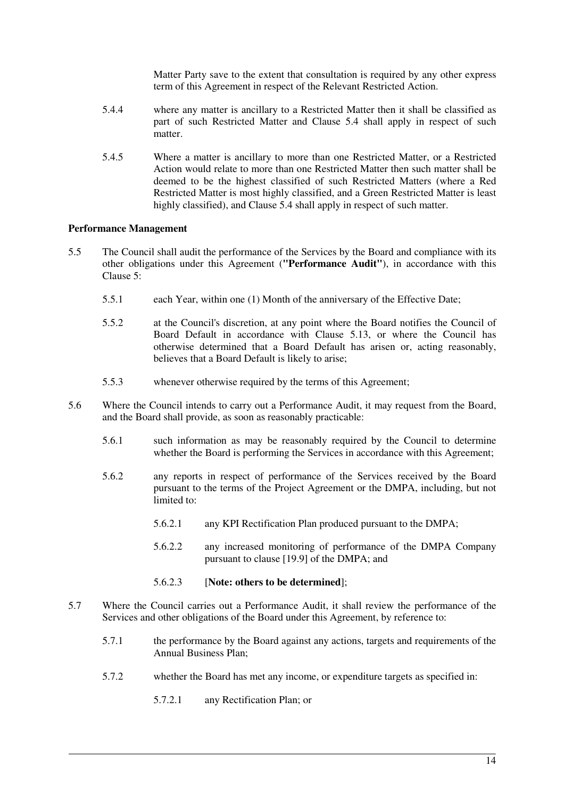Matter Party save to the extent that consultation is required by any other express term of this Agreement in respect of the Relevant Restricted Action.

- 5.4.4 where any matter is ancillary to a Restricted Matter then it shall be classified as part of such Restricted Matter and Clause 5.4 shall apply in respect of such matter.
- 5.4.5 Where a matter is ancillary to more than one Restricted Matter, or a Restricted Action would relate to more than one Restricted Matter then such matter shall be deemed to be the highest classified of such Restricted Matters (where a Red Restricted Matter is most highly classified, and a Green Restricted Matter is least highly classified), and Clause 5.4 shall apply in respect of such matter.

## **Performance Management**

- 5.5 The Council shall audit the performance of the Services by the Board and compliance with its other obligations under this Agreement (**"Performance Audit"**), in accordance with this Clause 5:
	- 5.5.1 each Year, within one (1) Month of the anniversary of the Effective Date;
	- 5.5.2 at the Council's discretion, at any point where the Board notifies the Council of Board Default in accordance with Clause 5.13, or where the Council has otherwise determined that a Board Default has arisen or, acting reasonably, believes that a Board Default is likely to arise;
	- 5.5.3 whenever otherwise required by the terms of this Agreement;
- 5.6 Where the Council intends to carry out a Performance Audit, it may request from the Board, and the Board shall provide, as soon as reasonably practicable:
	- 5.6.1 such information as may be reasonably required by the Council to determine whether the Board is performing the Services in accordance with this Agreement;
	- 5.6.2 any reports in respect of performance of the Services received by the Board pursuant to the terms of the Project Agreement or the DMPA, including, but not limited to:
		- 5.6.2.1 any KPI Rectification Plan produced pursuant to the DMPA;
		- 5.6.2.2 any increased monitoring of performance of the DMPA Company pursuant to clause [19.9] of the DMPA; and
		- 5.6.2.3 [**Note: others to be determined**];
- 5.7 Where the Council carries out a Performance Audit, it shall review the performance of the Services and other obligations of the Board under this Agreement, by reference to:
	- 5.7.1 the performance by the Board against any actions, targets and requirements of the Annual Business Plan;
	- 5.7.2 whether the Board has met any income, or expenditure targets as specified in:
		- 5.7.2.1 any Rectification Plan; or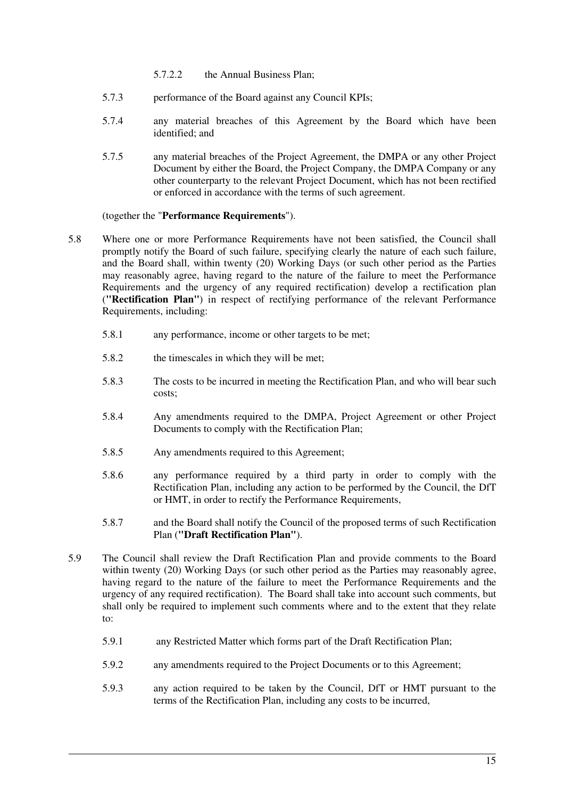- 5.7.2.2 the Annual Business Plan;
- 5.7.3 performance of the Board against any Council KPIs;
- 5.7.4 any material breaches of this Agreement by the Board which have been identified; and
- 5.7.5 any material breaches of the Project Agreement, the DMPA or any other Project Document by either the Board, the Project Company, the DMPA Company or any other counterparty to the relevant Project Document, which has not been rectified or enforced in accordance with the terms of such agreement.

## (together the "**Performance Requirements**").

- 5.8 Where one or more Performance Requirements have not been satisfied, the Council shall promptly notify the Board of such failure, specifying clearly the nature of each such failure, and the Board shall, within twenty (20) Working Days (or such other period as the Parties may reasonably agree, having regard to the nature of the failure to meet the Performance Requirements and the urgency of any required rectification) develop a rectification plan (**"Rectification Plan"**) in respect of rectifying performance of the relevant Performance Requirements, including:
	- 5.8.1 any performance, income or other targets to be met;
	- 5.8.2 the timescales in which they will be met;
	- 5.8.3 The costs to be incurred in meeting the Rectification Plan, and who will bear such costs;
	- 5.8.4 Any amendments required to the DMPA, Project Agreement or other Project Documents to comply with the Rectification Plan;
	- 5.8.5 Any amendments required to this Agreement;
	- 5.8.6 any performance required by a third party in order to comply with the Rectification Plan, including any action to be performed by the Council, the DfT or HMT, in order to rectify the Performance Requirements,
	- 5.8.7 and the Board shall notify the Council of the proposed terms of such Rectification Plan (**"Draft Rectification Plan"**).
- 5.9 The Council shall review the Draft Rectification Plan and provide comments to the Board within twenty (20) Working Days (or such other period as the Parties may reasonably agree, having regard to the nature of the failure to meet the Performance Requirements and the urgency of any required rectification). The Board shall take into account such comments, but shall only be required to implement such comments where and to the extent that they relate to:
	- 5.9.1 any Restricted Matter which forms part of the Draft Rectification Plan;
	- 5.9.2 any amendments required to the Project Documents or to this Agreement;
	- 5.9.3 any action required to be taken by the Council, DfT or HMT pursuant to the terms of the Rectification Plan, including any costs to be incurred,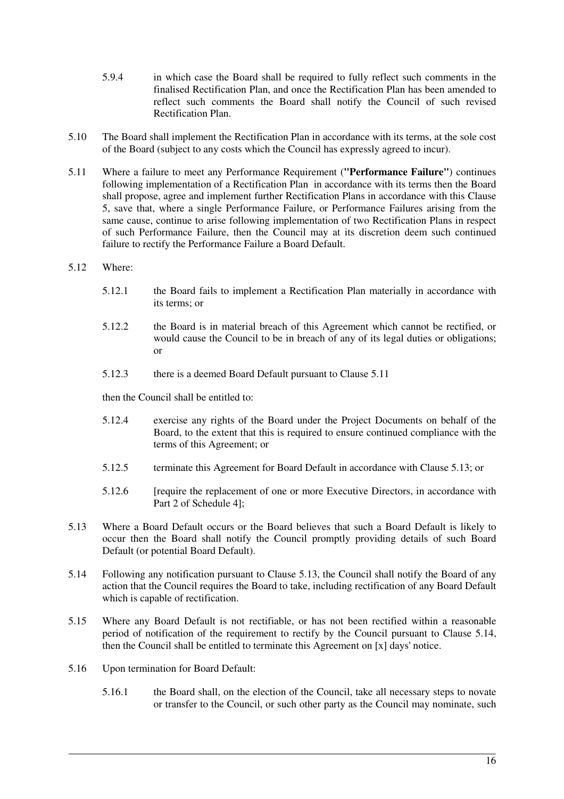- 5.9.4 in which case the Board shall be required to fully reflect such comments in the finalised Rectification Plan, and once the Rectification Plan has been amended to reflect such comments the Board shall notify the Council of such revised Rectification Plan.
- 5.10 The Board shall implement the Rectification Plan in accordance with its terms, at the sole cost of the Board (subject to any costs which the Council has expressly agreed to incur).
- 5.11 Where a failure to meet any Performance Requirement (**"Performance Failure"**) continues following implementation of a Rectification Plan in accordance with its terms then the Board shall propose, agree and implement further Rectification Plans in accordance with this Clause 5, save that, where a single Performance Failure, or Performance Failures arising from the same cause, continue to arise following implementation of two Rectification Plans in respect of such Performance Failure, then the Council may at its discretion deem such continued failure to rectify the Performance Failure a Board Default.
- 5.12 Where:
	- 5.12.1 the Board fails to implement a Rectification Plan materially in accordance with its terms; or
	- 5.12.2 the Board is in material breach of this Agreement which cannot be rectified, or would cause the Council to be in breach of any of its legal duties or obligations; or
	- 5.12.3 there is a deemed Board Default pursuant to Clause 5.11

then the Council shall be entitled to:

- 5.12.4 exercise any rights of the Board under the Project Documents on behalf of the Board, to the extent that this is required to ensure continued compliance with the terms of this Agreement; or
- 5.12.5 terminate this Agreement for Board Default in accordance with Clause 5.13; or
- 5.12.6 [require the replacement of one or more Executive Directors, in accordance with Part 2 of Schedule 4];
- 5.13 Where a Board Default occurs or the Board believes that such a Board Default is likely to occur then the Board shall notify the Council promptly providing details of such Board Default (or potential Board Default).
- 5.14 Following any notification pursuant to Clause 5.13, the Council shall notify the Board of any action that the Council requires the Board to take, including rectification of any Board Default which is capable of rectification.
- 5.15 Where any Board Default is not rectifiable, or has not been rectified within a reasonable period of notification of the requirement to rectify by the Council pursuant to Clause 5.14, then the Council shall be entitled to terminate this Agreement on [x] days' notice.
- 5.16 Upon termination for Board Default:
	- 5.16.1 the Board shall, on the election of the Council, take all necessary steps to novate or transfer to the Council, or such other party as the Council may nominate, such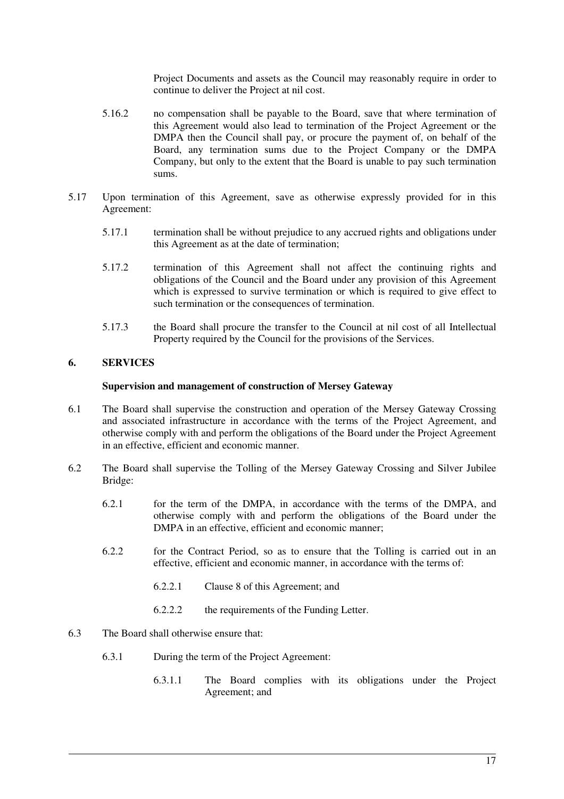Project Documents and assets as the Council may reasonably require in order to continue to deliver the Project at nil cost.

- 5.16.2 no compensation shall be payable to the Board, save that where termination of this Agreement would also lead to termination of the Project Agreement or the DMPA then the Council shall pay, or procure the payment of, on behalf of the Board, any termination sums due to the Project Company or the DMPA Company, but only to the extent that the Board is unable to pay such termination sums.
- 5.17 Upon termination of this Agreement, save as otherwise expressly provided for in this Agreement:
	- 5.17.1 termination shall be without prejudice to any accrued rights and obligations under this Agreement as at the date of termination;
	- 5.17.2 termination of this Agreement shall not affect the continuing rights and obligations of the Council and the Board under any provision of this Agreement which is expressed to survive termination or which is required to give effect to such termination or the consequences of termination.
	- 5.17.3 the Board shall procure the transfer to the Council at nil cost of all Intellectual Property required by the Council for the provisions of the Services.

## **6. SERVICES**

#### **Supervision and management of construction of Mersey Gateway**

- 6.1 The Board shall supervise the construction and operation of the Mersey Gateway Crossing and associated infrastructure in accordance with the terms of the Project Agreement, and otherwise comply with and perform the obligations of the Board under the Project Agreement in an effective, efficient and economic manner.
- 6.2 The Board shall supervise the Tolling of the Mersey Gateway Crossing and Silver Jubilee Bridge:
	- 6.2.1 for the term of the DMPA, in accordance with the terms of the DMPA, and otherwise comply with and perform the obligations of the Board under the DMPA in an effective, efficient and economic manner;
	- 6.2.2 for the Contract Period, so as to ensure that the Tolling is carried out in an effective, efficient and economic manner, in accordance with the terms of:
		- 6.2.2.1 Clause 8 of this Agreement; and
		- 6.2.2.2 the requirements of the Funding Letter.
- 6.3 The Board shall otherwise ensure that:
	- 6.3.1 During the term of the Project Agreement:
		- 6.3.1.1 The Board complies with its obligations under the Project Agreement; and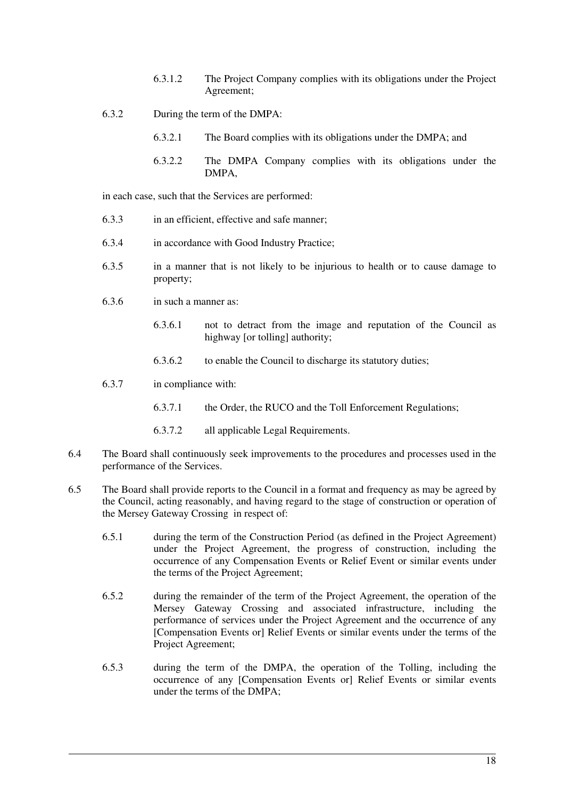- 6.3.1.2 The Project Company complies with its obligations under the Project Agreement;
- 6.3.2 During the term of the DMPA:
	- 6.3.2.1 The Board complies with its obligations under the DMPA; and
	- 6.3.2.2 The DMPA Company complies with its obligations under the DMPA,

in each case, such that the Services are performed:

- 6.3.3 in an efficient, effective and safe manner;
- 6.3.4 in accordance with Good Industry Practice;
- 6.3.5 in a manner that is not likely to be injurious to health or to cause damage to property;
- 6.3.6 in such a manner as:
	- 6.3.6.1 not to detract from the image and reputation of the Council as highway [or tolling] authority;
	- 6.3.6.2 to enable the Council to discharge its statutory duties;
- 6.3.7 in compliance with:
	- 6.3.7.1 the Order, the RUCO and the Toll Enforcement Regulations;
	- 6.3.7.2 all applicable Legal Requirements.
- 6.4 The Board shall continuously seek improvements to the procedures and processes used in the performance of the Services.
- 6.5 The Board shall provide reports to the Council in a format and frequency as may be agreed by the Council, acting reasonably, and having regard to the stage of construction or operation of the Mersey Gateway Crossing in respect of:
	- 6.5.1 during the term of the Construction Period (as defined in the Project Agreement) under the Project Agreement, the progress of construction, including the occurrence of any Compensation Events or Relief Event or similar events under the terms of the Project Agreement;
	- 6.5.2 during the remainder of the term of the Project Agreement, the operation of the Mersey Gateway Crossing and associated infrastructure, including the performance of services under the Project Agreement and the occurrence of any [Compensation Events or] Relief Events or similar events under the terms of the Project Agreement;
	- 6.5.3 during the term of the DMPA, the operation of the Tolling, including the occurrence of any [Compensation Events or] Relief Events or similar events under the terms of the DMPA;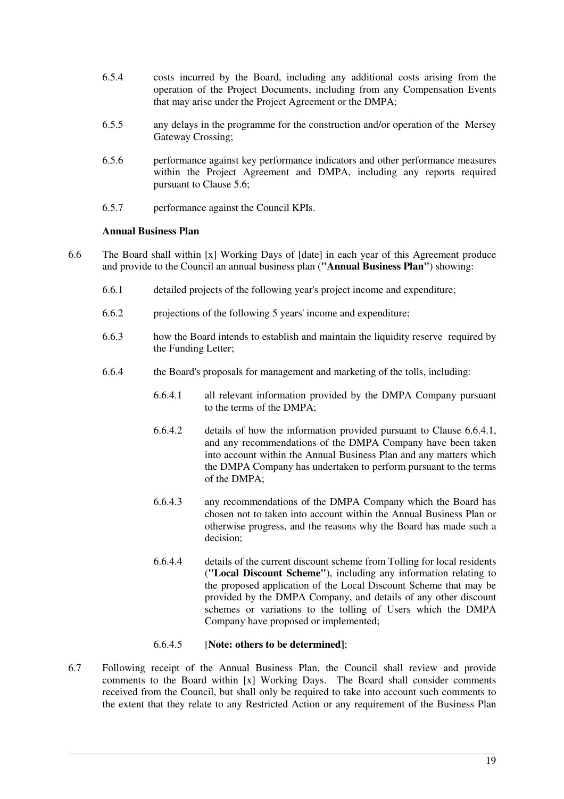- 6.5.4 costs incurred by the Board, including any additional costs arising from the operation of the Project Documents, including from any Compensation Events that may arise under the Project Agreement or the DMPA;
- 6.5.5 any delays in the programme for the construction and/or operation of the Mersey Gateway Crossing:
- 6.5.6 performance against key performance indicators and other performance measures within the Project Agreement and DMPA, including any reports required pursuant to Clause 5.6;
- 6.5.7 performance against the Council KPIs.

## **Annual Business Plan**

- 6.6 The Board shall within [x] Working Days of [date] in each year of this Agreement produce and provide to the Council an annual business plan (**"Annual Business Plan"**) showing:
	- 6.6.1 detailed projects of the following year's project income and expenditure;
	- 6.6.2 projections of the following 5 years' income and expenditure;
	- 6.6.3 how the Board intends to establish and maintain the liquidity reserve required by the Funding Letter;
	- 6.6.4 the Board's proposals for management and marketing of the tolls, including:
		- 6.6.4.1 all relevant information provided by the DMPA Company pursuant to the terms of the DMPA;
		- 6.6.4.2 details of how the information provided pursuant to Clause 6.6.4.1, and any recommendations of the DMPA Company have been taken into account within the Annual Business Plan and any matters which the DMPA Company has undertaken to perform pursuant to the terms of the DMPA;
		- 6.6.4.3 any recommendations of the DMPA Company which the Board has chosen not to taken into account within the Annual Business Plan or otherwise progress, and the reasons why the Board has made such a decision;
		- 6.6.4.4 details of the current discount scheme from Tolling for local residents (**"Local Discount Scheme"**), including any information relating to the proposed application of the Local Discount Scheme that may be provided by the DMPA Company, and details of any other discount schemes or variations to the tolling of Users which the DMPA Company have proposed or implemented;

#### 6.6.4.5 [**Note: others to be determined]**;

6.7 Following receipt of the Annual Business Plan, the Council shall review and provide comments to the Board within [x] Working Days. The Board shall consider comments received from the Council, but shall only be required to take into account such comments to the extent that they relate to any Restricted Action or any requirement of the Business Plan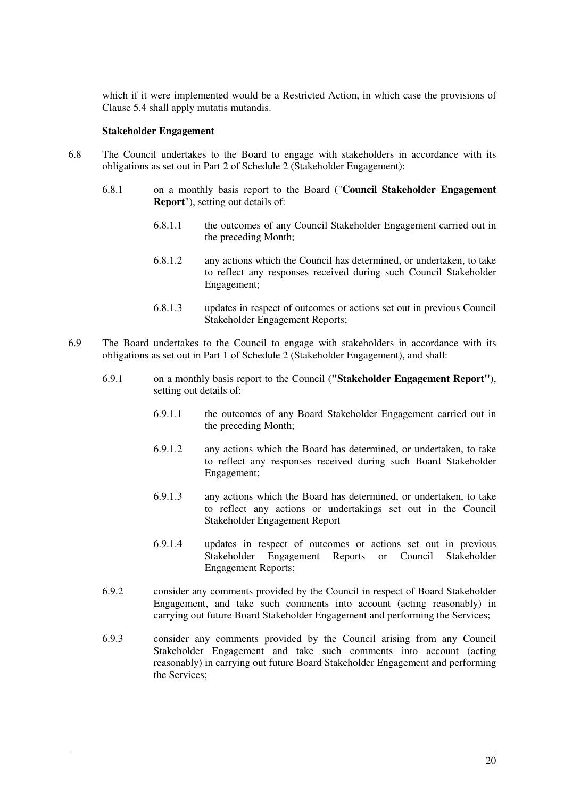which if it were implemented would be a Restricted Action, in which case the provisions of Clause 5.4 shall apply mutatis mutandis.

#### **Stakeholder Engagement**

- 6.8 The Council undertakes to the Board to engage with stakeholders in accordance with its obligations as set out in Part 2 of Schedule 2 (Stakeholder Engagement):
	- 6.8.1 on a monthly basis report to the Board ("**Council Stakeholder Engagement Report**"), setting out details of:
		- 6.8.1.1 the outcomes of any Council Stakeholder Engagement carried out in the preceding Month;
		- 6.8.1.2 any actions which the Council has determined, or undertaken, to take to reflect any responses received during such Council Stakeholder Engagement;
		- 6.8.1.3 updates in respect of outcomes or actions set out in previous Council Stakeholder Engagement Reports;
- 6.9 The Board undertakes to the Council to engage with stakeholders in accordance with its obligations as set out in Part 1 of Schedule 2 (Stakeholder Engagement), and shall:
	- 6.9.1 on a monthly basis report to the Council (**"Stakeholder Engagement Report"**), setting out details of:
		- 6.9.1.1 the outcomes of any Board Stakeholder Engagement carried out in the preceding Month;
		- 6.9.1.2 any actions which the Board has determined, or undertaken, to take to reflect any responses received during such Board Stakeholder Engagement;
		- 6.9.1.3 any actions which the Board has determined, or undertaken, to take to reflect any actions or undertakings set out in the Council Stakeholder Engagement Report
		- 6.9.1.4 updates in respect of outcomes or actions set out in previous Stakeholder Engagement Reports or Council Engagement Reports;
	- 6.9.2 consider any comments provided by the Council in respect of Board Stakeholder Engagement, and take such comments into account (acting reasonably) in carrying out future Board Stakeholder Engagement and performing the Services;
	- 6.9.3 consider any comments provided by the Council arising from any Council Stakeholder Engagement and take such comments into account (acting reasonably) in carrying out future Board Stakeholder Engagement and performing the Services;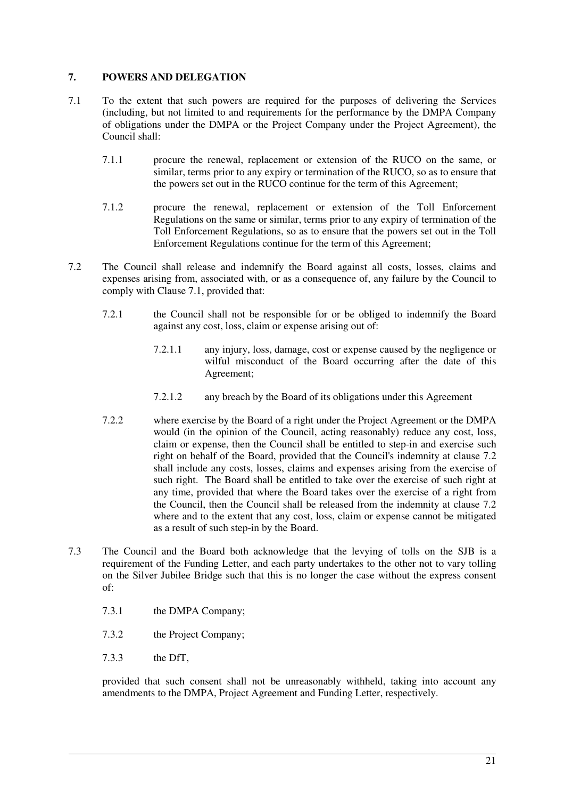## **7. POWERS AND DELEGATION**

- 7.1 To the extent that such powers are required for the purposes of delivering the Services (including, but not limited to and requirements for the performance by the DMPA Company of obligations under the DMPA or the Project Company under the Project Agreement), the Council shall:
	- 7.1.1 procure the renewal, replacement or extension of the RUCO on the same, or similar, terms prior to any expiry or termination of the RUCO, so as to ensure that the powers set out in the RUCO continue for the term of this Agreement;
	- 7.1.2 procure the renewal, replacement or extension of the Toll Enforcement Regulations on the same or similar, terms prior to any expiry of termination of the Toll Enforcement Regulations, so as to ensure that the powers set out in the Toll Enforcement Regulations continue for the term of this Agreement;
- 7.2 The Council shall release and indemnify the Board against all costs, losses, claims and expenses arising from, associated with, or as a consequence of, any failure by the Council to comply with Clause 7.1, provided that:
	- 7.2.1 the Council shall not be responsible for or be obliged to indemnify the Board against any cost, loss, claim or expense arising out of:
		- 7.2.1.1 any injury, loss, damage, cost or expense caused by the negligence or wilful misconduct of the Board occurring after the date of this Agreement;
		- 7.2.1.2 any breach by the Board of its obligations under this Agreement
	- 7.2.2 where exercise by the Board of a right under the Project Agreement or the DMPA would (in the opinion of the Council, acting reasonably) reduce any cost, loss, claim or expense, then the Council shall be entitled to step-in and exercise such right on behalf of the Board, provided that the Council's indemnity at clause 7.2 shall include any costs, losses, claims and expenses arising from the exercise of such right. The Board shall be entitled to take over the exercise of such right at any time, provided that where the Board takes over the exercise of a right from the Council, then the Council shall be released from the indemnity at clause 7.2 where and to the extent that any cost, loss, claim or expense cannot be mitigated as a result of such step-in by the Board.
- 7.3 The Council and the Board both acknowledge that the levying of tolls on the SJB is a requirement of the Funding Letter, and each party undertakes to the other not to vary tolling on the Silver Jubilee Bridge such that this is no longer the case without the express consent of:
	- 7.3.1 the DMPA Company;
	- 7.3.2 the Project Company;
	- 7.3.3 the DfT,

provided that such consent shall not be unreasonably withheld, taking into account any amendments to the DMPA, Project Agreement and Funding Letter, respectively.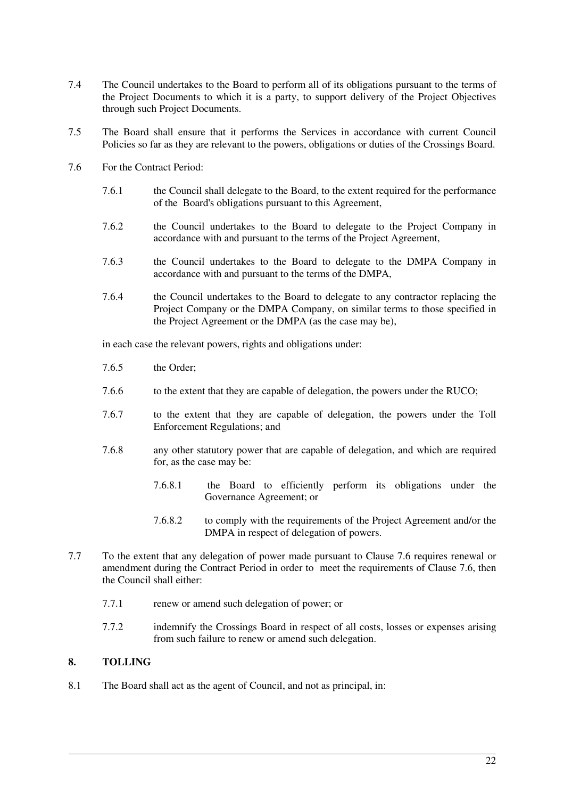- 7.4 The Council undertakes to the Board to perform all of its obligations pursuant to the terms of the Project Documents to which it is a party, to support delivery of the Project Objectives through such Project Documents.
- 7.5 The Board shall ensure that it performs the Services in accordance with current Council Policies so far as they are relevant to the powers, obligations or duties of the Crossings Board.
- 7.6 For the Contract Period:
	- 7.6.1 the Council shall delegate to the Board, to the extent required for the performance of the Board's obligations pursuant to this Agreement,
	- 7.6.2 the Council undertakes to the Board to delegate to the Project Company in accordance with and pursuant to the terms of the Project Agreement,
	- 7.6.3 the Council undertakes to the Board to delegate to the DMPA Company in accordance with and pursuant to the terms of the DMPA,
	- 7.6.4 the Council undertakes to the Board to delegate to any contractor replacing the Project Company or the DMPA Company, on similar terms to those specified in the Project Agreement or the DMPA (as the case may be),

in each case the relevant powers, rights and obligations under:

- 7.6.5 the Order;
- 7.6.6 to the extent that they are capable of delegation, the powers under the RUCO;
- 7.6.7 to the extent that they are capable of delegation, the powers under the Toll Enforcement Regulations; and
- 7.6.8 any other statutory power that are capable of delegation, and which are required for, as the case may be:
	- 7.6.8.1 the Board to efficiently perform its obligations under the Governance Agreement; or
	- 7.6.8.2 to comply with the requirements of the Project Agreement and/or the DMPA in respect of delegation of powers.
- 7.7 To the extent that any delegation of power made pursuant to Clause 7.6 requires renewal or amendment during the Contract Period in order to meet the requirements of Clause 7.6, then the Council shall either:
	- 7.7.1 renew or amend such delegation of power; or
	- 7.7.2 indemnify the Crossings Board in respect of all costs, losses or expenses arising from such failure to renew or amend such delegation.

## **8. TOLLING**

8.1 The Board shall act as the agent of Council, and not as principal, in: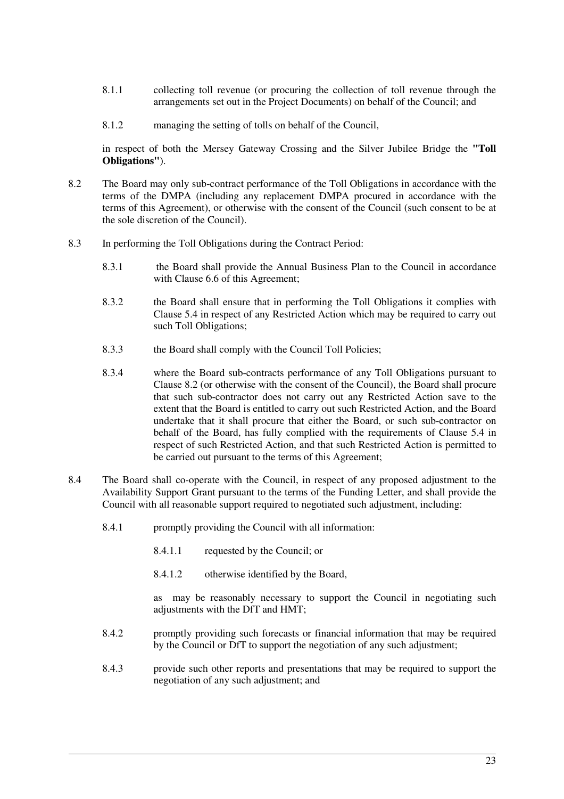- 8.1.1 collecting toll revenue (or procuring the collection of toll revenue through the arrangements set out in the Project Documents) on behalf of the Council; and
- 8.1.2 managing the setting of tolls on behalf of the Council,

in respect of both the Mersey Gateway Crossing and the Silver Jubilee Bridge the **"Toll Obligations"**).

- 8.2 The Board may only sub-contract performance of the Toll Obligations in accordance with the terms of the DMPA (including any replacement DMPA procured in accordance with the terms of this Agreement), or otherwise with the consent of the Council (such consent to be at the sole discretion of the Council).
- 8.3 In performing the Toll Obligations during the Contract Period:
	- 8.3.1 the Board shall provide the Annual Business Plan to the Council in accordance with Clause 6.6 of this Agreement;
	- 8.3.2 the Board shall ensure that in performing the Toll Obligations it complies with Clause 5.4 in respect of any Restricted Action which may be required to carry out such Toll Obligations;
	- 8.3.3 the Board shall comply with the Council Toll Policies;
	- 8.3.4 where the Board sub-contracts performance of any Toll Obligations pursuant to Clause 8.2 (or otherwise with the consent of the Council), the Board shall procure that such sub-contractor does not carry out any Restricted Action save to the extent that the Board is entitled to carry out such Restricted Action, and the Board undertake that it shall procure that either the Board, or such sub-contractor on behalf of the Board, has fully complied with the requirements of Clause 5.4 in respect of such Restricted Action, and that such Restricted Action is permitted to be carried out pursuant to the terms of this Agreement;
- 8.4 The Board shall co-operate with the Council, in respect of any proposed adjustment to the Availability Support Grant pursuant to the terms of the Funding Letter, and shall provide the Council with all reasonable support required to negotiated such adjustment, including:
	- 8.4.1 promptly providing the Council with all information:
		- 8.4.1.1 requested by the Council; or
		- 8.4.1.2 otherwise identified by the Board,

as may be reasonably necessary to support the Council in negotiating such adjustments with the DfT and HMT;

- 8.4.2 promptly providing such forecasts or financial information that may be required by the Council or DfT to support the negotiation of any such adjustment;
- 8.4.3 provide such other reports and presentations that may be required to support the negotiation of any such adjustment; and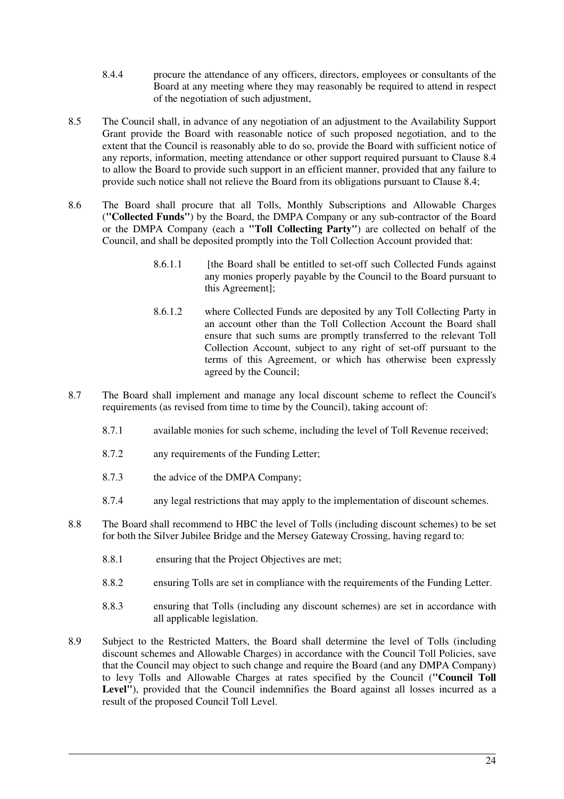- 8.4.4 procure the attendance of any officers, directors, employees or consultants of the Board at any meeting where they may reasonably be required to attend in respect of the negotiation of such adjustment,
- 8.5 The Council shall, in advance of any negotiation of an adjustment to the Availability Support Grant provide the Board with reasonable notice of such proposed negotiation, and to the extent that the Council is reasonably able to do so, provide the Board with sufficient notice of any reports, information, meeting attendance or other support required pursuant to Clause 8.4 to allow the Board to provide such support in an efficient manner, provided that any failure to provide such notice shall not relieve the Board from its obligations pursuant to Clause 8.4;
- 8.6 The Board shall procure that all Tolls, Monthly Subscriptions and Allowable Charges (**"Collected Funds"**) by the Board, the DMPA Company or any sub-contractor of the Board or the DMPA Company (each a **"Toll Collecting Party"**) are collected on behalf of the Council, and shall be deposited promptly into the Toll Collection Account provided that:
	- 8.6.1.1 [the Board shall be entitled to set-off such Collected Funds against any monies properly payable by the Council to the Board pursuant to this Agreement];
	- 8.6.1.2 where Collected Funds are deposited by any Toll Collecting Party in an account other than the Toll Collection Account the Board shall ensure that such sums are promptly transferred to the relevant Toll Collection Account, subject to any right of set-off pursuant to the terms of this Agreement, or which has otherwise been expressly agreed by the Council;
- 8.7 The Board shall implement and manage any local discount scheme to reflect the Council's requirements (as revised from time to time by the Council), taking account of:
	- 8.7.1 available monies for such scheme, including the level of Toll Revenue received;
	- 8.7.2 any requirements of the Funding Letter;
	- 8.7.3 the advice of the DMPA Company;
	- 8.7.4 any legal restrictions that may apply to the implementation of discount schemes.
- 8.8 The Board shall recommend to HBC the level of Tolls (including discount schemes) to be set for both the Silver Jubilee Bridge and the Mersey Gateway Crossing, having regard to:
	- 8.8.1 ensuring that the Project Objectives are met;
	- 8.8.2 ensuring Tolls are set in compliance with the requirements of the Funding Letter.
	- 8.8.3 ensuring that Tolls (including any discount schemes) are set in accordance with all applicable legislation.
- 8.9 Subject to the Restricted Matters, the Board shall determine the level of Tolls (including discount schemes and Allowable Charges) in accordance with the Council Toll Policies, save that the Council may object to such change and require the Board (and any DMPA Company) to levy Tolls and Allowable Charges at rates specified by the Council (**"Council Toll**  Level"), provided that the Council indemnifies the Board against all losses incurred as a result of the proposed Council Toll Level.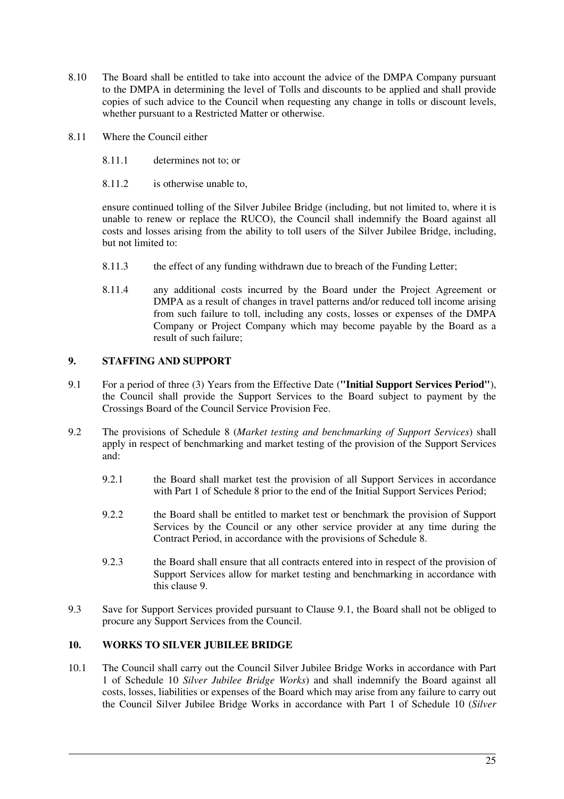- 8.10 The Board shall be entitled to take into account the advice of the DMPA Company pursuant to the DMPA in determining the level of Tolls and discounts to be applied and shall provide copies of such advice to the Council when requesting any change in tolls or discount levels, whether pursuant to a Restricted Matter or otherwise.
- 8.11 Where the Council either
	- 8.11.1 determines not to; or
	- 8.11.2 is otherwise unable to,

ensure continued tolling of the Silver Jubilee Bridge (including, but not limited to, where it is unable to renew or replace the RUCO), the Council shall indemnify the Board against all costs and losses arising from the ability to toll users of the Silver Jubilee Bridge, including, but not limited to:

- 8.11.3 the effect of any funding withdrawn due to breach of the Funding Letter;
- 8.11.4 any additional costs incurred by the Board under the Project Agreement or DMPA as a result of changes in travel patterns and/or reduced toll income arising from such failure to toll, including any costs, losses or expenses of the DMPA Company or Project Company which may become payable by the Board as a result of such failure;

## **9. STAFFING AND SUPPORT**

- 9.1 For a period of three (3) Years from the Effective Date (**"Initial Support Services Period"**), the Council shall provide the Support Services to the Board subject to payment by the Crossings Board of the Council Service Provision Fee.
- 9.2 The provisions of Schedule 8 (*Market testing and benchmarking of Support Services*) shall apply in respect of benchmarking and market testing of the provision of the Support Services and:
	- 9.2.1 the Board shall market test the provision of all Support Services in accordance with Part 1 of Schedule 8 prior to the end of the Initial Support Services Period;
	- 9.2.2 the Board shall be entitled to market test or benchmark the provision of Support Services by the Council or any other service provider at any time during the Contract Period, in accordance with the provisions of Schedule 8.
	- 9.2.3 the Board shall ensure that all contracts entered into in respect of the provision of Support Services allow for market testing and benchmarking in accordance with this clause 9.
- 9.3 Save for Support Services provided pursuant to Clause 9.1, the Board shall not be obliged to procure any Support Services from the Council.

## **10. WORKS TO SILVER JUBILEE BRIDGE**

10.1 The Council shall carry out the Council Silver Jubilee Bridge Works in accordance with Part 1 of Schedule 10 *Silver Jubilee Bridge Works*) and shall indemnify the Board against all costs, losses, liabilities or expenses of the Board which may arise from any failure to carry out the Council Silver Jubilee Bridge Works in accordance with Part 1 of Schedule 10 (*Silver*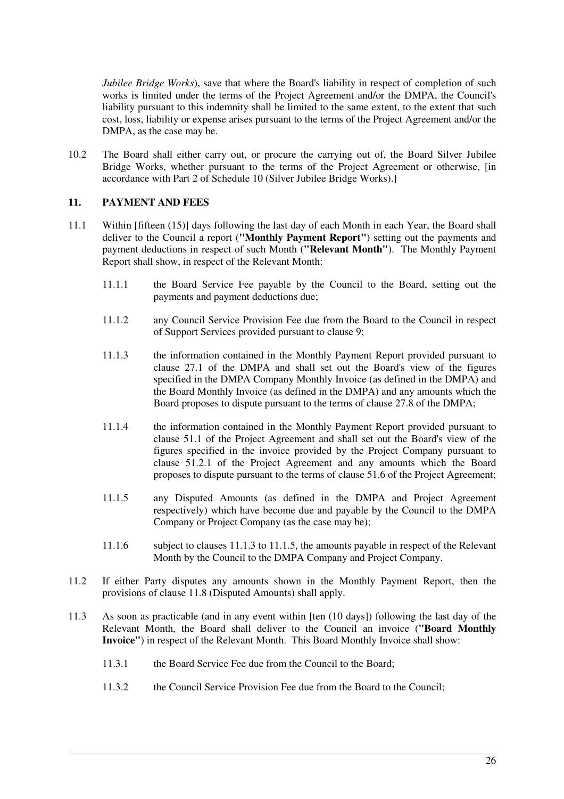*Jubilee Bridge Works*), save that where the Board's liability in respect of completion of such works is limited under the terms of the Project Agreement and/or the DMPA, the Council's liability pursuant to this indemnity shall be limited to the same extent, to the extent that such cost, loss, liability or expense arises pursuant to the terms of the Project Agreement and/or the DMPA, as the case may be.

10.2 The Board shall either carry out, or procure the carrying out of, the Board Silver Jubilee Bridge Works, whether pursuant to the terms of the Project Agreement or otherwise, [in accordance with Part 2 of Schedule 10 (Silver Jubilee Bridge Works).]

## **11. PAYMENT AND FEES**

- 11.1 Within [fifteen (15)] days following the last day of each Month in each Year, the Board shall deliver to the Council a report (**"Monthly Payment Report"**) setting out the payments and payment deductions in respect of such Month (**"Relevant Month"**). The Monthly Payment Report shall show, in respect of the Relevant Month:
	- 11.1.1 the Board Service Fee payable by the Council to the Board, setting out the payments and payment deductions due;
	- 11.1.2 any Council Service Provision Fee due from the Board to the Council in respect of Support Services provided pursuant to clause 9;
	- 11.1.3 the information contained in the Monthly Payment Report provided pursuant to clause 27.1 of the DMPA and shall set out the Board's view of the figures specified in the DMPA Company Monthly Invoice (as defined in the DMPA) and the Board Monthly Invoice (as defined in the DMPA) and any amounts which the Board proposes to dispute pursuant to the terms of clause 27.8 of the DMPA;
	- 11.1.4 the information contained in the Monthly Payment Report provided pursuant to clause 51.1 of the Project Agreement and shall set out the Board's view of the figures specified in the invoice provided by the Project Company pursuant to clause 51.2.1 of the Project Agreement and any amounts which the Board proposes to dispute pursuant to the terms of clause 51.6 of the Project Agreement;
	- 11.1.5 any Disputed Amounts (as defined in the DMPA and Project Agreement respectively) which have become due and payable by the Council to the DMPA Company or Project Company (as the case may be);
	- 11.1.6 subject to clauses 11.1.3 to 11.1.5, the amounts payable in respect of the Relevant Month by the Council to the DMPA Company and Project Company.
- 11.2 If either Party disputes any amounts shown in the Monthly Payment Report, then the provisions of clause 11.8 (Disputed Amounts) shall apply.
- 11.3 As soon as practicable (and in any event within [ten (10 days]) following the last day of the Relevant Month, the Board shall deliver to the Council an invoice (**"Board Monthly Invoice"**) in respect of the Relevant Month. This Board Monthly Invoice shall show:
	- 11.3.1 the Board Service Fee due from the Council to the Board;
	- 11.3.2 the Council Service Provision Fee due from the Board to the Council;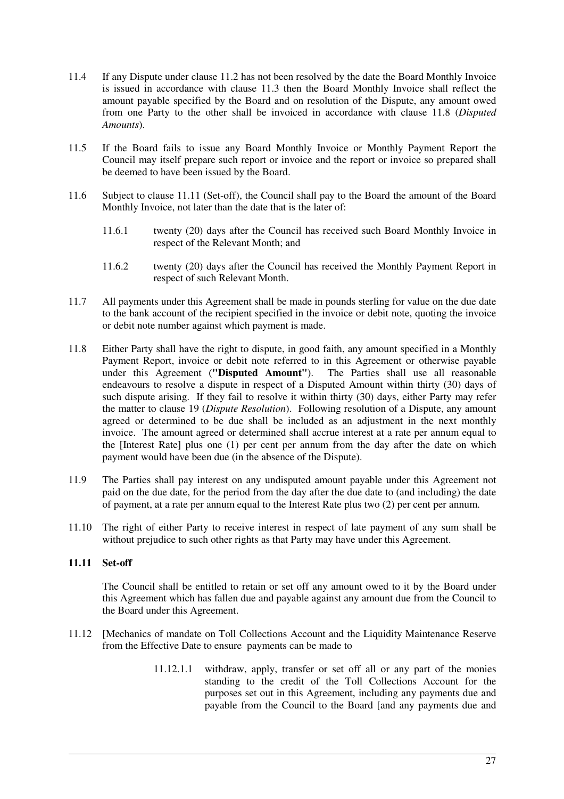- 11.4 If any Dispute under clause 11.2 has not been resolved by the date the Board Monthly Invoice is issued in accordance with clause 11.3 then the Board Monthly Invoice shall reflect the amount payable specified by the Board and on resolution of the Dispute, any amount owed from one Party to the other shall be invoiced in accordance with clause 11.8 (*Disputed Amounts*).
- 11.5 If the Board fails to issue any Board Monthly Invoice or Monthly Payment Report the Council may itself prepare such report or invoice and the report or invoice so prepared shall be deemed to have been issued by the Board.
- 11.6 Subject to clause 11.11 (Set-off), the Council shall pay to the Board the amount of the Board Monthly Invoice, not later than the date that is the later of:
	- 11.6.1 twenty (20) days after the Council has received such Board Monthly Invoice in respect of the Relevant Month; and
	- 11.6.2 twenty (20) days after the Council has received the Monthly Payment Report in respect of such Relevant Month.
- 11.7 All payments under this Agreement shall be made in pounds sterling for value on the due date to the bank account of the recipient specified in the invoice or debit note, quoting the invoice or debit note number against which payment is made.
- 11.8 Either Party shall have the right to dispute, in good faith, any amount specified in a Monthly Payment Report, invoice or debit note referred to in this Agreement or otherwise payable under this Agreement (**"Disputed Amount"**). The Parties shall use all reasonable endeavours to resolve a dispute in respect of a Disputed Amount within thirty (30) days of such dispute arising. If they fail to resolve it within thirty (30) days, either Party may refer the matter to clause 19 (*Dispute Resolution*). Following resolution of a Dispute, any amount agreed or determined to be due shall be included as an adjustment in the next monthly invoice. The amount agreed or determined shall accrue interest at a rate per annum equal to the [Interest Rate] plus one (1) per cent per annum from the day after the date on which payment would have been due (in the absence of the Dispute).
- 11.9 The Parties shall pay interest on any undisputed amount payable under this Agreement not paid on the due date, for the period from the day after the due date to (and including) the date of payment, at a rate per annum equal to the Interest Rate plus two (2) per cent per annum.
- 11.10 The right of either Party to receive interest in respect of late payment of any sum shall be without prejudice to such other rights as that Party may have under this Agreement.

#### **11.11 Set-off**

The Council shall be entitled to retain or set off any amount owed to it by the Board under this Agreement which has fallen due and payable against any amount due from the Council to the Board under this Agreement.

- 11.12 [Mechanics of mandate on Toll Collections Account and the Liquidity Maintenance Reserve from the Effective Date to ensure payments can be made to
	- 11.12.1.1 withdraw, apply, transfer or set off all or any part of the monies standing to the credit of the Toll Collections Account for the purposes set out in this Agreement, including any payments due and payable from the Council to the Board [and any payments due and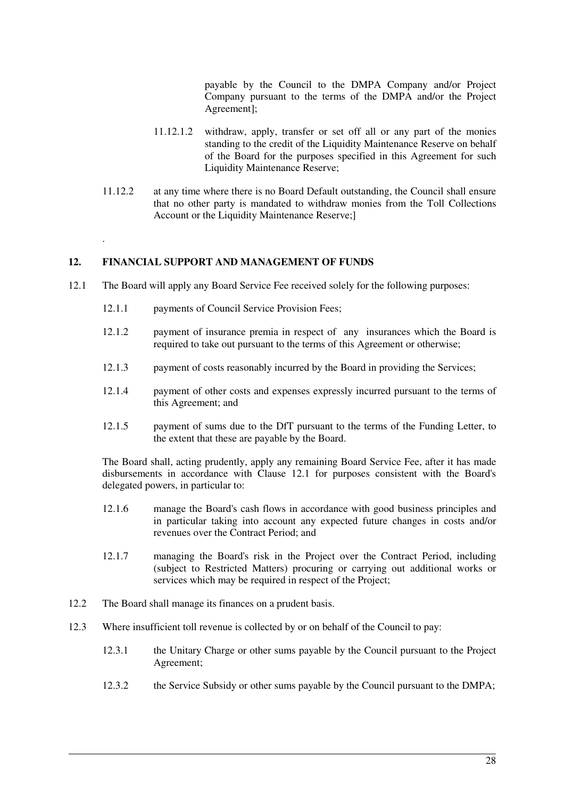payable by the Council to the DMPA Company and/or Project Company pursuant to the terms of the DMPA and/or the Project Agreement];

- 11.12.1.2 withdraw, apply, transfer or set off all or any part of the monies standing to the credit of the Liquidity Maintenance Reserve on behalf of the Board for the purposes specified in this Agreement for such Liquidity Maintenance Reserve;
- 11.12.2 at any time where there is no Board Default outstanding, the Council shall ensure that no other party is mandated to withdraw monies from the Toll Collections Account or the Liquidity Maintenance Reserve:

## **12. FINANCIAL SUPPORT AND MANAGEMENT OF FUNDS**

.

- 12.1 The Board will apply any Board Service Fee received solely for the following purposes:
	- 12.1.1 payments of Council Service Provision Fees;
	- 12.1.2 payment of insurance premia in respect of any insurances which the Board is required to take out pursuant to the terms of this Agreement or otherwise:
	- 12.1.3 payment of costs reasonably incurred by the Board in providing the Services;
	- 12.1.4 payment of other costs and expenses expressly incurred pursuant to the terms of this Agreement; and
	- 12.1.5 payment of sums due to the DfT pursuant to the terms of the Funding Letter, to the extent that these are payable by the Board.

The Board shall, acting prudently, apply any remaining Board Service Fee, after it has made disbursements in accordance with Clause 12.1 for purposes consistent with the Board's delegated powers, in particular to:

- 12.1.6 manage the Board's cash flows in accordance with good business principles and in particular taking into account any expected future changes in costs and/or revenues over the Contract Period; and
- 12.1.7 managing the Board's risk in the Project over the Contract Period, including (subject to Restricted Matters) procuring or carrying out additional works or services which may be required in respect of the Project:
- 12.2 The Board shall manage its finances on a prudent basis.
- 12.3 Where insufficient toll revenue is collected by or on behalf of the Council to pay:
	- 12.3.1 the Unitary Charge or other sums payable by the Council pursuant to the Project Agreement;
	- 12.3.2 the Service Subsidy or other sums payable by the Council pursuant to the DMPA;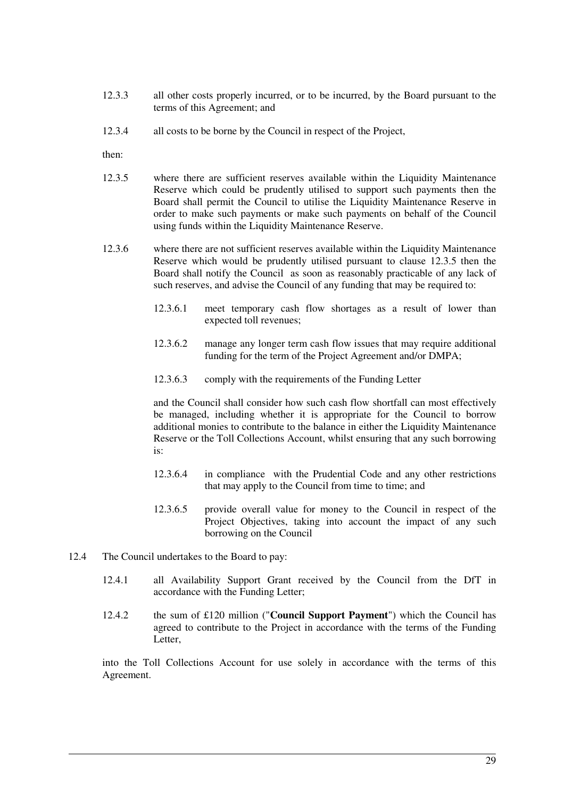- 12.3.3 all other costs properly incurred, or to be incurred, by the Board pursuant to the terms of this Agreement; and
- 12.3.4 all costs to be borne by the Council in respect of the Project,

then:

- 12.3.5 where there are sufficient reserves available within the Liquidity Maintenance Reserve which could be prudently utilised to support such payments then the Board shall permit the Council to utilise the Liquidity Maintenance Reserve in order to make such payments or make such payments on behalf of the Council using funds within the Liquidity Maintenance Reserve.
- 12.3.6 where there are not sufficient reserves available within the Liquidity Maintenance Reserve which would be prudently utilised pursuant to clause 12.3.5 then the Board shall notify the Council as soon as reasonably practicable of any lack of such reserves, and advise the Council of any funding that may be required to:
	- 12.3.6.1 meet temporary cash flow shortages as a result of lower than expected toll revenues;
	- 12.3.6.2 manage any longer term cash flow issues that may require additional funding for the term of the Project Agreement and/or DMPA;
	- 12.3.6.3 comply with the requirements of the Funding Letter

and the Council shall consider how such cash flow shortfall can most effectively be managed, including whether it is appropriate for the Council to borrow additional monies to contribute to the balance in either the Liquidity Maintenance Reserve or the Toll Collections Account, whilst ensuring that any such borrowing is:

- 12.3.6.4 in compliance with the Prudential Code and any other restrictions that may apply to the Council from time to time; and
- 12.3.6.5 provide overall value for money to the Council in respect of the Project Objectives, taking into account the impact of any such borrowing on the Council
- 12.4 The Council undertakes to the Board to pay:
	- 12.4.1 all Availability Support Grant received by the Council from the DfT in accordance with the Funding Letter;
	- 12.4.2 the sum of £120 million ("**Council Support Payment**") which the Council has agreed to contribute to the Project in accordance with the terms of the Funding Letter,

into the Toll Collections Account for use solely in accordance with the terms of this Agreement.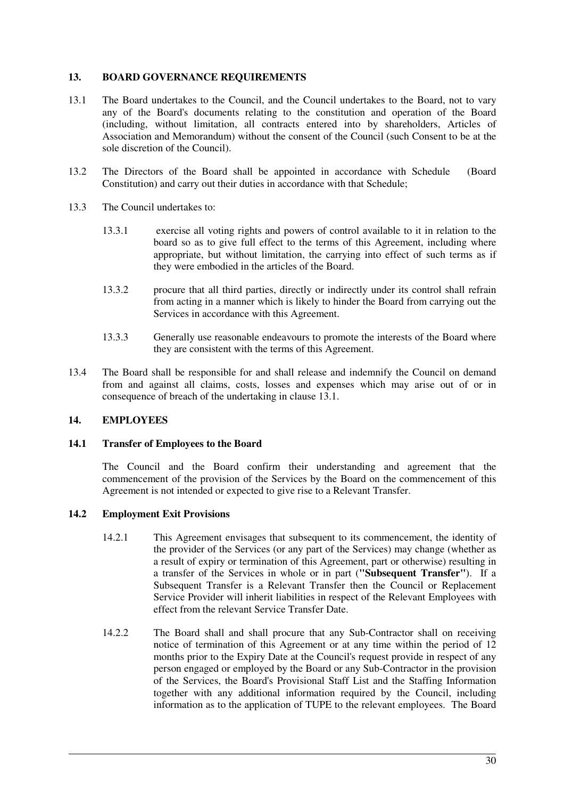## **13. BOARD GOVERNANCE REQUIREMENTS**

- 13.1 The Board undertakes to the Council, and the Council undertakes to the Board, not to vary any of the Board's documents relating to the constitution and operation of the Board (including, without limitation, all contracts entered into by shareholders, Articles of Association and Memorandum) without the consent of the Council (such Consent to be at the sole discretion of the Council).
- 13.2 The Directors of the Board shall be appointed in accordance with Schedule (Board Constitution) and carry out their duties in accordance with that Schedule;
- 13.3 The Council undertakes to:
	- 13.3.1 exercise all voting rights and powers of control available to it in relation to the board so as to give full effect to the terms of this Agreement, including where appropriate, but without limitation, the carrying into effect of such terms as if they were embodied in the articles of the Board.
	- 13.3.2 procure that all third parties, directly or indirectly under its control shall refrain from acting in a manner which is likely to hinder the Board from carrying out the Services in accordance with this Agreement.
	- 13.3.3 Generally use reasonable endeavours to promote the interests of the Board where they are consistent with the terms of this Agreement.
- 13.4 The Board shall be responsible for and shall release and indemnify the Council on demand from and against all claims, costs, losses and expenses which may arise out of or in consequence of breach of the undertaking in clause 13.1.

#### **14. EMPLOYEES**

#### **14.1 Transfer of Employees to the Board**

The Council and the Board confirm their understanding and agreement that the commencement of the provision of the Services by the Board on the commencement of this Agreement is not intended or expected to give rise to a Relevant Transfer.

#### **14.2 Employment Exit Provisions**

- 14.2.1 This Agreement envisages that subsequent to its commencement, the identity of the provider of the Services (or any part of the Services) may change (whether as a result of expiry or termination of this Agreement, part or otherwise) resulting in a transfer of the Services in whole or in part (**"Subsequent Transfer"**). If a Subsequent Transfer is a Relevant Transfer then the Council or Replacement Service Provider will inherit liabilities in respect of the Relevant Employees with effect from the relevant Service Transfer Date.
- 14.2.2 The Board shall and shall procure that any Sub-Contractor shall on receiving notice of termination of this Agreement or at any time within the period of 12 months prior to the Expiry Date at the Council's request provide in respect of any person engaged or employed by the Board or any Sub-Contractor in the provision of the Services, the Board's Provisional Staff List and the Staffing Information together with any additional information required by the Council, including information as to the application of TUPE to the relevant employees. The Board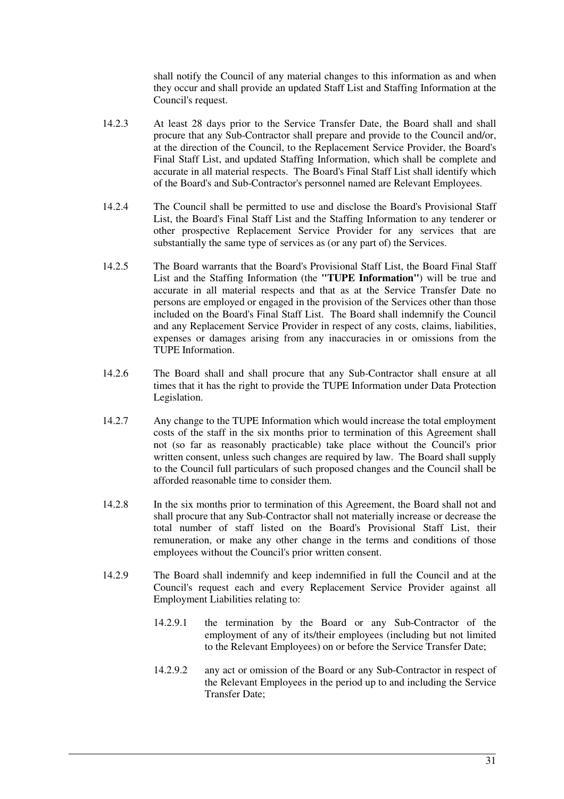shall notify the Council of any material changes to this information as and when they occur and shall provide an updated Staff List and Staffing Information at the Council's request.

- 14.2.3 At least 28 days prior to the Service Transfer Date, the Board shall and shall procure that any Sub-Contractor shall prepare and provide to the Council and/or, at the direction of the Council, to the Replacement Service Provider, the Board's Final Staff List, and updated Staffing Information, which shall be complete and accurate in all material respects. The Board's Final Staff List shall identify which of the Board's and Sub-Contractor's personnel named are Relevant Employees.
- 14.2.4 The Council shall be permitted to use and disclose the Board's Provisional Staff List, the Board's Final Staff List and the Staffing Information to any tenderer or other prospective Replacement Service Provider for any services that are substantially the same type of services as (or any part of) the Services.
- 14.2.5 The Board warrants that the Board's Provisional Staff List, the Board Final Staff List and the Staffing Information (the **"TUPE Information"**) will be true and accurate in all material respects and that as at the Service Transfer Date no persons are employed or engaged in the provision of the Services other than those included on the Board's Final Staff List. The Board shall indemnify the Council and any Replacement Service Provider in respect of any costs, claims, liabilities, expenses or damages arising from any inaccuracies in or omissions from the TUPE Information.
- 14.2.6 The Board shall and shall procure that any Sub-Contractor shall ensure at all times that it has the right to provide the TUPE Information under Data Protection Legislation.
- 14.2.7 Any change to the TUPE Information which would increase the total employment costs of the staff in the six months prior to termination of this Agreement shall not (so far as reasonably practicable) take place without the Council's prior written consent, unless such changes are required by law. The Board shall supply to the Council full particulars of such proposed changes and the Council shall be afforded reasonable time to consider them.
- 14.2.8 In the six months prior to termination of this Agreement, the Board shall not and shall procure that any Sub-Contractor shall not materially increase or decrease the total number of staff listed on the Board's Provisional Staff List, their remuneration, or make any other change in the terms and conditions of those employees without the Council's prior written consent.
- 14.2.9 The Board shall indemnify and keep indemnified in full the Council and at the Council's request each and every Replacement Service Provider against all Employment Liabilities relating to:
	- 14.2.9.1 the termination by the Board or any Sub-Contractor of the employment of any of its/their employees (including but not limited to the Relevant Employees) on or before the Service Transfer Date;
	- 14.2.9.2 any act or omission of the Board or any Sub-Contractor in respect of the Relevant Employees in the period up to and including the Service Transfer Date;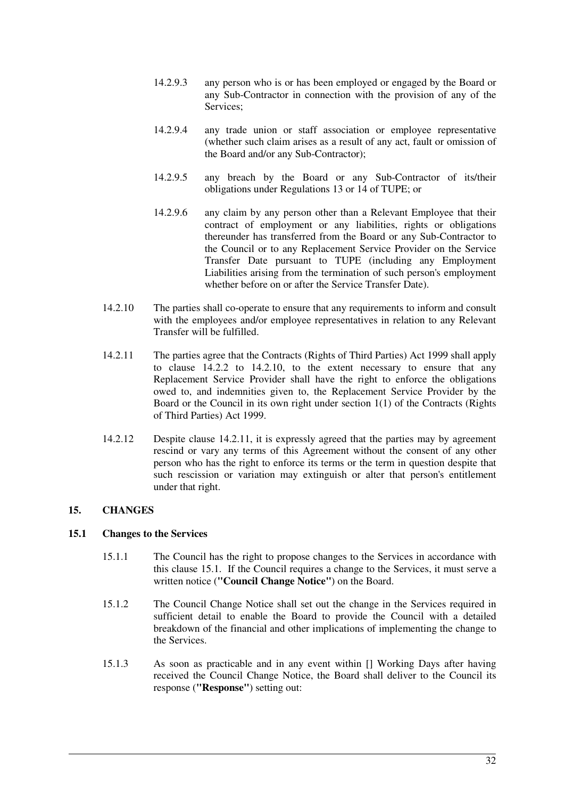- 14.2.9.3 any person who is or has been employed or engaged by the Board or any Sub-Contractor in connection with the provision of any of the Services;
- 14.2.9.4 any trade union or staff association or employee representative (whether such claim arises as a result of any act, fault or omission of the Board and/or any Sub-Contractor);
- 14.2.9.5 any breach by the Board or any Sub-Contractor of its/their obligations under Regulations 13 or 14 of TUPE; or
- 14.2.9.6 any claim by any person other than a Relevant Employee that their contract of employment or any liabilities, rights or obligations thereunder has transferred from the Board or any Sub-Contractor to the Council or to any Replacement Service Provider on the Service Transfer Date pursuant to TUPE (including any Employment Liabilities arising from the termination of such person's employment whether before on or after the Service Transfer Date).
- 14.2.10 The parties shall co-operate to ensure that any requirements to inform and consult with the employees and/or employee representatives in relation to any Relevant Transfer will be fulfilled.
- 14.2.11 The parties agree that the Contracts (Rights of Third Parties) Act 1999 shall apply to clause 14.2.2 to 14.2.10, to the extent necessary to ensure that any Replacement Service Provider shall have the right to enforce the obligations owed to, and indemnities given to, the Replacement Service Provider by the Board or the Council in its own right under section 1(1) of the Contracts (Rights of Third Parties) Act 1999.
- 14.2.12 Despite clause 14.2.11, it is expressly agreed that the parties may by agreement rescind or vary any terms of this Agreement without the consent of any other person who has the right to enforce its terms or the term in question despite that such rescission or variation may extinguish or alter that person's entitlement under that right.

## **15. CHANGES**

#### **15.1 Changes to the Services**

- 15.1.1 The Council has the right to propose changes to the Services in accordance with this clause 15.1. If the Council requires a change to the Services, it must serve a written notice (**"Council Change Notice"**) on the Board.
- 15.1.2 The Council Change Notice shall set out the change in the Services required in sufficient detail to enable the Board to provide the Council with a detailed breakdown of the financial and other implications of implementing the change to the Services.
- 15.1.3 As soon as practicable and in any event within [] Working Days after having received the Council Change Notice, the Board shall deliver to the Council its response (**"Response"**) setting out: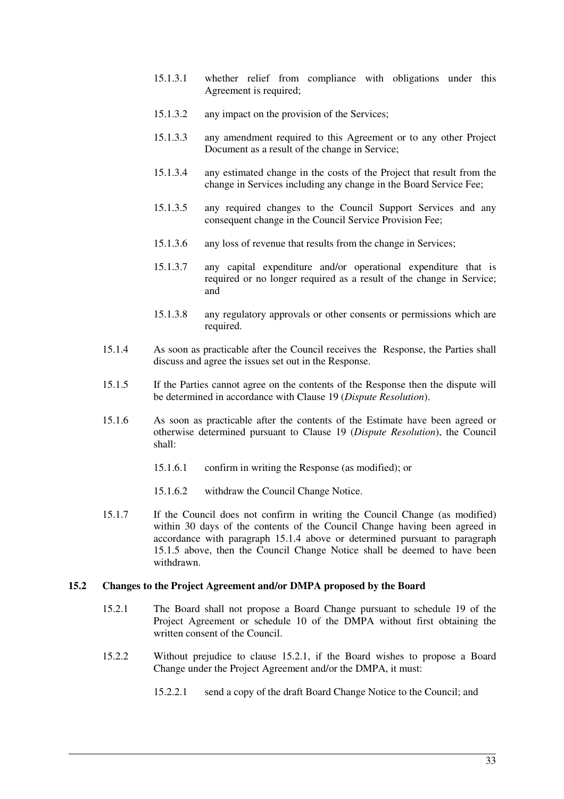- 15.1.3.1 whether relief from compliance with obligations under this Agreement is required;
- 15.1.3.2 any impact on the provision of the Services;
- 15.1.3.3 any amendment required to this Agreement or to any other Project Document as a result of the change in Service;
- 15.1.3.4 any estimated change in the costs of the Project that result from the change in Services including any change in the Board Service Fee;
- 15.1.3.5 any required changes to the Council Support Services and any consequent change in the Council Service Provision Fee;
- 15.1.3.6 any loss of revenue that results from the change in Services;
- 15.1.3.7 any capital expenditure and/or operational expenditure that is required or no longer required as a result of the change in Service; and
- 15.1.3.8 any regulatory approvals or other consents or permissions which are required.
- 15.1.4 As soon as practicable after the Council receives the Response, the Parties shall discuss and agree the issues set out in the Response.
- 15.1.5 If the Parties cannot agree on the contents of the Response then the dispute will be determined in accordance with Clause 19 (*Dispute Resolution*).
- 15.1.6 As soon as practicable after the contents of the Estimate have been agreed or otherwise determined pursuant to Clause 19 (*Dispute Resolution*), the Council shall:
	- 15.1.6.1 confirm in writing the Response (as modified); or
	- 15.1.6.2 withdraw the Council Change Notice.
- 15.1.7 If the Council does not confirm in writing the Council Change (as modified) within 30 days of the contents of the Council Change having been agreed in accordance with paragraph 15.1.4 above or determined pursuant to paragraph 15.1.5 above, then the Council Change Notice shall be deemed to have been withdrawn.

#### **15.2 Changes to the Project Agreement and/or DMPA proposed by the Board**

- 15.2.1 The Board shall not propose a Board Change pursuant to schedule 19 of the Project Agreement or schedule 10 of the DMPA without first obtaining the written consent of the Council.
- 15.2.2 Without prejudice to clause 15.2.1, if the Board wishes to propose a Board Change under the Project Agreement and/or the DMPA, it must:
	- 15.2.2.1 send a copy of the draft Board Change Notice to the Council; and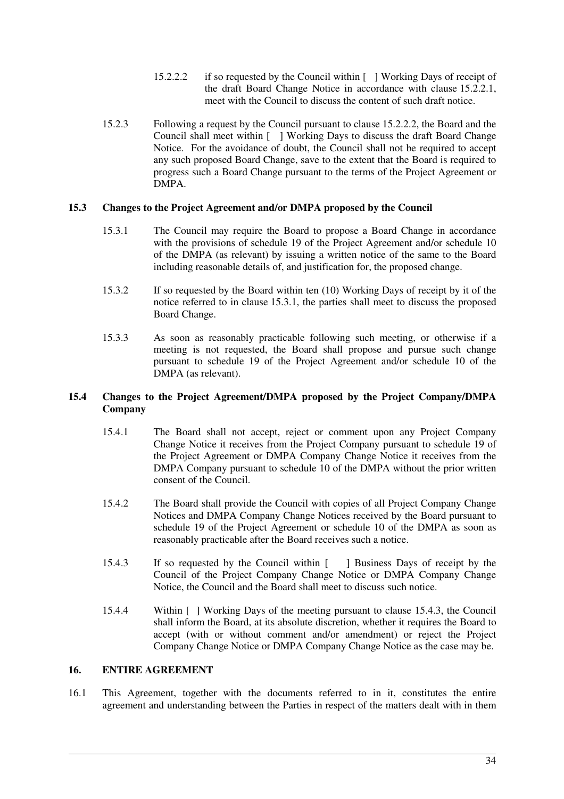- 15.2.2.2 if so requested by the Council within [ ] Working Days of receipt of the draft Board Change Notice in accordance with clause 15.2.2.1, meet with the Council to discuss the content of such draft notice.
- 15.2.3 Following a request by the Council pursuant to clause 15.2.2.2, the Board and the Council shall meet within [ ] Working Days to discuss the draft Board Change Notice. For the avoidance of doubt, the Council shall not be required to accept any such proposed Board Change, save to the extent that the Board is required to progress such a Board Change pursuant to the terms of the Project Agreement or DMPA.

#### **15.3 Changes to the Project Agreement and/or DMPA proposed by the Council**

- 15.3.1 The Council may require the Board to propose a Board Change in accordance with the provisions of schedule 19 of the Project Agreement and/or schedule 10 of the DMPA (as relevant) by issuing a written notice of the same to the Board including reasonable details of, and justification for, the proposed change.
- 15.3.2 If so requested by the Board within ten (10) Working Days of receipt by it of the notice referred to in clause 15.3.1, the parties shall meet to discuss the proposed Board Change.
- 15.3.3 As soon as reasonably practicable following such meeting, or otherwise if a meeting is not requested, the Board shall propose and pursue such change pursuant to schedule 19 of the Project Agreement and/or schedule 10 of the DMPA (as relevant).

## **15.4 Changes to the Project Agreement/DMPA proposed by the Project Company/DMPA Company**

- 15.4.1 The Board shall not accept, reject or comment upon any Project Company Change Notice it receives from the Project Company pursuant to schedule 19 of the Project Agreement or DMPA Company Change Notice it receives from the DMPA Company pursuant to schedule 10 of the DMPA without the prior written consent of the Council.
- 15.4.2 The Board shall provide the Council with copies of all Project Company Change Notices and DMPA Company Change Notices received by the Board pursuant to schedule 19 of the Project Agreement or schedule 10 of the DMPA as soon as reasonably practicable after the Board receives such a notice.
- 15.4.3 If so requested by the Council within [ ] Business Days of receipt by the Council of the Project Company Change Notice or DMPA Company Change Notice, the Council and the Board shall meet to discuss such notice.
- 15.4.4 Within [ ] Working Days of the meeting pursuant to clause 15.4.3, the Council shall inform the Board, at its absolute discretion, whether it requires the Board to accept (with or without comment and/or amendment) or reject the Project Company Change Notice or DMPA Company Change Notice as the case may be.

## **16. ENTIRE AGREEMENT**

16.1 This Agreement, together with the documents referred to in it, constitutes the entire agreement and understanding between the Parties in respect of the matters dealt with in them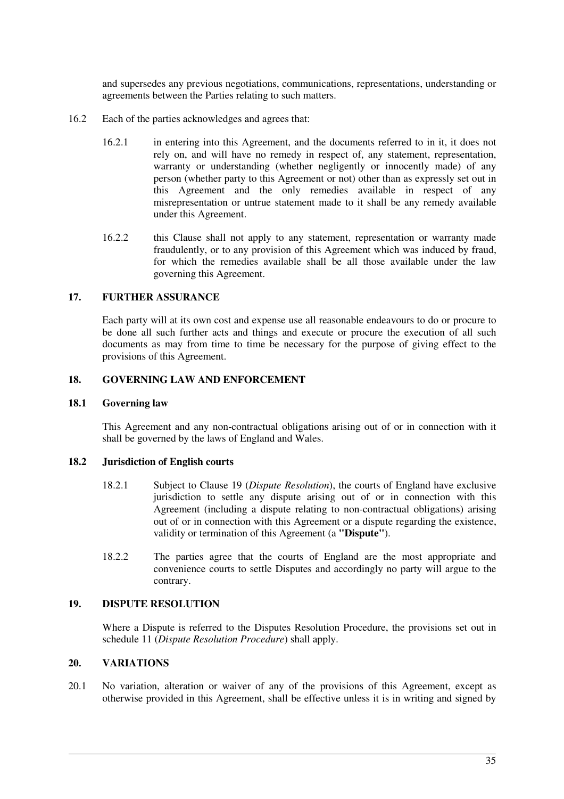and supersedes any previous negotiations, communications, representations, understanding or agreements between the Parties relating to such matters.

- 16.2 Each of the parties acknowledges and agrees that:
	- 16.2.1 in entering into this Agreement, and the documents referred to in it, it does not rely on, and will have no remedy in respect of, any statement, representation, warranty or understanding (whether negligently or innocently made) of any person (whether party to this Agreement or not) other than as expressly set out in this Agreement and the only remedies available in respect of any misrepresentation or untrue statement made to it shall be any remedy available under this Agreement.
	- 16.2.2 this Clause shall not apply to any statement, representation or warranty made fraudulently, or to any provision of this Agreement which was induced by fraud, for which the remedies available shall be all those available under the law governing this Agreement.

## **17. FURTHER ASSURANCE**

Each party will at its own cost and expense use all reasonable endeavours to do or procure to be done all such further acts and things and execute or procure the execution of all such documents as may from time to time be necessary for the purpose of giving effect to the provisions of this Agreement.

## **18. GOVERNING LAW AND ENFORCEMENT**

#### **18.1 Governing law**

This Agreement and any non-contractual obligations arising out of or in connection with it shall be governed by the laws of England and Wales.

#### **18.2 Jurisdiction of English courts**

- 18.2.1 Subject to Clause 19 (*Dispute Resolution*), the courts of England have exclusive jurisdiction to settle any dispute arising out of or in connection with this Agreement (including a dispute relating to non-contractual obligations) arising out of or in connection with this Agreement or a dispute regarding the existence, validity or termination of this Agreement (a **"Dispute"**).
- 18.2.2 The parties agree that the courts of England are the most appropriate and convenience courts to settle Disputes and accordingly no party will argue to the contrary.

#### **19. DISPUTE RESOLUTION**

Where a Dispute is referred to the Disputes Resolution Procedure, the provisions set out in schedule 11 (*Dispute Resolution Procedure*) shall apply.

#### **20. VARIATIONS**

20.1 No variation, alteration or waiver of any of the provisions of this Agreement, except as otherwise provided in this Agreement, shall be effective unless it is in writing and signed by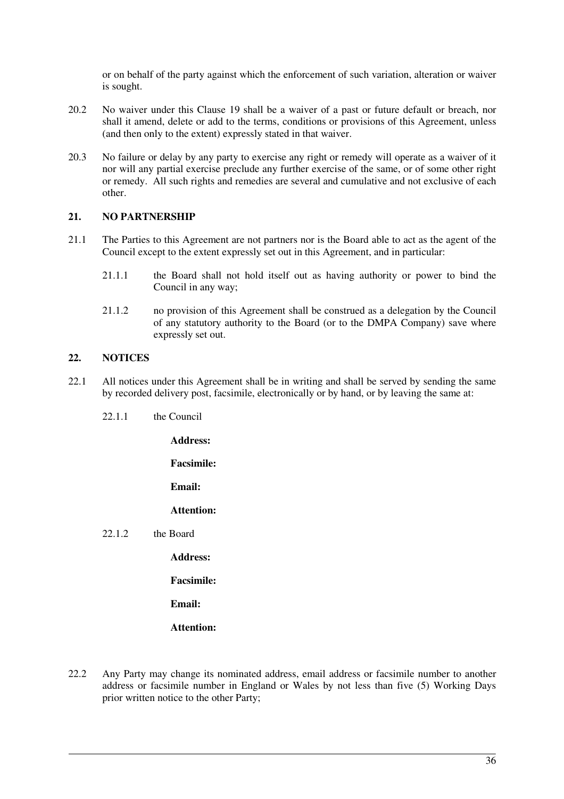or on behalf of the party against which the enforcement of such variation, alteration or waiver is sought.

- 20.2 No waiver under this Clause 19 shall be a waiver of a past or future default or breach, nor shall it amend, delete or add to the terms, conditions or provisions of this Agreement, unless (and then only to the extent) expressly stated in that waiver.
- 20.3 No failure or delay by any party to exercise any right or remedy will operate as a waiver of it nor will any partial exercise preclude any further exercise of the same, or of some other right or remedy. All such rights and remedies are several and cumulative and not exclusive of each other.

#### **21. NO PARTNERSHIP**

- 21.1 The Parties to this Agreement are not partners nor is the Board able to act as the agent of the Council except to the extent expressly set out in this Agreement, and in particular:
	- 21.1.1 the Board shall not hold itself out as having authority or power to bind the Council in any way;
	- 21.1.2 no provision of this Agreement shall be construed as a delegation by the Council of any statutory authority to the Board (or to the DMPA Company) save where expressly set out.

### **22. NOTICES**

- 22.1 All notices under this Agreement shall be in writing and shall be served by sending the same by recorded delivery post, facsimile, electronically or by hand, or by leaving the same at:
	- 22.1.1 the Council

**Address:** 

**Facsimile:** 

**Email:** 

**Attention:** 

22.1.2 the Board

**Address:** 

**Facsimile:** 

**Email:** 

**Attention:** 

22.2 Any Party may change its nominated address, email address or facsimile number to another address or facsimile number in England or Wales by not less than five (5) Working Days prior written notice to the other Party;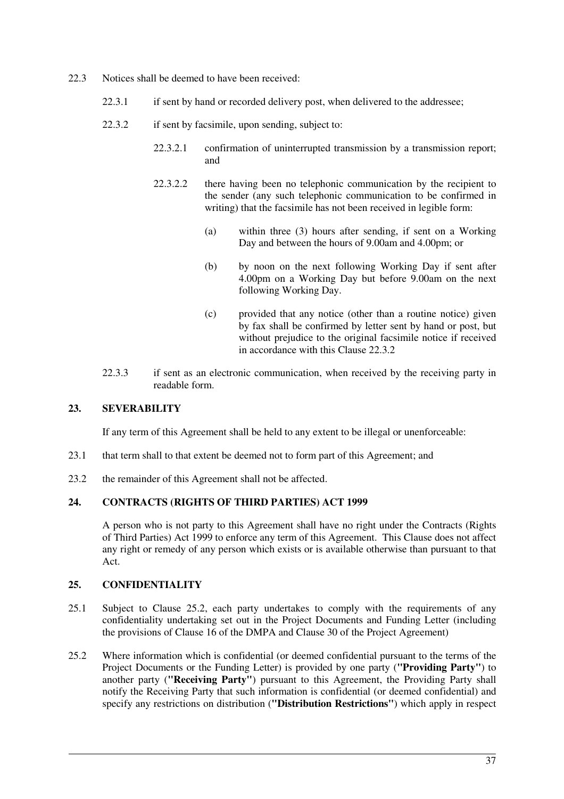- 22.3 Notices shall be deemed to have been received:
	- 22.3.1 if sent by hand or recorded delivery post, when delivered to the addressee;
	- 22.3.2 if sent by facsimile, upon sending, subject to:
		- 22.3.2.1 confirmation of uninterrupted transmission by a transmission report; and
		- 22.3.2.2 there having been no telephonic communication by the recipient to the sender (any such telephonic communication to be confirmed in writing) that the facsimile has not been received in legible form:
			- (a) within three (3) hours after sending, if sent on a Working Day and between the hours of 9.00am and 4.00pm; or
			- (b) by noon on the next following Working Day if sent after 4.00pm on a Working Day but before 9.00am on the next following Working Day.
			- (c) provided that any notice (other than a routine notice) given by fax shall be confirmed by letter sent by hand or post, but without prejudice to the original facsimile notice if received in accordance with this Clause 22.3.2
	- 22.3.3 if sent as an electronic communication, when received by the receiving party in readable form.

## **23. SEVERABILITY**

If any term of this Agreement shall be held to any extent to be illegal or unenforceable:

- 23.1 that term shall to that extent be deemed not to form part of this Agreement; and
- 23.2 the remainder of this Agreement shall not be affected.

## **24. CONTRACTS (RIGHTS OF THIRD PARTIES) ACT 1999**

A person who is not party to this Agreement shall have no right under the Contracts (Rights of Third Parties) Act 1999 to enforce any term of this Agreement. This Clause does not affect any right or remedy of any person which exists or is available otherwise than pursuant to that Act.

## **25. CONFIDENTIALITY**

- 25.1 Subject to Clause 25.2, each party undertakes to comply with the requirements of any confidentiality undertaking set out in the Project Documents and Funding Letter (including the provisions of Clause 16 of the DMPA and Clause 30 of the Project Agreement)
- 25.2 Where information which is confidential (or deemed confidential pursuant to the terms of the Project Documents or the Funding Letter) is provided by one party (**"Providing Party"**) to another party (**"Receiving Party"**) pursuant to this Agreement, the Providing Party shall notify the Receiving Party that such information is confidential (or deemed confidential) and specify any restrictions on distribution (**"Distribution Restrictions"**) which apply in respect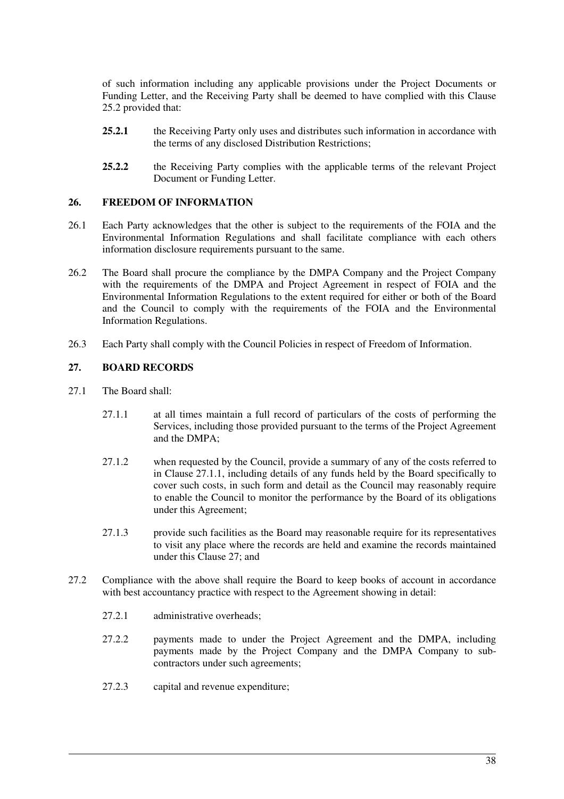of such information including any applicable provisions under the Project Documents or Funding Letter, and the Receiving Party shall be deemed to have complied with this Clause 25.2 provided that:

- **25.2.1** the Receiving Party only uses and distributes such information in accordance with the terms of any disclosed Distribution Restrictions;
- 25.2.2 the Receiving Party complies with the applicable terms of the relevant Project Document or Funding Letter.

#### **26. FREEDOM OF INFORMATION**

- 26.1 Each Party acknowledges that the other is subject to the requirements of the FOIA and the Environmental Information Regulations and shall facilitate compliance with each others information disclosure requirements pursuant to the same.
- 26.2 The Board shall procure the compliance by the DMPA Company and the Project Company with the requirements of the DMPA and Project Agreement in respect of FOIA and the Environmental Information Regulations to the extent required for either or both of the Board and the Council to comply with the requirements of the FOIA and the Environmental Information Regulations.
- 26.3 Each Party shall comply with the Council Policies in respect of Freedom of Information.

### **27. BOARD RECORDS**

- 27.1 The Board shall:
	- 27.1.1 at all times maintain a full record of particulars of the costs of performing the Services, including those provided pursuant to the terms of the Project Agreement and the DMPA;
	- 27.1.2 when requested by the Council, provide a summary of any of the costs referred to in Clause 27.1.1, including details of any funds held by the Board specifically to cover such costs, in such form and detail as the Council may reasonably require to enable the Council to monitor the performance by the Board of its obligations under this Agreement;
	- 27.1.3 provide such facilities as the Board may reasonable require for its representatives to visit any place where the records are held and examine the records maintained under this Clause 27; and
- 27.2 Compliance with the above shall require the Board to keep books of account in accordance with best accountancy practice with respect to the Agreement showing in detail:
	- 27.2.1 administrative overheads;
	- 27.2.2 payments made to under the Project Agreement and the DMPA, including payments made by the Project Company and the DMPA Company to subcontractors under such agreements;
	- 27.2.3 capital and revenue expenditure;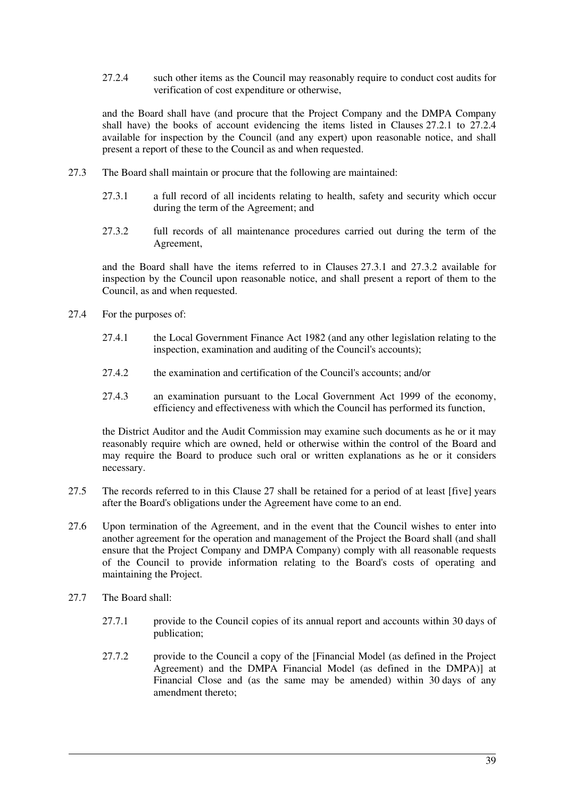27.2.4 such other items as the Council may reasonably require to conduct cost audits for verification of cost expenditure or otherwise,

and the Board shall have (and procure that the Project Company and the DMPA Company shall have) the books of account evidencing the items listed in Clauses 27.2.1 to 27.2.4 available for inspection by the Council (and any expert) upon reasonable notice, and shall present a report of these to the Council as and when requested.

- 27.3 The Board shall maintain or procure that the following are maintained:
	- 27.3.1 a full record of all incidents relating to health, safety and security which occur during the term of the Agreement; and
	- 27.3.2 full records of all maintenance procedures carried out during the term of the Agreement,

and the Board shall have the items referred to in Clauses 27.3.1 and 27.3.2 available for inspection by the Council upon reasonable notice, and shall present a report of them to the Council, as and when requested.

- 27.4 For the purposes of:
	- 27.4.1 the Local Government Finance Act 1982 (and any other legislation relating to the inspection, examination and auditing of the Council's accounts);
	- 27.4.2 the examination and certification of the Council's accounts; and/or
	- 27.4.3 an examination pursuant to the Local Government Act 1999 of the economy, efficiency and effectiveness with which the Council has performed its function,

the District Auditor and the Audit Commission may examine such documents as he or it may reasonably require which are owned, held or otherwise within the control of the Board and may require the Board to produce such oral or written explanations as he or it considers necessary.

- 27.5 The records referred to in this Clause 27 shall be retained for a period of at least [five] years after the Board's obligations under the Agreement have come to an end.
- 27.6 Upon termination of the Agreement, and in the event that the Council wishes to enter into another agreement for the operation and management of the Project the Board shall (and shall ensure that the Project Company and DMPA Company) comply with all reasonable requests of the Council to provide information relating to the Board's costs of operating and maintaining the Project.
- 27.7 The Board shall:
	- 27.7.1 provide to the Council copies of its annual report and accounts within 30 days of publication;
	- 27.7.2 provide to the Council a copy of the [Financial Model (as defined in the Project Agreement) and the DMPA Financial Model (as defined in the DMPA)] at Financial Close and (as the same may be amended) within 30 days of any amendment thereto;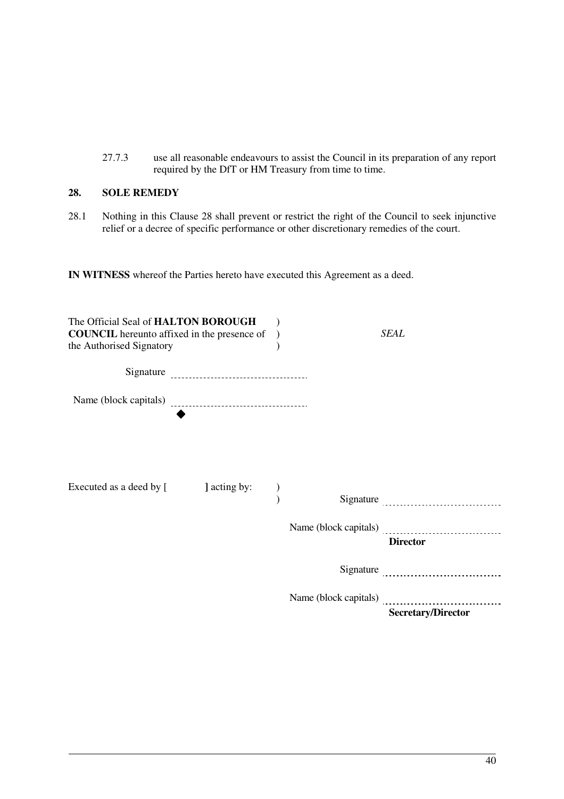27.7.3 use all reasonable endeavours to assist the Council in its preparation of any report required by the DfT or HM Treasury from time to time.

## **28. SOLE REMEDY**

28.1 Nothing in this Clause 28 shall prevent or restrict the right of the Council to seek injunctive relief or a decree of specific performance or other discretionary remedies of the court.

**IN WITNESS** whereof the Parties hereto have executed this Agreement as a deed.

| The Official Seal of HALTON BOROUGH<br><b>COUNCIL</b> hereunto affixed in the presence of<br>the Authorised Signatory |              |  | <b>SEAL</b>               |
|-----------------------------------------------------------------------------------------------------------------------|--------------|--|---------------------------|
|                                                                                                                       |              |  |                           |
|                                                                                                                       |              |  |                           |
|                                                                                                                       |              |  |                           |
|                                                                                                                       |              |  |                           |
| Executed as a deed by [                                                                                               | ] acting by: |  |                           |
|                                                                                                                       |              |  |                           |
|                                                                                                                       |              |  |                           |
|                                                                                                                       |              |  | <b>Director</b>           |
|                                                                                                                       |              |  |                           |
|                                                                                                                       |              |  |                           |
|                                                                                                                       |              |  | <b>Secretary/Director</b> |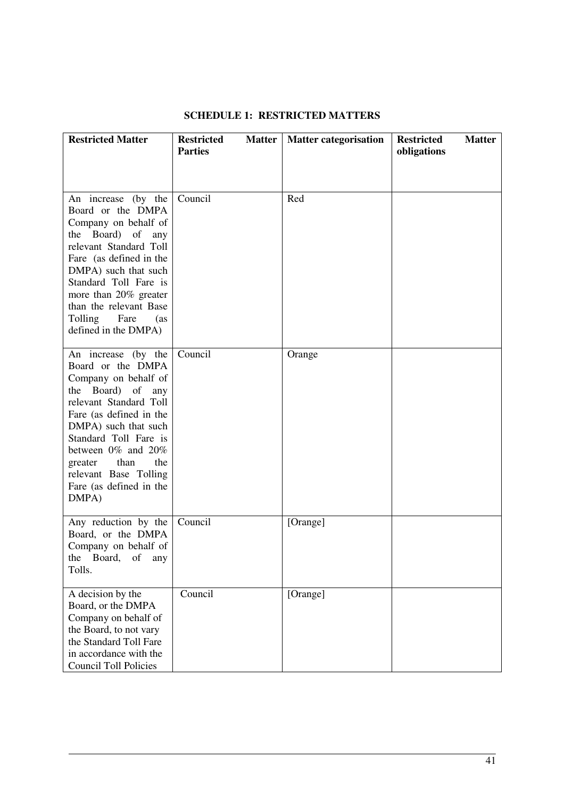| <b>Restricted Matter</b>                                                                                                                                                                                                                                                                                          | <b>Restricted</b><br><b>Matter</b><br><b>Parties</b> | <b>Matter categorisation</b> | <b>Restricted</b><br><b>Matter</b><br>obligations |
|-------------------------------------------------------------------------------------------------------------------------------------------------------------------------------------------------------------------------------------------------------------------------------------------------------------------|------------------------------------------------------|------------------------------|---------------------------------------------------|
| An increase (by the<br>Board or the DMPA<br>Company on behalf of<br>the Board) of any<br>relevant Standard Toll<br>Fare (as defined in the<br>DMPA) such that such<br>Standard Toll Fare is<br>more than 20% greater<br>than the relevant Base<br>Tolling<br>Fare<br>(as)<br>defined in the DMPA)                 | Council                                              | Red                          |                                                   |
| An increase (by the<br>Board or the DMPA<br>Company on behalf of<br>Board)<br>of<br>the<br>any<br>relevant Standard Toll<br>Fare (as defined in the<br>DMPA) such that such<br>Standard Toll Fare is<br>between 0% and 20%<br>than<br>the<br>greater<br>relevant Base Tolling<br>Fare (as defined in the<br>DMPA) | Council                                              | Orange                       |                                                   |
| Any reduction by the<br>Board, or the DMPA<br>Company on behalf of<br>Board,<br>the<br>of<br>any<br>Tolls.                                                                                                                                                                                                        | Council                                              | [Orange]                     |                                                   |
| A decision by the<br>Board, or the DMPA<br>Company on behalf of<br>the Board, to not vary<br>the Standard Toll Fare<br>in accordance with the<br><b>Council Toll Policies</b>                                                                                                                                     | Council                                              | [Orange]                     |                                                   |

## **SCHEDULE 1: RESTRICTED MATTERS**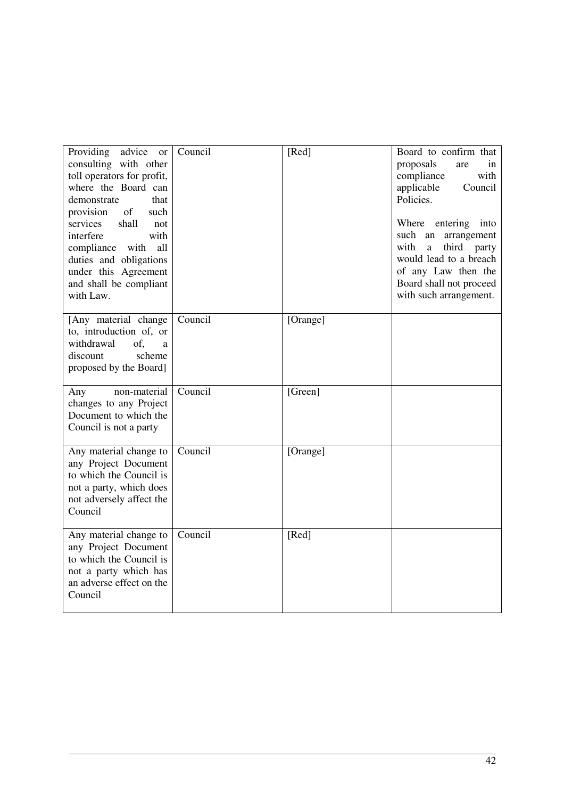| Providing<br>advice<br>or<br>consulting with other<br>toll operators for profit,<br>where the Board can<br>that<br>demonstrate<br>$% \left( \left( \mathcal{A},\mathcal{A}\right) \right) =\left( \mathcal{A},\mathcal{A}\right)$ of<br>provision<br>such<br>services<br>shall<br>not<br>interfere<br>with<br>compliance with<br>all<br>duties and obligations<br>under this Agreement<br>and shall be compliant<br>with Law. | Council | [Red]    | Board to confirm that<br>proposals<br>are<br>in<br>compliance<br>with<br>applicable<br>Council<br>Policies.<br>Where entering into<br>such an<br>arrangement<br>third party<br>with<br>a<br>would lead to a breach<br>of any Law then the<br>Board shall not proceed<br>with such arrangement. |
|-------------------------------------------------------------------------------------------------------------------------------------------------------------------------------------------------------------------------------------------------------------------------------------------------------------------------------------------------------------------------------------------------------------------------------|---------|----------|------------------------------------------------------------------------------------------------------------------------------------------------------------------------------------------------------------------------------------------------------------------------------------------------|
| [Any material change<br>to, introduction of, or<br>withdrawal<br>of.<br>a<br>discount<br>scheme<br>proposed by the Board]                                                                                                                                                                                                                                                                                                     | Council | [Orange] |                                                                                                                                                                                                                                                                                                |
| non-material<br>Any<br>changes to any Project<br>Document to which the<br>Council is not a party                                                                                                                                                                                                                                                                                                                              | Council | [Green]  |                                                                                                                                                                                                                                                                                                |
| Any material change to<br>any Project Document<br>to which the Council is<br>not a party, which does<br>not adversely affect the<br>Council                                                                                                                                                                                                                                                                                   | Council | [Orange] |                                                                                                                                                                                                                                                                                                |
| Any material change to<br>any Project Document<br>to which the Council is<br>not a party which has<br>an adverse effect on the<br>Council                                                                                                                                                                                                                                                                                     | Council | [Red]    |                                                                                                                                                                                                                                                                                                |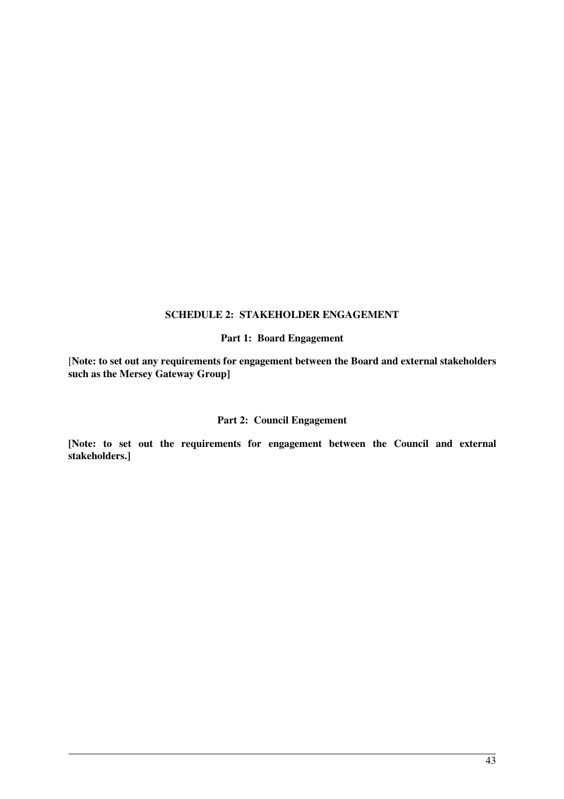#### **SCHEDULE 2: STAKEHOLDER ENGAGEMENT**

#### **Part 1: Board Engagement**

[**Note: to set out any requirements for engagement between the Board and external stakeholders such as the Mersey Gateway Group]** 

### **Part 2: Council Engagement**

**[Note: to set out the requirements for engagement between the Council and external stakeholders.]**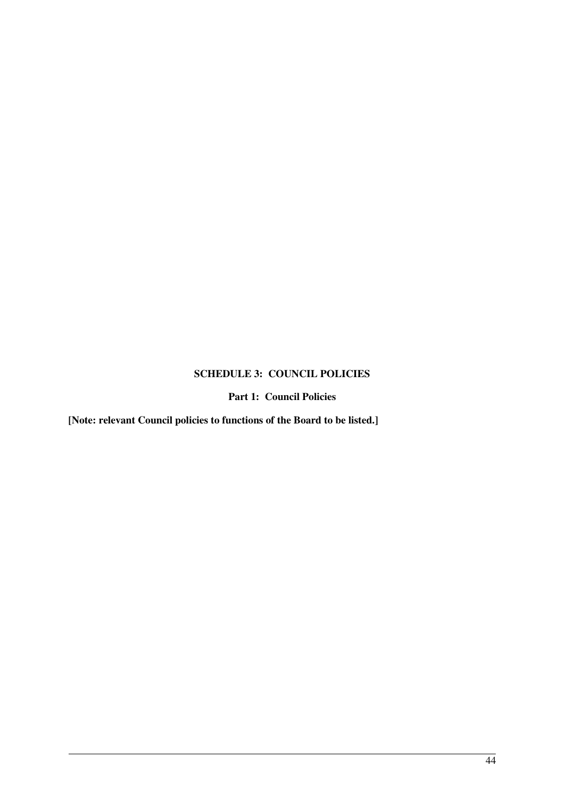## **SCHEDULE 3: COUNCIL POLICIES**

# **Part 1: Council Policies**

**[Note: relevant Council policies to functions of the Board to be listed.]**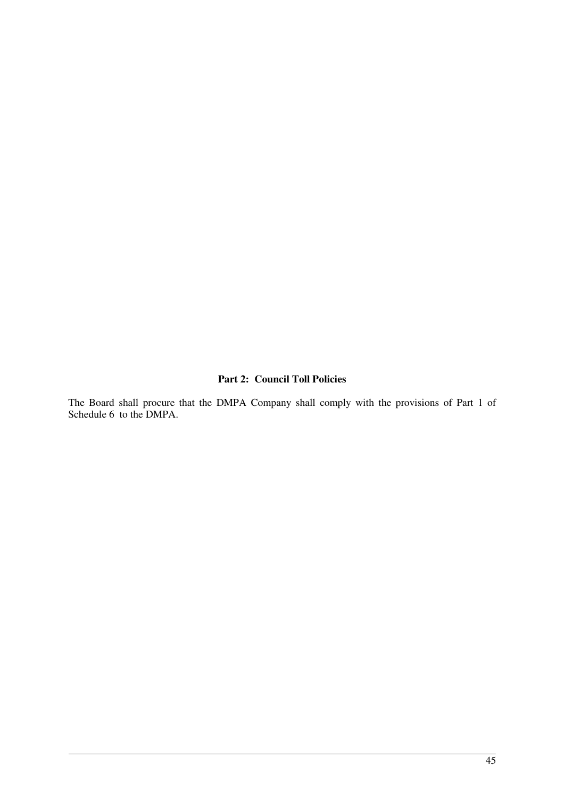#### **Part 2: Council Toll Policies**

The Board shall procure that the DMPA Company shall comply with the provisions of Part 1 of Schedule 6 to the DMPA.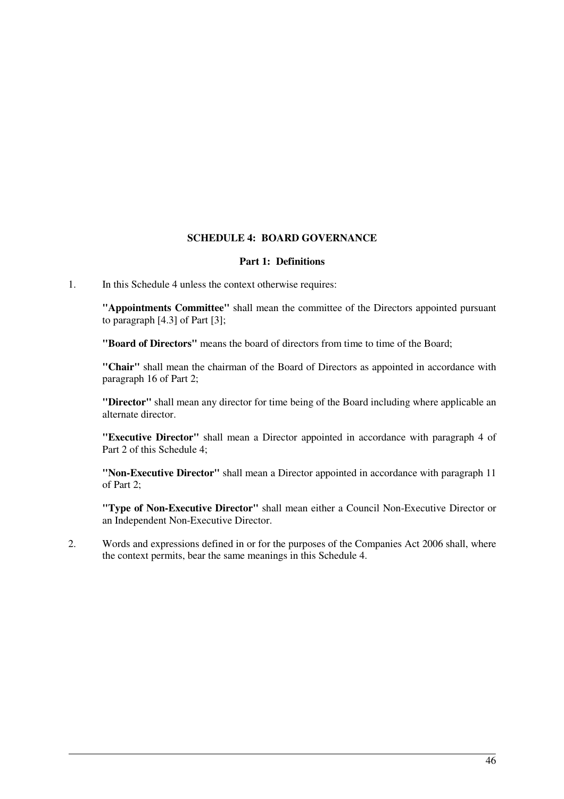## **SCHEDULE 4: BOARD GOVERNANCE**

#### **Part 1: Definitions**

1. In this Schedule 4 unless the context otherwise requires:

**"Appointments Committee"** shall mean the committee of the Directors appointed pursuant to paragraph [4.3] of Part [3];

**"Board of Directors"** means the board of directors from time to time of the Board;

**"Chair"** shall mean the chairman of the Board of Directors as appointed in accordance with paragraph 16 of Part 2;

**"Director"** shall mean any director for time being of the Board including where applicable an alternate director.

**"Executive Director"** shall mean a Director appointed in accordance with paragraph 4 of Part 2 of this Schedule 4;

**"Non-Executive Director"** shall mean a Director appointed in accordance with paragraph 11 of Part 2;

**"Type of Non-Executive Director"** shall mean either a Council Non-Executive Director or an Independent Non-Executive Director.

2. Words and expressions defined in or for the purposes of the Companies Act 2006 shall, where the context permits, bear the same meanings in this Schedule 4.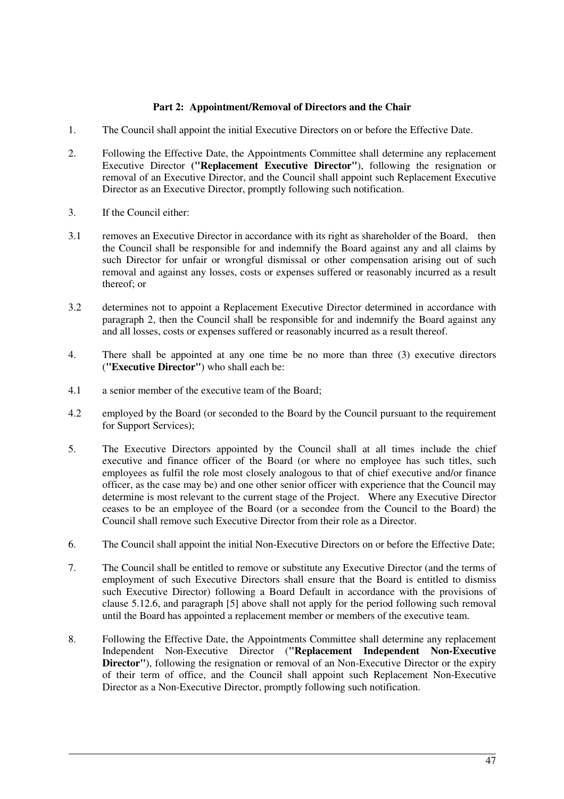#### **Part 2: Appointment/Removal of Directors and the Chair**

- 1. The Council shall appoint the initial Executive Directors on or before the Effective Date.
- 2. Following the Effective Date, the Appointments Committee shall determine any replacement Executive Director **("Replacement Executive Director"**), following the resignation or removal of an Executive Director, and the Council shall appoint such Replacement Executive Director as an Executive Director, promptly following such notification.
- 3. If the Council either:
- 3.1 removes an Executive Director in accordance with its right as shareholder of the Board, then the Council shall be responsible for and indemnify the Board against any and all claims by such Director for unfair or wrongful dismissal or other compensation arising out of such removal and against any losses, costs or expenses suffered or reasonably incurred as a result thereof; or
- 3.2 determines not to appoint a Replacement Executive Director determined in accordance with paragraph 2, then the Council shall be responsible for and indemnify the Board against any and all losses, costs or expenses suffered or reasonably incurred as a result thereof.
- 4. There shall be appointed at any one time be no more than three (3) executive directors (**"Executive Director"**) who shall each be:
- 4.1 a senior member of the executive team of the Board;
- 4.2 employed by the Board (or seconded to the Board by the Council pursuant to the requirement for Support Services);
- 5. The Executive Directors appointed by the Council shall at all times include the chief executive and finance officer of the Board (or where no employee has such titles, such employees as fulfil the role most closely analogous to that of chief executive and/or finance officer, as the case may be) and one other senior officer with experience that the Council may determine is most relevant to the current stage of the Project. Where any Executive Director ceases to be an employee of the Board (or a secondee from the Council to the Board) the Council shall remove such Executive Director from their role as a Director.
- 6. The Council shall appoint the initial Non-Executive Directors on or before the Effective Date;
- 7. The Council shall be entitled to remove or substitute any Executive Director (and the terms of employment of such Executive Directors shall ensure that the Board is entitled to dismiss such Executive Director) following a Board Default in accordance with the provisions of clause 5.12.6, and paragraph [5] above shall not apply for the period following such removal until the Board has appointed a replacement member or members of the executive team.
- 8. Following the Effective Date, the Appointments Committee shall determine any replacement Independent Non-Executive Director (**"Replacement Independent Non-Executive Director"**), following the resignation or removal of an Non-Executive Director or the expiry of their term of office, and the Council shall appoint such Replacement Non-Executive Director as a Non-Executive Director, promptly following such notification.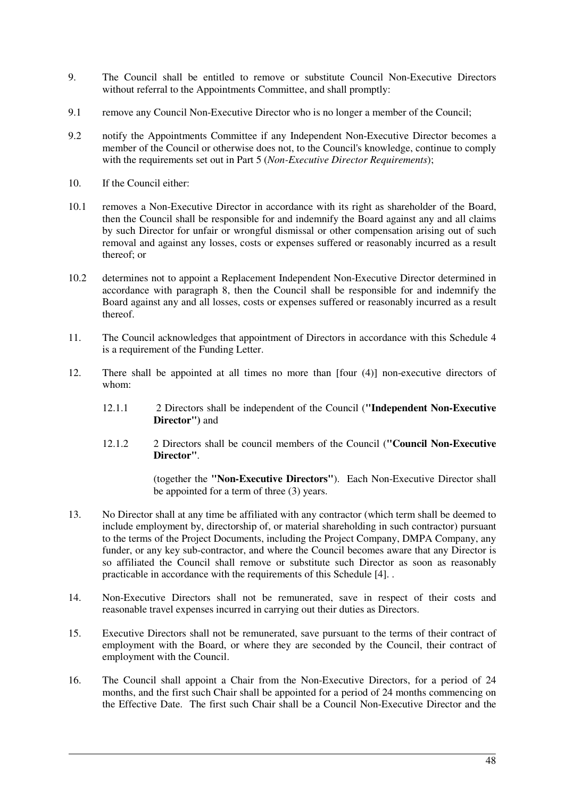- 9. The Council shall be entitled to remove or substitute Council Non-Executive Directors without referral to the Appointments Committee, and shall promptly:
- 9.1 remove any Council Non-Executive Director who is no longer a member of the Council;
- 9.2 notify the Appointments Committee if any Independent Non-Executive Director becomes a member of the Council or otherwise does not, to the Council's knowledge, continue to comply with the requirements set out in Part 5 (*Non-Executive Director Requirements*);
- 10. If the Council either:
- 10.1 removes a Non-Executive Director in accordance with its right as shareholder of the Board, then the Council shall be responsible for and indemnify the Board against any and all claims by such Director for unfair or wrongful dismissal or other compensation arising out of such removal and against any losses, costs or expenses suffered or reasonably incurred as a result thereof; or
- 10.2 determines not to appoint a Replacement Independent Non-Executive Director determined in accordance with paragraph 8, then the Council shall be responsible for and indemnify the Board against any and all losses, costs or expenses suffered or reasonably incurred as a result thereof.
- 11. The Council acknowledges that appointment of Directors in accordance with this Schedule 4 is a requirement of the Funding Letter.
- 12. There shall be appointed at all times no more than [four (4)] non-executive directors of whom:
	- 12.1.1 2 Directors shall be independent of the Council (**"Independent Non-Executive Director")** and
	- 12.1.2 2 Directors shall be council members of the Council (**"Council Non-Executive Director"**.

(together the **"Non-Executive Directors"**). Each Non-Executive Director shall be appointed for a term of three (3) years.

- 13. No Director shall at any time be affiliated with any contractor (which term shall be deemed to include employment by, directorship of, or material shareholding in such contractor) pursuant to the terms of the Project Documents, including the Project Company, DMPA Company, any funder, or any key sub-contractor, and where the Council becomes aware that any Director is so affiliated the Council shall remove or substitute such Director as soon as reasonably practicable in accordance with the requirements of this Schedule [4]. .
- 14. Non-Executive Directors shall not be remunerated, save in respect of their costs and reasonable travel expenses incurred in carrying out their duties as Directors.
- 15. Executive Directors shall not be remunerated, save pursuant to the terms of their contract of employment with the Board, or where they are seconded by the Council, their contract of employment with the Council.
- 16. The Council shall appoint a Chair from the Non-Executive Directors, for a period of 24 months, and the first such Chair shall be appointed for a period of 24 months commencing on the Effective Date. The first such Chair shall be a Council Non-Executive Director and the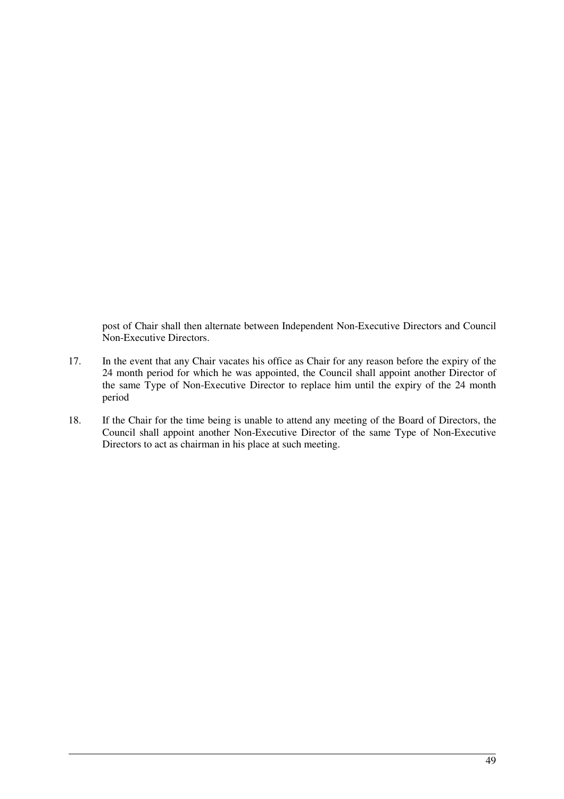post of Chair shall then alternate between Independent Non-Executive Directors and Council Non-Executive Directors.

- 17. In the event that any Chair vacates his office as Chair for any reason before the expiry of the 24 month period for which he was appointed, the Council shall appoint another Director of the same Type of Non-Executive Director to replace him until the expiry of the 24 month period
- 18. If the Chair for the time being is unable to attend any meeting of the Board of Directors, the Council shall appoint another Non-Executive Director of the same Type of Non-Executive Directors to act as chairman in his place at such meeting.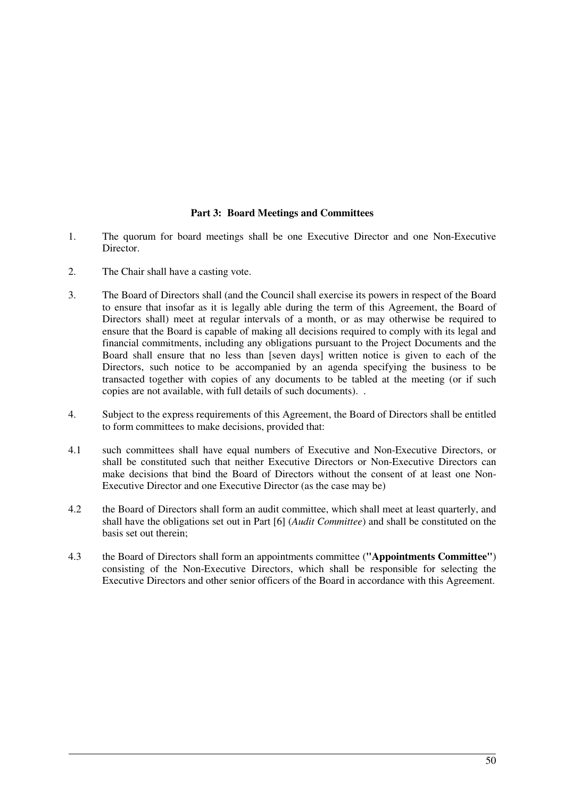#### **Part 3: Board Meetings and Committees**

- 1. The quorum for board meetings shall be one Executive Director and one Non-Executive Director.
- 2. The Chair shall have a casting vote.
- 3. The Board of Directors shall (and the Council shall exercise its powers in respect of the Board to ensure that insofar as it is legally able during the term of this Agreement, the Board of Directors shall) meet at regular intervals of a month, or as may otherwise be required to ensure that the Board is capable of making all decisions required to comply with its legal and financial commitments, including any obligations pursuant to the Project Documents and the Board shall ensure that no less than [seven days] written notice is given to each of the Directors, such notice to be accompanied by an agenda specifying the business to be transacted together with copies of any documents to be tabled at the meeting (or if such copies are not available, with full details of such documents). .
- 4. Subject to the express requirements of this Agreement, the Board of Directors shall be entitled to form committees to make decisions, provided that:
- 4.1 such committees shall have equal numbers of Executive and Non-Executive Directors, or shall be constituted such that neither Executive Directors or Non-Executive Directors can make decisions that bind the Board of Directors without the consent of at least one Non-Executive Director and one Executive Director (as the case may be)
- 4.2 the Board of Directors shall form an audit committee, which shall meet at least quarterly, and shall have the obligations set out in Part [6] (*Audit Committee*) and shall be constituted on the basis set out therein;
- 4.3 the Board of Directors shall form an appointments committee (**"Appointments Committee"**) consisting of the Non-Executive Directors, which shall be responsible for selecting the Executive Directors and other senior officers of the Board in accordance with this Agreement.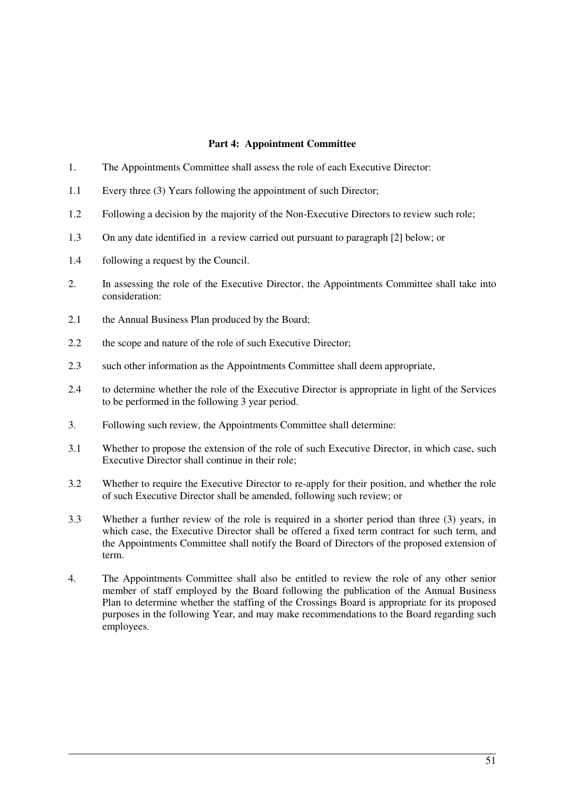#### **Part 4: Appointment Committee**

- 1. The Appointments Committee shall assess the role of each Executive Director:
- 1.1 Every three (3) Years following the appointment of such Director;
- 1.2 Following a decision by the majority of the Non-Executive Directors to review such role;
- 1.3 On any date identified in a review carried out pursuant to paragraph [2] below; or
- 1.4 following a request by the Council.
- 2. In assessing the role of the Executive Director, the Appointments Committee shall take into consideration:
- 2.1 the Annual Business Plan produced by the Board;
- 2.2 the scope and nature of the role of such Executive Director;
- 2.3 such other information as the Appointments Committee shall deem appropriate,
- 2.4 to determine whether the role of the Executive Director is appropriate in light of the Services to be performed in the following 3 year period.
- 3. Following such review, the Appointments Committee shall determine:
- 3.1 Whether to propose the extension of the role of such Executive Director, in which case, such Executive Director shall continue in their role;
- 3.2 Whether to require the Executive Director to re-apply for their position, and whether the role of such Executive Director shall be amended, following such review; or
- 3.3 Whether a further review of the role is required in a shorter period than three (3) years, in which case, the Executive Director shall be offered a fixed term contract for such term, and the Appointments Committee shall notify the Board of Directors of the proposed extension of term.
- 4. The Appointments Committee shall also be entitled to review the role of any other senior member of staff employed by the Board following the publication of the Annual Business Plan to determine whether the staffing of the Crossings Board is appropriate for its proposed purposes in the following Year, and may make recommendations to the Board regarding such employees.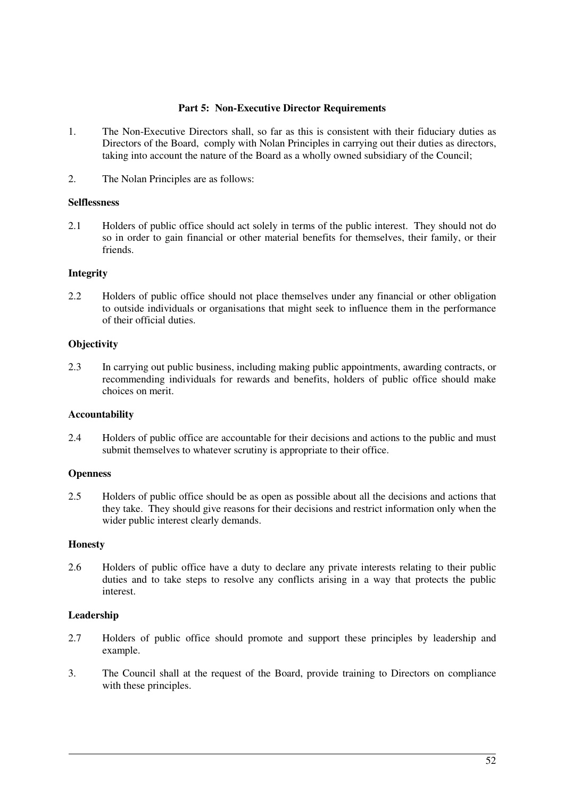#### **Part 5: Non-Executive Director Requirements**

- 1. The Non-Executive Directors shall, so far as this is consistent with their fiduciary duties as Directors of the Board, comply with Nolan Principles in carrying out their duties as directors, taking into account the nature of the Board as a wholly owned subsidiary of the Council;
- 2. The Nolan Principles are as follows:

#### **Selflessness**

2.1 Holders of public office should act solely in terms of the public interest. They should not do so in order to gain financial or other material benefits for themselves, their family, or their friends.

#### **Integrity**

2.2 Holders of public office should not place themselves under any financial or other obligation to outside individuals or organisations that might seek to influence them in the performance of their official duties.

#### **Objectivity**

2.3 In carrying out public business, including making public appointments, awarding contracts, or recommending individuals for rewards and benefits, holders of public office should make choices on merit.

#### **Accountability**

2.4 Holders of public office are accountable for their decisions and actions to the public and must submit themselves to whatever scrutiny is appropriate to their office.

#### **Openness**

2.5 Holders of public office should be as open as possible about all the decisions and actions that they take. They should give reasons for their decisions and restrict information only when the wider public interest clearly demands.

#### **Honesty**

2.6 Holders of public office have a duty to declare any private interests relating to their public duties and to take steps to resolve any conflicts arising in a way that protects the public interest.

#### **Leadership**

- 2.7 Holders of public office should promote and support these principles by leadership and example.
- 3. The Council shall at the request of the Board, provide training to Directors on compliance with these principles.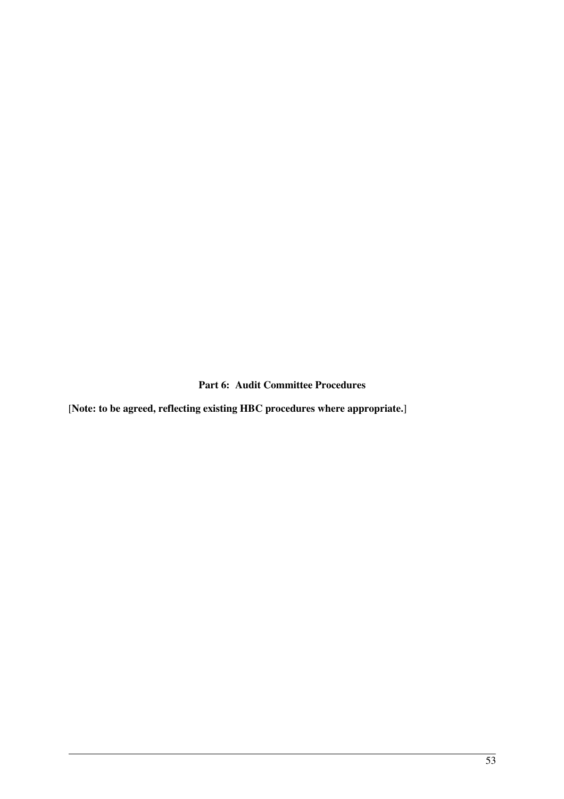**Part 6: Audit Committee Procedures** 

[**Note: to be agreed, reflecting existing HBC procedures where appropriate.**]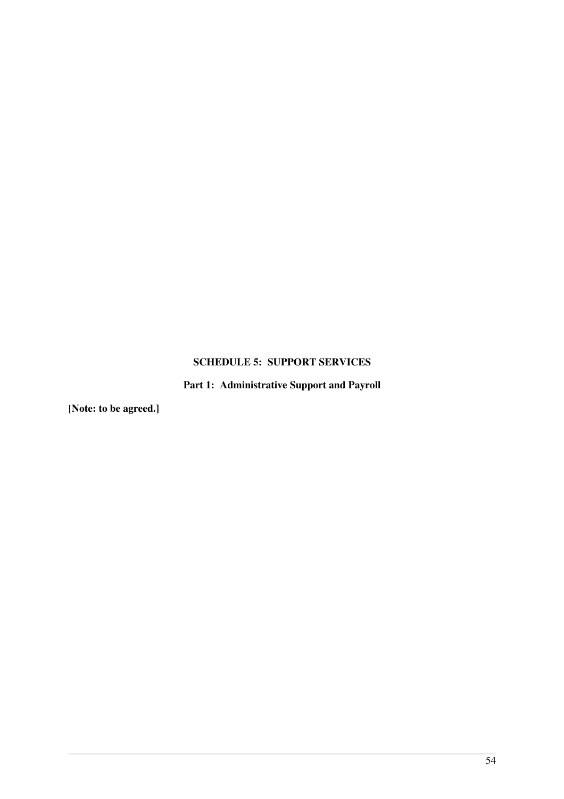# **SCHEDULE 5: SUPPORT SERVICES**

**Part 1: Administrative Support and Payroll** 

[**Note: to be agreed.]**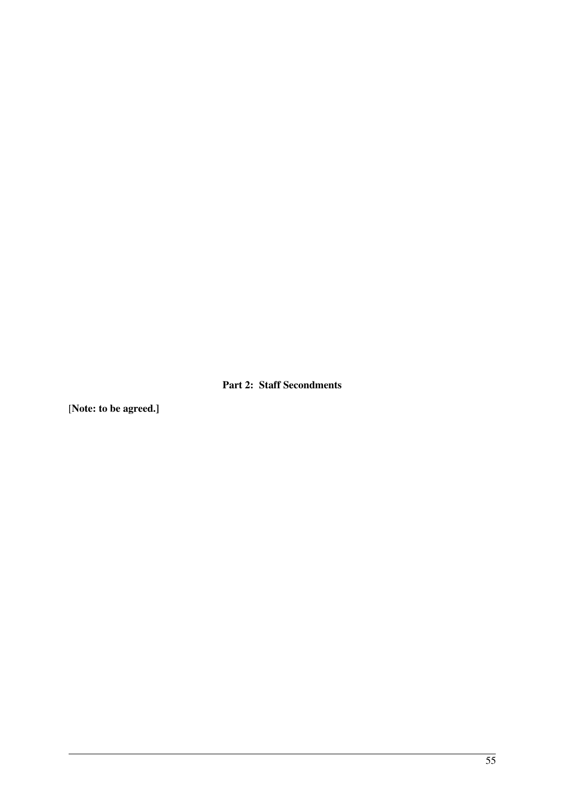**Part 2: Staff Secondments** 

[**Note: to be agreed.]**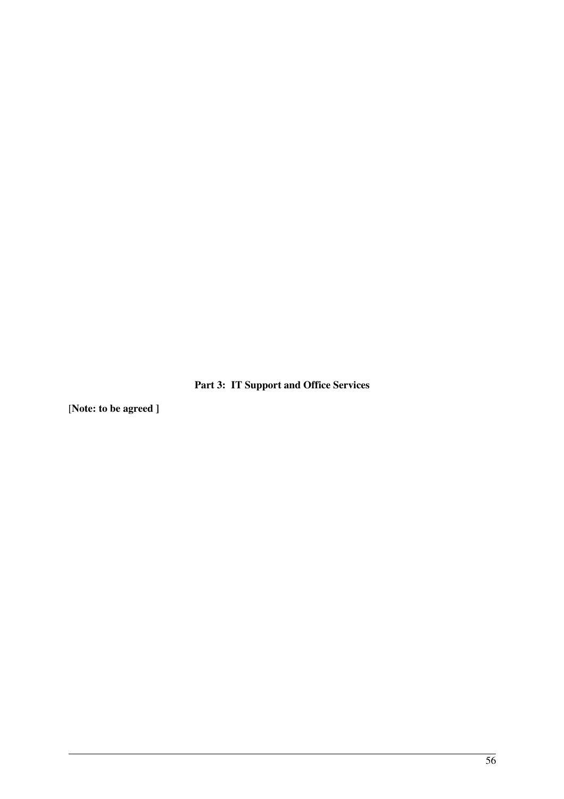**Part 3: IT Support and Office Services** 

[**Note: to be agreed ]**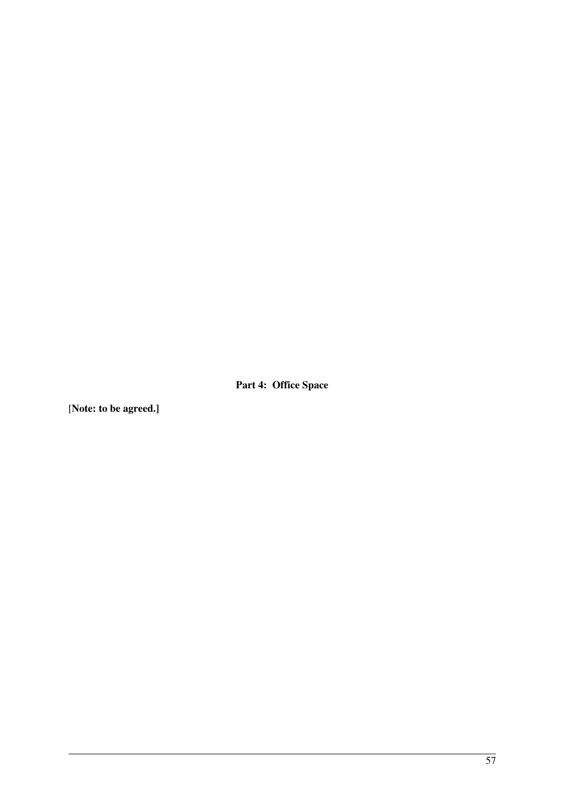**Part 4: Office Space** 

[**Note: to be agreed.]**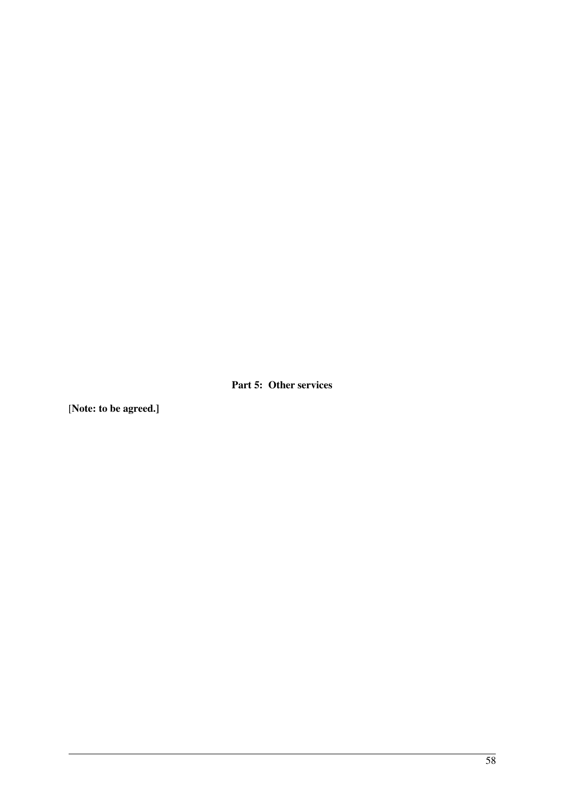**Part 5: Other services** 

[**Note: to be agreed.]**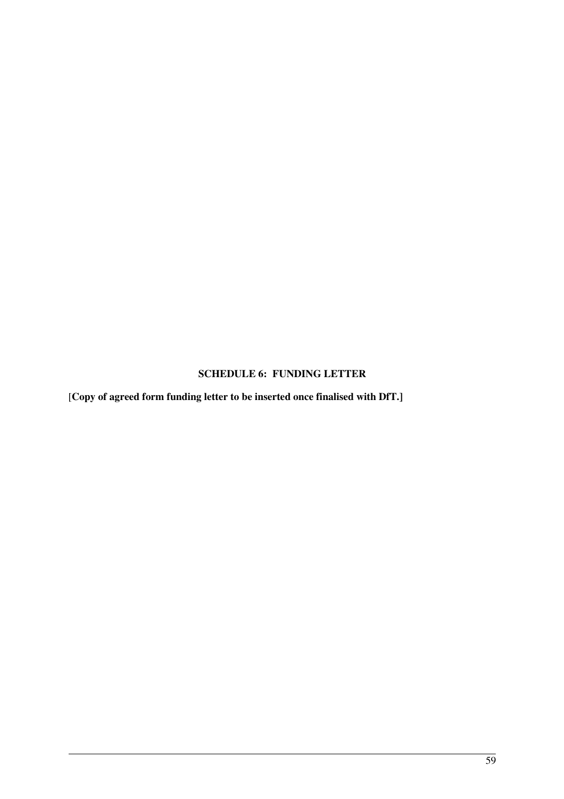# **SCHEDULE 6: FUNDING LETTER**

[**Copy of agreed form funding letter to be inserted once finalised with DfT.]**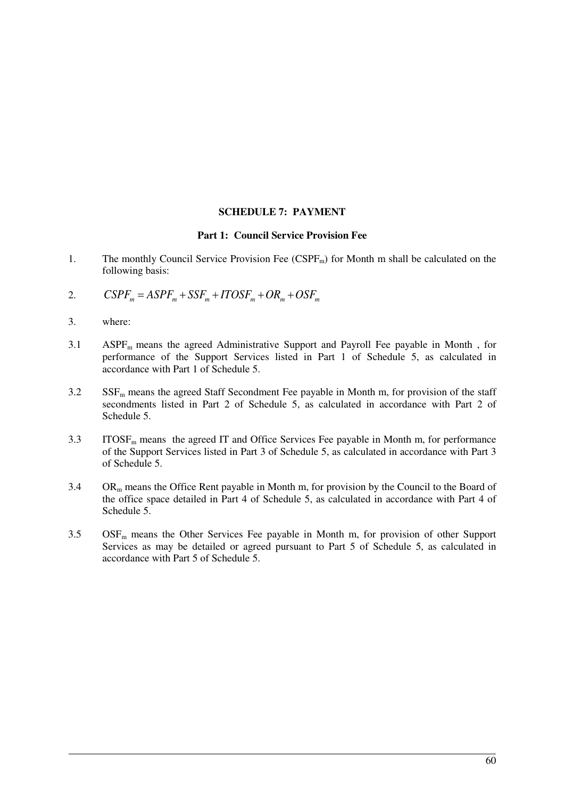#### **SCHEDULE 7: PAYMENT**

#### **Part 1: Council Service Provision Fee**

- 1. The monthly Council Service Provision Fee  $(CSPF_m)$  for Month m shall be calculated on the following basis:
- 2.  $CSPF_m = ASPF_m + SSF_m + ITOSF_m + OR_m + OSF_m$
- 3. where:
- 3.1 ASPF<sub>m</sub> means the agreed Administrative Support and Payroll Fee payable in Month, for performance of the Support Services listed in Part 1 of Schedule 5, as calculated in accordance with Part 1 of Schedule 5.
- $3.2$  SSF<sub>m</sub> means the agreed Staff Secondment Fee payable in Month m, for provision of the staff secondments listed in Part 2 of Schedule 5, as calculated in accordance with Part 2 of Schedule 5.
- $3.3$  ITOSF<sub>m</sub> means the agreed IT and Office Services Fee payable in Month m, for performance of the Support Services listed in Part 3 of Schedule 5, as calculated in accordance with Part 3 of Schedule 5.
- $3.4$  OR<sub>m</sub> means the Office Rent payable in Month m, for provision by the Council to the Board of the office space detailed in Part 4 of Schedule 5, as calculated in accordance with Part 4 of Schedule 5.
- $3.5$  OSF<sub>m</sub> means the Other Services Fee payable in Month m, for provision of other Support Services as may be detailed or agreed pursuant to Part 5 of Schedule 5, as calculated in accordance with Part 5 of Schedule 5.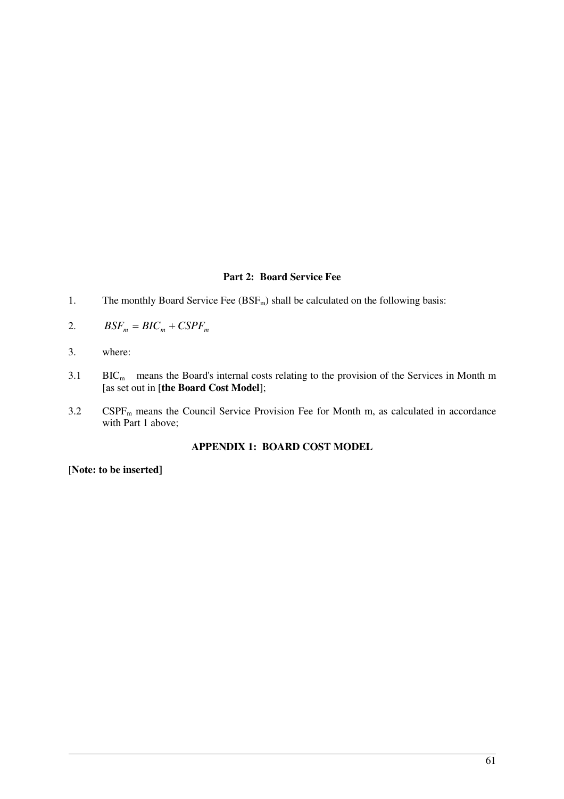#### **Part 2: Board Service Fee**

- 1. The monthly Board Service Fee  $(BSF_m)$  shall be calculated on the following basis:
- 2.  $BSF_m = BIC_m + CSPF_m$
- 3. where:
- $3.1$  BIC<sub>m</sub> means the Board's internal costs relating to the provision of the Services in Month m [as set out in [**the Board Cost Model**];
- 3.2 CSPF<sub>m</sub> means the Council Service Provision Fee for Month m, as calculated in accordance with Part 1 above;

## **APPENDIX 1: BOARD COST MODEL**

[**Note: to be inserted]**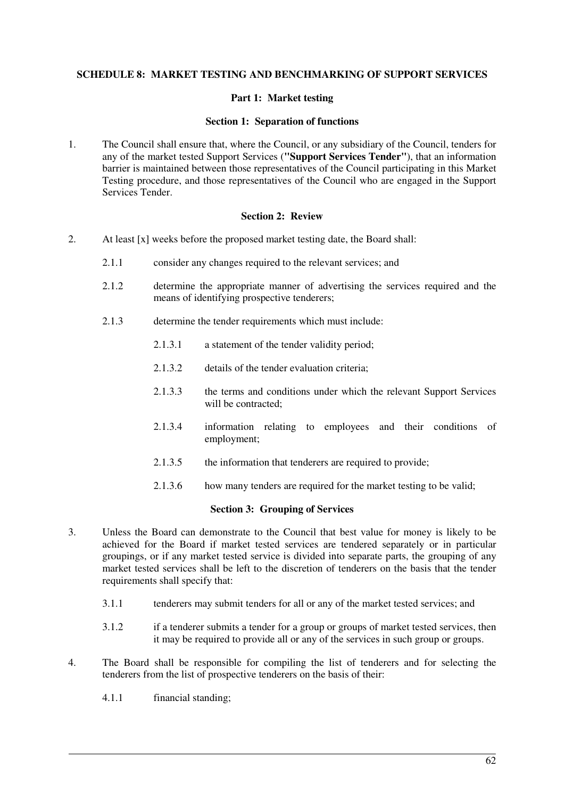#### **SCHEDULE 8: MARKET TESTING AND BENCHMARKING OF SUPPORT SERVICES**

#### **Part 1: Market testing**

#### **Section 1: Separation of functions**

1. The Council shall ensure that, where the Council, or any subsidiary of the Council, tenders for any of the market tested Support Services (**"Support Services Tender"**), that an information barrier is maintained between those representatives of the Council participating in this Market Testing procedure, and those representatives of the Council who are engaged in the Support Services Tender.

#### **Section 2: Review**

- 2. At least [x] weeks before the proposed market testing date, the Board shall:
	- 2.1.1 consider any changes required to the relevant services; and
	- 2.1.2 determine the appropriate manner of advertising the services required and the means of identifying prospective tenderers;
	- 2.1.3 determine the tender requirements which must include:
		- 2.1.3.1 a statement of the tender validity period;
		- 2.1.3.2 details of the tender evaluation criteria;
		- 2.1.3.3 the terms and conditions under which the relevant Support Services will be contracted:
		- 2.1.3.4 information relating to employees and their conditions of employment;
		- 2.1.3.5 the information that tenderers are required to provide;
		- 2.1.3.6 how many tenders are required for the market testing to be valid;

#### **Section 3: Grouping of Services**

- 3. Unless the Board can demonstrate to the Council that best value for money is likely to be achieved for the Board if market tested services are tendered separately or in particular groupings, or if any market tested service is divided into separate parts, the grouping of any market tested services shall be left to the discretion of tenderers on the basis that the tender requirements shall specify that:
	- 3.1.1 tenderers may submit tenders for all or any of the market tested services; and
	- 3.1.2 if a tenderer submits a tender for a group or groups of market tested services, then it may be required to provide all or any of the services in such group or groups.
- 4. The Board shall be responsible for compiling the list of tenderers and for selecting the tenderers from the list of prospective tenderers on the basis of their:
	- 4.1.1 financial standing;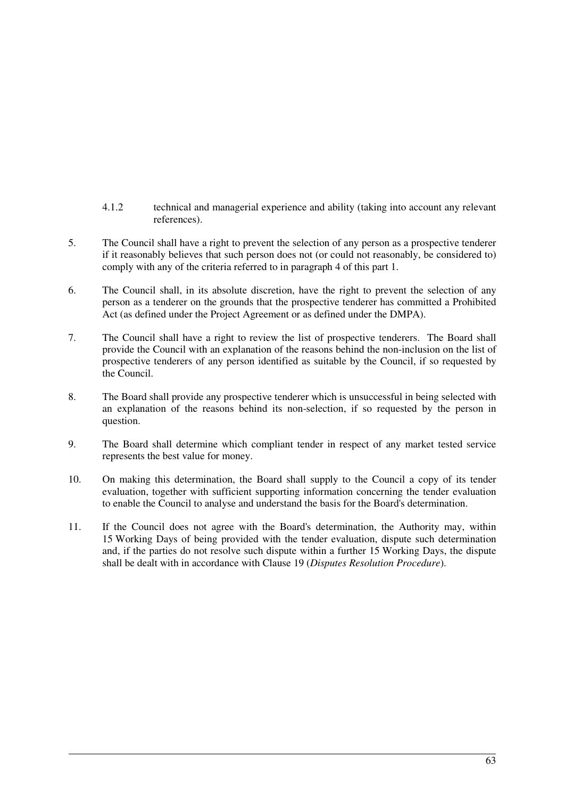- 4.1.2 technical and managerial experience and ability (taking into account any relevant references).
- 5. The Council shall have a right to prevent the selection of any person as a prospective tenderer if it reasonably believes that such person does not (or could not reasonably, be considered to) comply with any of the criteria referred to in paragraph 4 of this part 1.
- 6. The Council shall, in its absolute discretion, have the right to prevent the selection of any person as a tenderer on the grounds that the prospective tenderer has committed a Prohibited Act (as defined under the Project Agreement or as defined under the DMPA).
- 7. The Council shall have a right to review the list of prospective tenderers. The Board shall provide the Council with an explanation of the reasons behind the non-inclusion on the list of prospective tenderers of any person identified as suitable by the Council, if so requested by the Council.
- 8. The Board shall provide any prospective tenderer which is unsuccessful in being selected with an explanation of the reasons behind its non-selection, if so requested by the person in question.
- 9. The Board shall determine which compliant tender in respect of any market tested service represents the best value for money.
- 10. On making this determination, the Board shall supply to the Council a copy of its tender evaluation, together with sufficient supporting information concerning the tender evaluation to enable the Council to analyse and understand the basis for the Board's determination.
- 11. If the Council does not agree with the Board's determination, the Authority may, within 15 Working Days of being provided with the tender evaluation, dispute such determination and, if the parties do not resolve such dispute within a further 15 Working Days, the dispute shall be dealt with in accordance with Clause 19 (*Disputes Resolution Procedure*).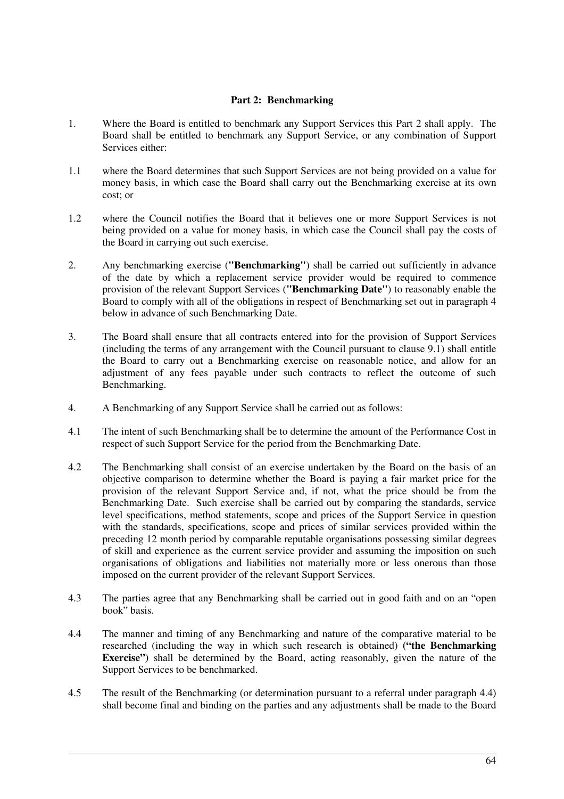### **Part 2: Benchmarking**

- 1. Where the Board is entitled to benchmark any Support Services this Part 2 shall apply. The Board shall be entitled to benchmark any Support Service, or any combination of Support Services either:
- 1.1 where the Board determines that such Support Services are not being provided on a value for money basis, in which case the Board shall carry out the Benchmarking exercise at its own cost; or
- 1.2 where the Council notifies the Board that it believes one or more Support Services is not being provided on a value for money basis, in which case the Council shall pay the costs of the Board in carrying out such exercise.
- 2. Any benchmarking exercise (**"Benchmarking"**) shall be carried out sufficiently in advance of the date by which a replacement service provider would be required to commence provision of the relevant Support Services (**"Benchmarking Date"**) to reasonably enable the Board to comply with all of the obligations in respect of Benchmarking set out in paragraph 4 below in advance of such Benchmarking Date.
- 3. The Board shall ensure that all contracts entered into for the provision of Support Services (including the terms of any arrangement with the Council pursuant to clause 9.1) shall entitle the Board to carry out a Benchmarking exercise on reasonable notice, and allow for an adjustment of any fees payable under such contracts to reflect the outcome of such Benchmarking.
- 4. A Benchmarking of any Support Service shall be carried out as follows:
- 4.1 The intent of such Benchmarking shall be to determine the amount of the Performance Cost in respect of such Support Service for the period from the Benchmarking Date.
- 4.2 The Benchmarking shall consist of an exercise undertaken by the Board on the basis of an objective comparison to determine whether the Board is paying a fair market price for the provision of the relevant Support Service and, if not, what the price should be from the Benchmarking Date. Such exercise shall be carried out by comparing the standards, service level specifications, method statements, scope and prices of the Support Service in question with the standards, specifications, scope and prices of similar services provided within the preceding 12 month period by comparable reputable organisations possessing similar degrees of skill and experience as the current service provider and assuming the imposition on such organisations of obligations and liabilities not materially more or less onerous than those imposed on the current provider of the relevant Support Services.
- 4.3 The parties agree that any Benchmarking shall be carried out in good faith and on an "open book" basis.
- 4.4 The manner and timing of any Benchmarking and nature of the comparative material to be researched (including the way in which such research is obtained) **("the Benchmarking Exercise")** shall be determined by the Board, acting reasonably, given the nature of the Support Services to be benchmarked.
- 4.5 The result of the Benchmarking (or determination pursuant to a referral under paragraph 4.4) shall become final and binding on the parties and any adjustments shall be made to the Board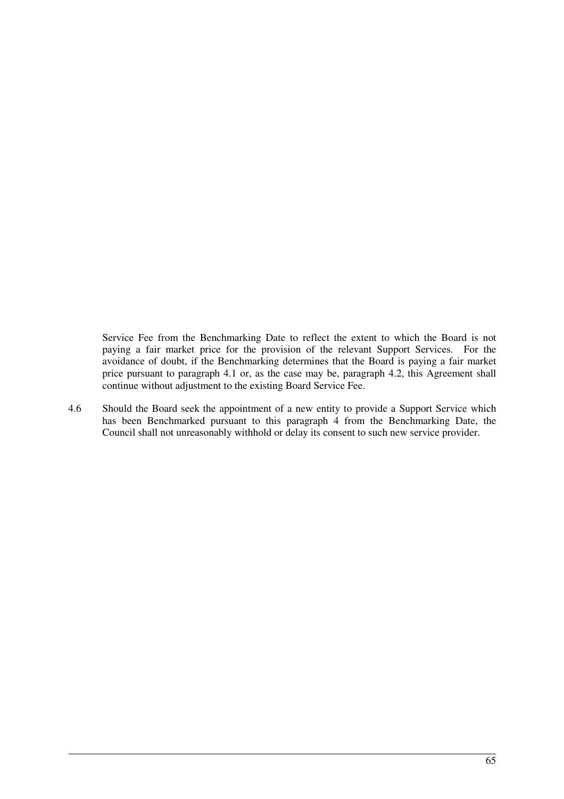Service Fee from the Benchmarking Date to reflect the extent to which the Board is not paying a fair market price for the provision of the relevant Support Services. For the avoidance of doubt, if the Benchmarking determines that the Board is paying a fair market price pursuant to paragraph 4.1 or, as the case may be, paragraph 4.2, this Agreement shall continue without adjustment to the existing Board Service Fee.

4.6 Should the Board seek the appointment of a new entity to provide a Support Service which has been Benchmarked pursuant to this paragraph 4 from the Benchmarking Date, the Council shall not unreasonably withhold or delay its consent to such new service provider.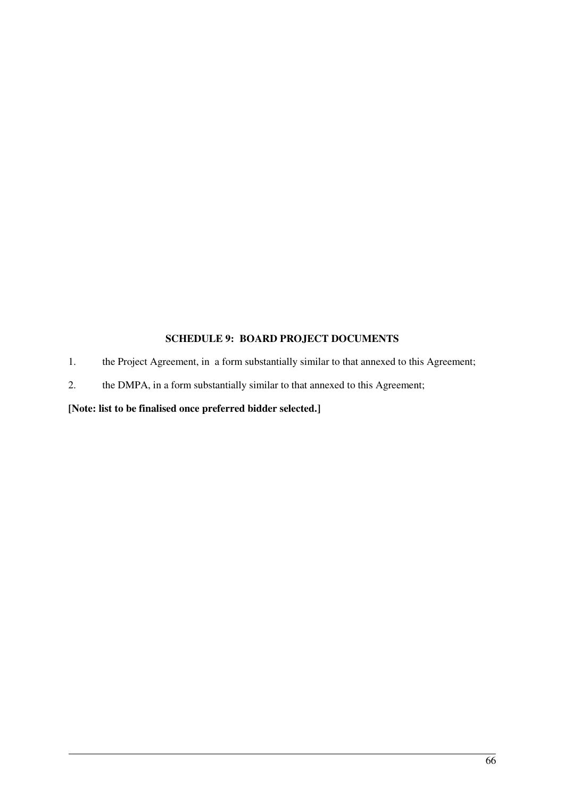## **SCHEDULE 9: BOARD PROJECT DOCUMENTS**

- 1. the Project Agreement, in a form substantially similar to that annexed to this Agreement;
- 2. the DMPA, in a form substantially similar to that annexed to this Agreement;

## **[Note: list to be finalised once preferred bidder selected.]**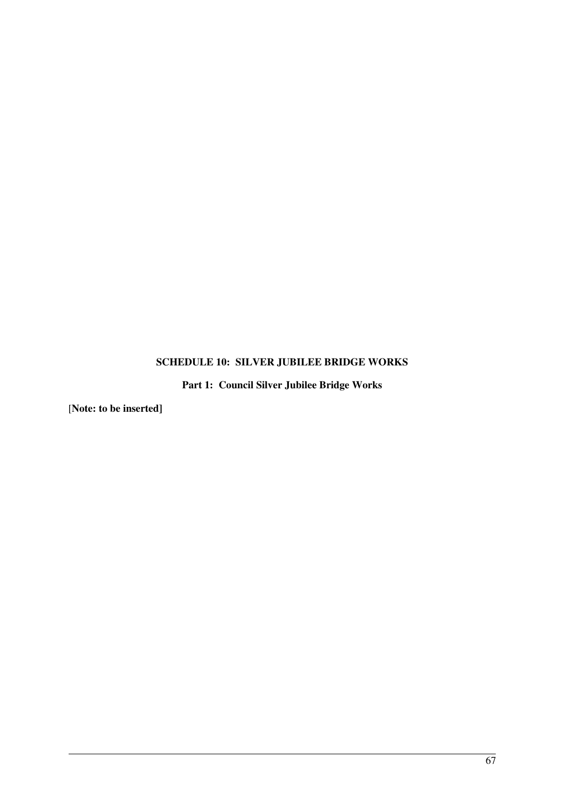# **SCHEDULE 10: SILVER JUBILEE BRIDGE WORKS**

**Part 1: Council Silver Jubilee Bridge Works** 

[**Note: to be inserted]**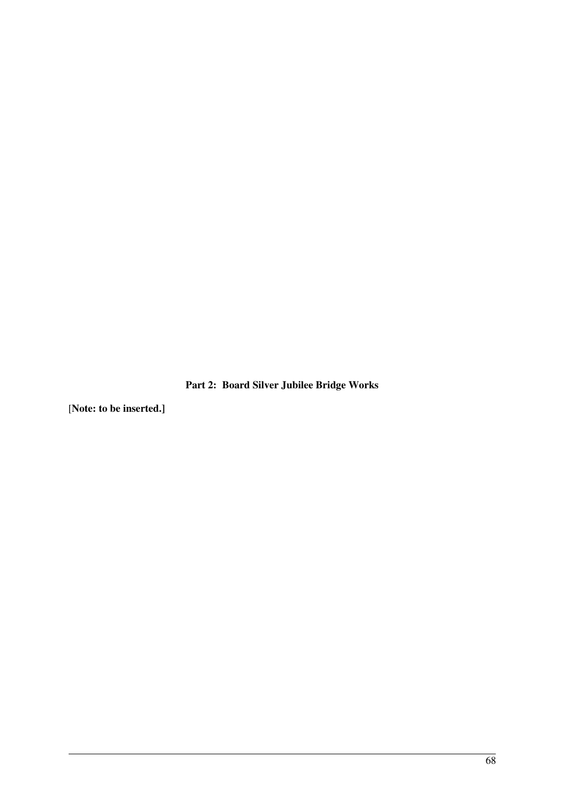**Part 2: Board Silver Jubilee Bridge Works** 

[**Note: to be inserted.]**